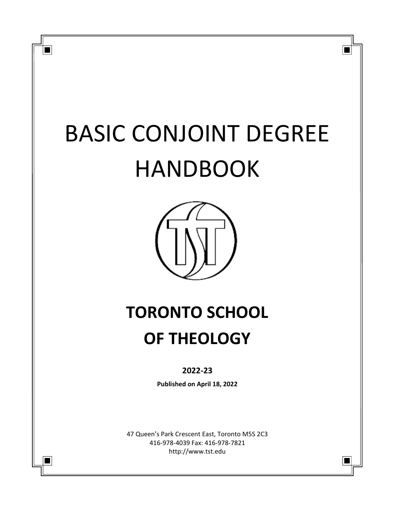# BASIC CONJOINT DEGREE HANDBOOK

П

 $\blacksquare$ 

 $\blacksquare$ 



## **TORONTO SCHOOL OF THEOLOGY**

## **2022-23**

**Published on April 18, 2022**

47 Queen's Park Crescent East, Toronto M5S 2C3 416-978-4039 Fax: 416-978-7821 http://www.tst.edu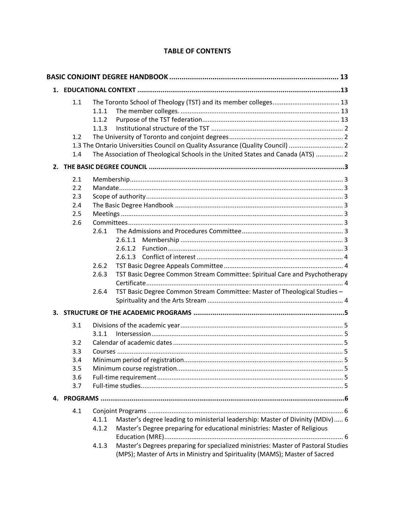## **TABLE OF CONTENTS**

| 1.1                                           | 1.1.1<br>1.1.2<br>1.1.3          |                                                                                                                                                                                                                                                                                                                                 |  |
|-----------------------------------------------|----------------------------------|---------------------------------------------------------------------------------------------------------------------------------------------------------------------------------------------------------------------------------------------------------------------------------------------------------------------------------|--|
| 1.2<br>1.4                                    |                                  | 1.3 The Ontario Universities Council on Quality Assurance (Quality Council)  2<br>The Association of Theological Schools in the United States and Canada (ATS)  2                                                                                                                                                               |  |
|                                               |                                  |                                                                                                                                                                                                                                                                                                                                 |  |
| 2.1<br>2.2<br>2.3<br>2.4<br>2.5<br>2.6        | 2.6.1<br>2.6.2<br>2.6.3<br>2.6.4 | 2.6.1.1<br>2.6.1.2<br>TST Basic Degree Common Stream Committee: Spiritual Care and Psychotherapy<br>TST Basic Degree Common Stream Committee: Master of Theological Studies -                                                                                                                                                   |  |
|                                               |                                  |                                                                                                                                                                                                                                                                                                                                 |  |
| 3.1<br>3.2<br>3.3<br>3.4<br>3.5<br>3.6<br>3.7 | 3.1.1                            |                                                                                                                                                                                                                                                                                                                                 |  |
|                                               |                                  |                                                                                                                                                                                                                                                                                                                                 |  |
| 4.1                                           | 4.1.1<br>4.1.2<br>4.1.3          | Master's degree leading to ministerial leadership: Master of Divinity (MDiv) 6<br>Master's Degree preparing for educational ministries: Master of Religious<br>Master's Degrees preparing for specialized ministries: Master of Pastoral Studies<br>(MPS); Master of Arts in Ministry and Spirituality (MAMS); Master of Sacred |  |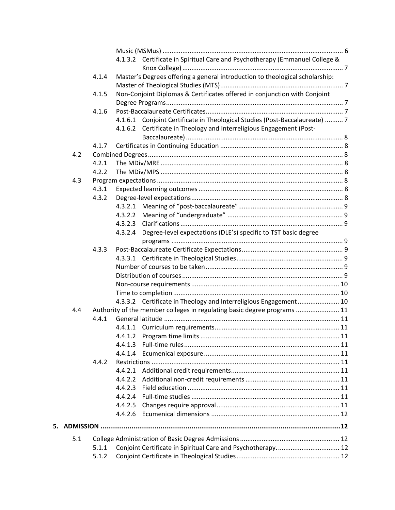|    |     |       |                    | 4.1.3.2 Certificate in Spiritual Care and Psychotherapy (Emmanuel College &  |  |
|----|-----|-------|--------------------|------------------------------------------------------------------------------|--|
|    |     |       |                    |                                                                              |  |
|    |     | 4.1.4 |                    | Master's Degrees offering a general introduction to theological scholarship: |  |
|    |     |       |                    |                                                                              |  |
|    |     | 4.1.5 |                    | Non-Conjoint Diplomas & Certificates offered in conjunction with Conjoint    |  |
|    |     |       |                    |                                                                              |  |
|    |     | 4.1.6 |                    |                                                                              |  |
|    |     |       |                    | 4.1.6.1 Conjoint Certificate in Theological Studies (Post-Baccalaureate)  7  |  |
|    |     |       |                    | 4.1.6.2 Certificate in Theology and Interreligious Engagement (Post-         |  |
|    |     |       |                    |                                                                              |  |
|    |     | 4.1.7 |                    |                                                                              |  |
|    | 4.2 | 4.2.1 |                    |                                                                              |  |
|    |     | 4.2.2 |                    |                                                                              |  |
|    |     |       |                    |                                                                              |  |
|    | 4.3 |       |                    |                                                                              |  |
|    |     | 4.3.1 |                    |                                                                              |  |
|    |     | 4.3.2 |                    |                                                                              |  |
|    |     |       |                    |                                                                              |  |
|    |     |       | 4.3.2.3            |                                                                              |  |
|    |     |       |                    |                                                                              |  |
|    |     |       |                    | 4.3.2.4 Degree-level expectations (DLE's) specific to TST basic degree       |  |
|    |     |       |                    |                                                                              |  |
|    |     | 4.3.3 |                    |                                                                              |  |
|    |     |       |                    |                                                                              |  |
|    |     |       |                    |                                                                              |  |
|    |     |       |                    |                                                                              |  |
|    |     |       |                    |                                                                              |  |
|    |     |       |                    | 4.3.3.2 Certificate in Theology and Interreligious Engagement 10             |  |
|    | 4.4 |       |                    | Authority of the member colleges in regulating basic degree programs  11     |  |
|    |     | 4.4.1 |                    |                                                                              |  |
|    |     |       |                    |                                                                              |  |
|    |     |       |                    |                                                                              |  |
|    |     |       | 4.4.1.2<br>4.4.1.3 |                                                                              |  |
|    |     |       | 4.4.1.4            |                                                                              |  |
|    |     | 4.4.2 |                    |                                                                              |  |
|    |     |       | 4.4.2.1            |                                                                              |  |
|    |     |       | 4.4.2.2            |                                                                              |  |
|    |     |       | 4.4.2.3            |                                                                              |  |
|    |     |       |                    |                                                                              |  |
|    |     |       | 4.4.2.5            |                                                                              |  |
|    |     |       | 4.4.2.6            |                                                                              |  |
|    |     |       |                    |                                                                              |  |
| 5. |     |       |                    |                                                                              |  |
|    | 5.1 |       |                    |                                                                              |  |
|    |     | 5.1.1 |                    | Conjoint Certificate in Spiritual Care and Psychotherapy 12                  |  |
|    |     | 5.1.2 |                    |                                                                              |  |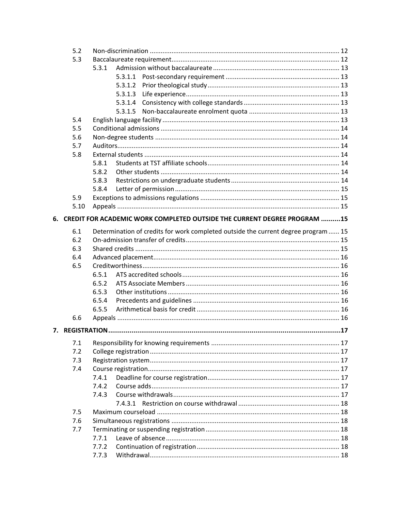|    | 5.2  |       |         |                                                                                    |  |  |
|----|------|-------|---------|------------------------------------------------------------------------------------|--|--|
|    | 5.3  |       |         |                                                                                    |  |  |
|    |      | 5.3.1 |         |                                                                                    |  |  |
|    |      |       |         |                                                                                    |  |  |
|    |      |       | 5.3.1.2 |                                                                                    |  |  |
|    |      |       | 5.3.1.3 |                                                                                    |  |  |
|    |      |       | 5.3.1.4 |                                                                                    |  |  |
|    |      |       | 5.3.1.5 |                                                                                    |  |  |
|    | 5.4  |       |         |                                                                                    |  |  |
|    | 5.5  |       |         |                                                                                    |  |  |
|    | 5.6  |       |         |                                                                                    |  |  |
|    | 5.7  |       |         |                                                                                    |  |  |
|    | 5.8  |       |         |                                                                                    |  |  |
|    |      | 5.8.1 |         |                                                                                    |  |  |
|    |      | 5.8.2 |         |                                                                                    |  |  |
|    |      | 5.8.3 |         |                                                                                    |  |  |
|    |      | 5.8.4 |         |                                                                                    |  |  |
|    | 5.9  |       |         |                                                                                    |  |  |
|    | 5.10 |       |         |                                                                                    |  |  |
| 6. |      |       |         | CREDIT FOR ACADEMIC WORK COMPLETED OUTSIDE THE CURRENT DEGREE PROGRAM 15           |  |  |
|    | 6.1  |       |         | Determination of credits for work completed outside the current degree program  15 |  |  |
|    | 6.2  |       |         |                                                                                    |  |  |
|    | 6.3  |       |         |                                                                                    |  |  |
|    | 6.4  |       |         |                                                                                    |  |  |
|    | 6.5  |       |         |                                                                                    |  |  |
|    |      | 6.5.1 |         |                                                                                    |  |  |
|    |      | 6.5.2 |         |                                                                                    |  |  |
|    |      | 6.5.3 |         |                                                                                    |  |  |
|    |      | 6.5.4 |         |                                                                                    |  |  |
|    |      | 6.5.5 |         |                                                                                    |  |  |
|    | 6.6  |       |         |                                                                                    |  |  |
|    |      |       |         |                                                                                    |  |  |
|    | 7.1  |       |         |                                                                                    |  |  |
|    | 7.2  |       |         |                                                                                    |  |  |
|    | 7.3  |       |         |                                                                                    |  |  |
|    | 7.4  |       |         |                                                                                    |  |  |
|    |      | 7.4.1 |         |                                                                                    |  |  |
|    |      | 7.4.2 |         |                                                                                    |  |  |
|    |      | 7.4.3 |         |                                                                                    |  |  |
|    |      |       |         |                                                                                    |  |  |
|    | 7.5  |       |         |                                                                                    |  |  |
|    | 7.6  |       |         |                                                                                    |  |  |
|    | 7.7  |       |         |                                                                                    |  |  |
|    |      | 7.7.1 |         |                                                                                    |  |  |
|    |      | 7.7.2 |         |                                                                                    |  |  |
|    |      | 7.7.3 |         |                                                                                    |  |  |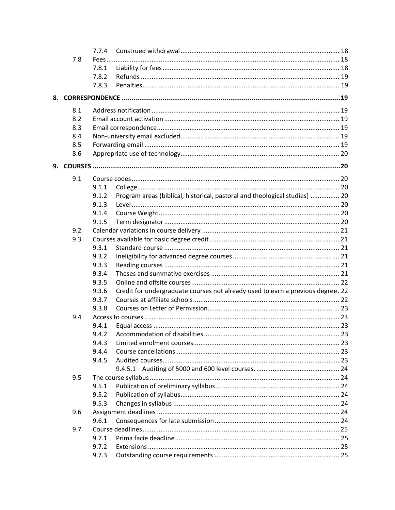|    |     | 7.7.4 |                                                                                 |  |
|----|-----|-------|---------------------------------------------------------------------------------|--|
|    | 7.8 | Fees  |                                                                                 |  |
|    |     | 7.8.1 |                                                                                 |  |
|    |     | 7.8.2 |                                                                                 |  |
|    |     | 7.8.3 |                                                                                 |  |
| 8. |     |       |                                                                                 |  |
|    | 8.1 |       |                                                                                 |  |
|    | 8.2 |       |                                                                                 |  |
|    | 8.3 |       |                                                                                 |  |
|    | 8.4 |       |                                                                                 |  |
|    | 8.5 |       |                                                                                 |  |
|    | 8.6 |       |                                                                                 |  |
|    |     |       |                                                                                 |  |
|    | 9.1 |       |                                                                                 |  |
|    |     | 9.1.1 |                                                                                 |  |
|    |     | 9.1.2 | Program areas (biblical, historical, pastoral and theological studies)  20      |  |
|    |     | 9.1.3 |                                                                                 |  |
|    |     | 9.1.4 |                                                                                 |  |
|    |     | 9.1.5 |                                                                                 |  |
|    | 9.2 |       |                                                                                 |  |
|    | 9.3 |       |                                                                                 |  |
|    |     | 9.3.1 |                                                                                 |  |
|    |     | 9.3.2 |                                                                                 |  |
|    |     | 9.3.3 |                                                                                 |  |
|    |     | 9.3.4 |                                                                                 |  |
|    |     | 9.3.5 |                                                                                 |  |
|    |     | 9.3.6 | Credit for undergraduate courses not already used to earn a previous degree. 22 |  |
|    |     | 9.3.7 |                                                                                 |  |
|    |     | 9.3.8 |                                                                                 |  |
|    | 9.4 |       |                                                                                 |  |
|    |     | 9.4.1 |                                                                                 |  |
|    |     | 9.4.2 |                                                                                 |  |
|    |     | 9.4.3 |                                                                                 |  |
|    |     | 9.4.4 |                                                                                 |  |
|    |     | 9.4.5 |                                                                                 |  |
|    | 9.5 |       |                                                                                 |  |
|    |     | 9.5.1 |                                                                                 |  |
|    |     | 9.5.2 |                                                                                 |  |
|    |     | 9.5.3 |                                                                                 |  |
|    | 9.6 |       |                                                                                 |  |
|    |     | 9.6.1 |                                                                                 |  |
|    | 9.7 |       |                                                                                 |  |
|    |     | 9.7.1 |                                                                                 |  |
|    |     | 9.7.2 |                                                                                 |  |
|    |     | 9.7.3 |                                                                                 |  |
|    |     |       |                                                                                 |  |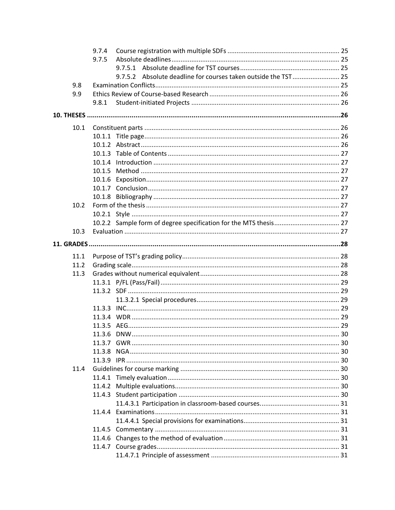|      | 9.7.4 |  |                                                                |  |
|------|-------|--|----------------------------------------------------------------|--|
|      | 9.7.5 |  |                                                                |  |
|      |       |  |                                                                |  |
|      |       |  | 9.7.5.2 Absolute deadline for courses taken outside the TST 25 |  |
| 9.8  |       |  |                                                                |  |
| 9.9  |       |  |                                                                |  |
|      | 9.8.1 |  |                                                                |  |
|      |       |  |                                                                |  |
| 10.1 |       |  |                                                                |  |
|      |       |  |                                                                |  |
|      |       |  |                                                                |  |
|      |       |  |                                                                |  |
|      |       |  |                                                                |  |
|      |       |  |                                                                |  |
|      |       |  |                                                                |  |
|      |       |  |                                                                |  |
|      |       |  |                                                                |  |
|      |       |  |                                                                |  |
| 10.2 |       |  |                                                                |  |
|      |       |  |                                                                |  |
|      |       |  |                                                                |  |
| 10.3 |       |  |                                                                |  |
|      |       |  |                                                                |  |
| 11.1 |       |  |                                                                |  |
| 11.2 |       |  |                                                                |  |
| 11.3 |       |  |                                                                |  |
|      |       |  |                                                                |  |
|      |       |  |                                                                |  |
|      |       |  |                                                                |  |
|      |       |  |                                                                |  |
|      |       |  |                                                                |  |
|      |       |  |                                                                |  |
|      |       |  |                                                                |  |
|      |       |  |                                                                |  |
|      |       |  |                                                                |  |
|      |       |  |                                                                |  |
| 11.4 |       |  |                                                                |  |
|      |       |  |                                                                |  |
|      |       |  |                                                                |  |
|      |       |  |                                                                |  |
|      |       |  |                                                                |  |
|      |       |  |                                                                |  |
|      |       |  |                                                                |  |
|      |       |  |                                                                |  |
|      |       |  |                                                                |  |
|      |       |  |                                                                |  |
|      |       |  |                                                                |  |
|      |       |  |                                                                |  |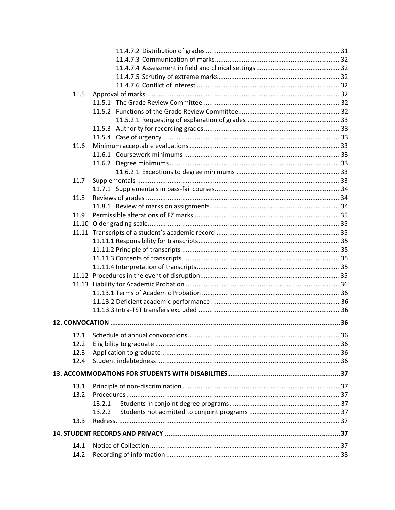| 11.5 |        |  |
|------|--------|--|
|      |        |  |
|      |        |  |
|      |        |  |
|      |        |  |
|      |        |  |
| 11.6 |        |  |
|      |        |  |
|      |        |  |
|      |        |  |
| 11.7 |        |  |
|      |        |  |
| 11.8 |        |  |
|      |        |  |
| 11.9 |        |  |
|      |        |  |
|      |        |  |
|      |        |  |
|      |        |  |
|      |        |  |
|      |        |  |
|      |        |  |
|      |        |  |
|      |        |  |
|      |        |  |
|      |        |  |
|      |        |  |
|      |        |  |
|      |        |  |
| 12.2 |        |  |
| 12.3 |        |  |
| 12.4 |        |  |
|      |        |  |
| 13.1 |        |  |
| 13.2 |        |  |
|      | 13.2.1 |  |
|      | 13.2.2 |  |
| 13.3 |        |  |
|      |        |  |
| 14.1 |        |  |
|      |        |  |
| 14.2 |        |  |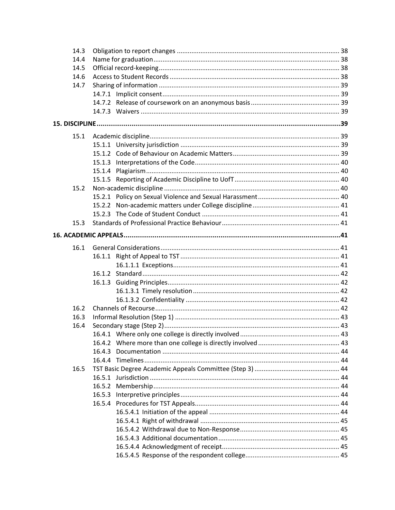| 14.3 |  |  |  |  |
|------|--|--|--|--|
| 14.4 |  |  |  |  |
| 14.5 |  |  |  |  |
| 14.6 |  |  |  |  |
| 14.7 |  |  |  |  |
|      |  |  |  |  |
|      |  |  |  |  |
|      |  |  |  |  |
|      |  |  |  |  |
| 15.1 |  |  |  |  |
|      |  |  |  |  |
|      |  |  |  |  |
|      |  |  |  |  |
|      |  |  |  |  |
|      |  |  |  |  |
| 15.2 |  |  |  |  |
|      |  |  |  |  |
|      |  |  |  |  |
|      |  |  |  |  |
| 15.3 |  |  |  |  |
|      |  |  |  |  |
| 16.1 |  |  |  |  |
|      |  |  |  |  |
|      |  |  |  |  |
|      |  |  |  |  |
|      |  |  |  |  |
|      |  |  |  |  |
|      |  |  |  |  |
| 16.2 |  |  |  |  |
| 16.3 |  |  |  |  |
| 16.4 |  |  |  |  |
|      |  |  |  |  |
|      |  |  |  |  |
|      |  |  |  |  |
|      |  |  |  |  |
| 16.5 |  |  |  |  |
|      |  |  |  |  |
|      |  |  |  |  |
|      |  |  |  |  |
|      |  |  |  |  |
|      |  |  |  |  |
|      |  |  |  |  |
|      |  |  |  |  |
|      |  |  |  |  |
|      |  |  |  |  |
|      |  |  |  |  |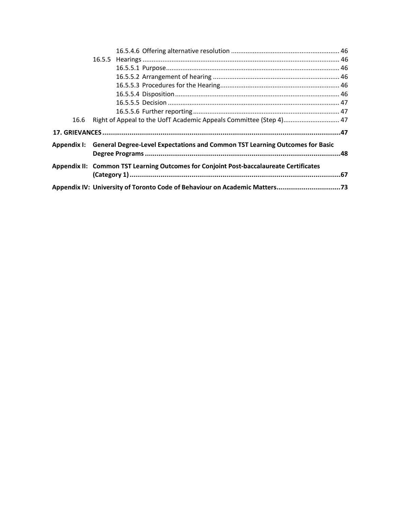| 16.6 | Right of Appeal to the UofT Academic Appeals Committee (Step 4) 47                       |  |
|------|------------------------------------------------------------------------------------------|--|
|      |                                                                                          |  |
|      | Appendix I: General Degree-Level Expectations and Common TST Learning Outcomes for Basic |  |
|      | Appendix II: Common TST Learning Outcomes for Conjoint Post-baccalaureate Certificates   |  |
|      |                                                                                          |  |
|      |                                                                                          |  |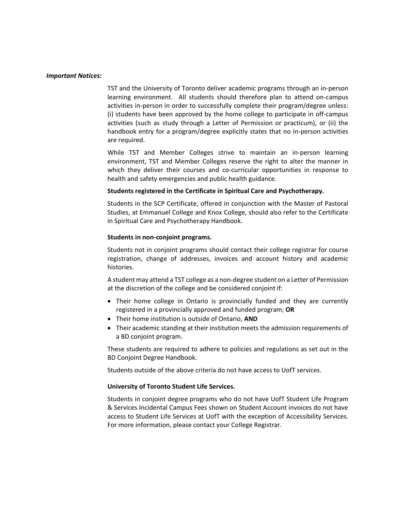#### *Important Notices:*

TST and the University of Toronto deliver academic programs through an in-person learning environment. All students should therefore plan to attend on-campus activities in-person in order to successfully complete their program/degree unless: (i) students have been approved by the home college to participate in off-campus activities (such as study through a Letter of Permission or practicum), or (ii) the handbook entry for a program/degree explicitly states that no in-person activities are required.

While TST and Member Colleges strive to maintain an in-person learning environment, TST and Member Colleges reserve the right to alter the manner in which they deliver their courses and co-curricular opportunities in response to health and safety emergencies and public health guidance.

#### **Students registered in the Certificate in Spiritual Care and Psychotherapy.**

Students in the SCP Certificate, offered in conjunction with the Master of Pastoral Studies, at Emmanuel College and Knox College, should also refer to the Certificate in Spiritual Care and Psychotherapy Handbook.

#### **Students in non-conjoint programs.**

Students not in conjoint programs should contact their college registrar for course registration, change of addresses, invoices and account history and academic histories.

A student may attend a TST college as a non-degree student on a Letter of Permission at the discretion of the college and be considered conjoint if:

- Their home college in Ontario is provincially funded and they are currently registered in a provincially approved and funded program; **OR**
- Their home institution is outside of Ontario, **AND**
- Their academic standing at their institution meets the admission requirements of a BD conjoint program.

These students are required to adhere to policies and regulations as set out in the BD Conjoint Degree Handbook.

Students outside of the above criteria do not have access to UofT services.

#### **University of Toronto Student Life Services.**

Students in conjoint degree programs who do not have UofT Student Life Program & Services Incidental Campus Fees shown on Student Account invoices do not have access to Student Life Services at UofT with the exception of Accessibility Services. For more information, please contact your College Registrar.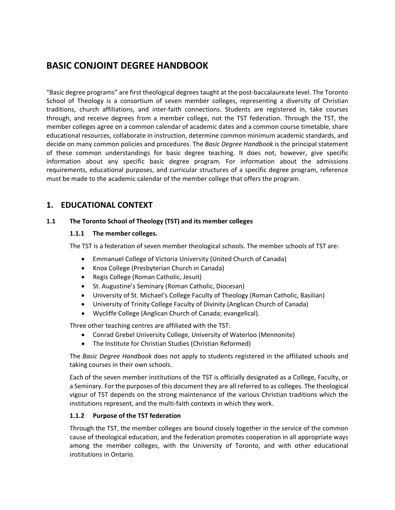## <span id="page-12-0"></span>**BASIC CONJOINT DEGREE HANDBOOK**

"Basic degree programs" are first theological degrees taught at the post-baccalaureate level. The Toronto School of Theology is a consortium of seven member colleges, representing a diversity of Christian traditions, church affiliations, and inter-faith connections. Students are registered in, take courses through, and receive degrees from a member college, not the TST federation. Through the TST, the member colleges agree on a common calendar of academic dates and a common course timetable, share educational resources, collaborate in instruction, determine common minimum academic standards, and decide on many common policies and procedures. The *Basic Degree Handbook* is the principal statement of these common understandings for basic degree teaching. It does not, however, give specific information about any specific basic degree program. For information about the admissions requirements, educational purposes, and curricular structures of a specific degree program, reference must be made to the academic calendar of the member college that offers the program.

## <span id="page-12-1"></span>**1. EDUCATIONAL CONTEXT**

#### <span id="page-12-3"></span><span id="page-12-2"></span>**1.1 The Toronto School of Theology (TST) and its member colleges**

#### **1.1.1 The member colleges.**

The TST is a federation of seven member theological schools. The member schools of TST are:

- Emmanuel College of Victoria University (United Church of Canada)
- Knox College (Presbyterian Church in Canada)
- Regis College (Roman Catholic, Jesuit)
- St. Augustine's Seminary (Roman Catholic, Diocesan)
- University of St. Michael's College Faculty of Theology (Roman Catholic, Basilian)
- University of Trinity College Faculty of Divinity (Anglican Church of Canada)
- Wycliffe College (Anglican Church of Canada; evangelical).

Three other teaching centres are affiliated with the TST:

- Conrad Grebel University College, University of Waterloo (Mennonite)
- The Institute for Christian Studies (Christian Reformed)

The *Basic Degree Handbook* does not apply to students registered in the affiliated schools and taking courses in their own schools.

Each of the seven member institutions of the TST is officially designated as a College, Faculty, or a Seminary. For the purposes of this document they are all referred to as colleges. The theological vigour of TST depends on the strong maintenance of the various Christian traditions which the institutions represent, and the multi-faith contexts in which they work.

#### <span id="page-12-4"></span>**1.1.2 Purpose of the TST federation**

Through the TST, the member colleges are bound closely together in the service of the common cause of theological education, and the federation promotes cooperation in all appropriate ways among the member colleges, with the University of Toronto, and with other educational institutions in Ontario.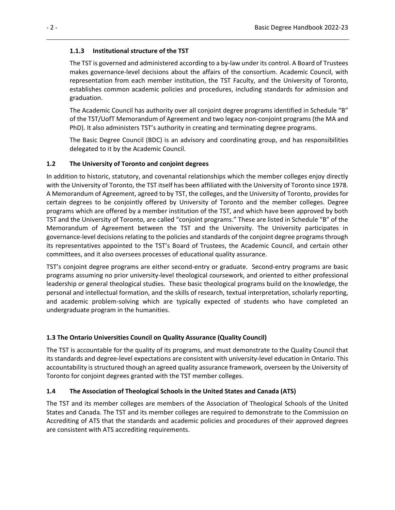#### <span id="page-13-0"></span>**1.1.3 Institutional structure of the TST**

The TST is governed and administered according to a by-law under its control. A Board of Trustees makes governance-level decisions about the affairs of the consortium. Academic Council, with representation from each member institution, the TST Faculty, and the University of Toronto, establishes common academic policies and procedures, including standards for admission and graduation.

The Academic Council has authority over all conjoint degree programs identified in Schedule "B" of the TST/UofT Memorandum of Agreement and two legacy non-conjoint programs (the MA and PhD). It also administers TST's authority in creating and terminating degree programs.

The Basic Degree Council (BDC) is an advisory and coordinating group, and has responsibilities delegated to it by the Academic Council.

#### <span id="page-13-1"></span>**1.2 The University of Toronto and conjoint degrees**

In addition to historic, statutory, and covenantal relationships which the member colleges enjoy directly with the University of Toronto, the TST itself has been affiliated with the University of Toronto since 1978. A Memorandum of Agreement, agreed to by TST, the colleges, and the University of Toronto, provides for certain degrees to be conjointly offered by University of Toronto and the member colleges. Degree programs which are offered by a member institution of the TST, and which have been approved by both TST and the University of Toronto, are called "conjoint programs." These are listed in Schedule "B" of the Memorandum of Agreement between the TST and the University. The University participates in governance-level decisions relating to the policies and standards of the conjoint degree programs through its representatives appointed to the TST's Board of Trustees, the Academic Council, and certain other committees, and it also oversees processes of educational quality assurance.

TST's conjoint degree programs are either second-entry or graduate. Second-entry programs are basic programs assuming no prior university-level theological coursework, and oriented to either professional leadership or general theological studies. These basic theological programs build on the knowledge, the personal and intellectual formation, and the skills of research, textual interpretation, scholarly reporting, and academic problem-solving which are typically expected of students who have completed an undergraduate program in the humanities.

#### <span id="page-13-2"></span>**1.3 The Ontario Universities Council on Quality Assurance (Quality Council)**

The TST is accountable for the quality of its programs, and must demonstrate to the Quality Council that its standards and degree-level expectations are consistent with university-level education in Ontario. This accountability is structured though an agreed quality assurance framework, overseen by the University of Toronto for conjoint degrees granted with the TST member colleges.

#### <span id="page-13-3"></span>**1.4 The Association of Theological Schools in the United States and Canada (ATS)**

The TST and its member colleges are members of the Association of Theological Schools of the United States and Canada. The TST and its member colleges are required to demonstrate to the Commission on Accrediting of ATS that the standards and academic policies and procedures of their approved degrees are consistent with ATS accrediting requirements.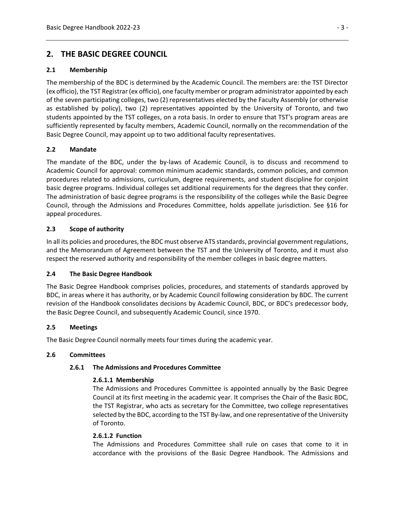## <span id="page-14-0"></span>**2. THE BASIC DEGREE COUNCIL**

#### <span id="page-14-1"></span>**2.1 Membership**

The membership of the BDC is determined by the Academic Council. The members are: the TST Director (ex officio), the TST Registrar (ex officio), one faculty member or program administrator appointed by each of the seven participating colleges, two (2) representatives elected by the Faculty Assembly (or otherwise as established by policy), two (2) representatives appointed by the University of Toronto, and two students appointed by the TST colleges, on a rota basis. In order to ensure that TST's program areas are sufficiently represented by faculty members, Academic Council, normally on the recommendation of the Basic Degree Council, may appoint up to two additional faculty representatives.

#### <span id="page-14-2"></span>**2.2 Mandate**

The mandate of the BDC, under the by-laws of Academic Council, is to discuss and recommend to Academic Council for approval: common minimum academic standards, common policies, and common procedures related to admissions, curriculum, degree requirements, and student discipline for conjoint basic degree programs. Individual colleges set additional requirements for the degrees that they confer. The administration of basic degree programs is the responsibility of the colleges while the Basic Degree Council, through the Admissions and Procedures Committee, holds appellate jurisdiction. See §16 for appeal procedures.

#### <span id="page-14-3"></span>**2.3 Scope of authority**

In all its policies and procedures, the BDC must observe ATS standards, provincial government regulations, and the Memorandum of Agreement between the TST and the University of Toronto, and it must also respect the reserved authority and responsibility of the member colleges in basic degree matters.

#### <span id="page-14-4"></span>**2.4 The Basic Degree Handbook**

The Basic Degree Handbook comprises policies, procedures, and statements of standards approved by BDC, in areas where it has authority, or by Academic Council following consideration by BDC. The current revision of the Handbook consolidates decisions by Academic Council, BDC, or BDC's predecessor body, the Basic Degree Council, and subsequently Academic Council, since 1970.

#### <span id="page-14-5"></span>**2.5 Meetings**

The Basic Degree Council normally meets four times during the academic year.

#### <span id="page-14-8"></span><span id="page-14-7"></span><span id="page-14-6"></span>**2.6 Committees**

#### **2.6.1 The Admissions and Procedures Committee**

#### **2.6.1.1 Membership**

The Admissions and Procedures Committee is appointed annually by the Basic Degree Council at its first meeting in the academic year. It comprises the Chair of the Basic BDC, the TST Registrar, who acts as secretary for the Committee, two college representatives selected by the BDC, according to the TST By-law, and one representative of the University of Toronto.

#### <span id="page-14-9"></span>**2.6.1.2 Function**

The Admissions and Procedures Committee shall rule on cases that come to it in accordance with the provisions of the Basic Degree Handbook. The Admissions and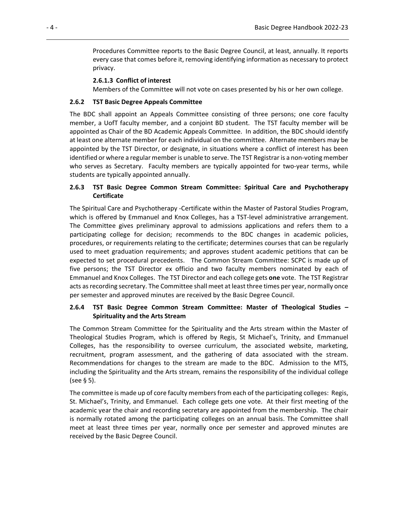Procedures Committee reports to the Basic Degree Council, at least, annually. It reports every case that comes before it, removing identifying information as necessary to protect privacy.

#### **2.6.1.3 Conflict of interest**

Members of the Committee will not vote on cases presented by his or her own college.

#### <span id="page-15-1"></span><span id="page-15-0"></span>**2.6.2 TST Basic Degree Appeals Committee**

The BDC shall appoint an Appeals Committee consisting of three persons; one core faculty member, a UofT faculty member, and a conjoint BD student. The TST faculty member will be appointed as Chair of the BD Academic Appeals Committee. In addition, the BDC should identify at least one alternate member for each individual on the committee. Alternate members may be appointed by the TST Director, or designate, in situations where a conflict of interest has been identified or where a regular member is unable to serve. The TST Registrar is a non-voting member who serves as Secretary. Faculty members are typically appointed for two-year terms, while students are typically appointed annually.

#### <span id="page-15-2"></span>**2.6.3 TST Basic Degree Common Stream Committee: Spiritual Care and Psychotherapy Certificate**

The Spiritual Care and Psychotherapy -Certificate within the Master of Pastoral Studies Program, which is offered by Emmanuel and Knox Colleges, has a TST-level administrative arrangement. The Committee gives preliminary approval to admissions applications and refers them to a participating college for decision; recommends to the BDC changes in academic policies, procedures, or requirements relating to the certificate; determines courses that can be regularly used to meet graduation requirements; and approves student academic petitions that can be expected to set procedural precedents. The Common Stream Committee: SCPC is made up of five persons; the TST Director ex officio and two faculty members nominated by each of Emmanuel and Knox Colleges. The TST Director and each college gets **one** vote. The TST Registrar acts as recording secretary. The Committee shall meet at least three times per year, normally once per semester and approved minutes are received by the Basic Degree Council.

#### <span id="page-15-3"></span>**2.6.4 TST Basic Degree Common Stream Committee: Master of Theological Studies – Spirituality and the Arts Stream**

The Common Stream Committee for the Spirituality and the Arts stream within the Master of Theological Studies Program, which is offered by Regis, St Michael's, Trinity, and Emmanuel Colleges, has the responsibility to oversee curriculum, the associated website, marketing, recruitment, program assessment, and the gathering of data associated with the stream. Recommendations for changes to the stream are made to the BDC. Admission to the MTS, including the Spirituality and the Arts stream, remains the responsibility of the individual college (see § 5).

The committee is made up of core faculty members from each of the participating colleges: Regis, St. Michael's, Trinity, and Emmanuel. Each college gets one vote. At their first meeting of the academic year the chair and recording secretary are appointed from the membership. The chair is normally rotated among the participating colleges on an annual basis. The Committee shall meet at least three times per year, normally once per semester and approved minutes are received by the Basic Degree Council.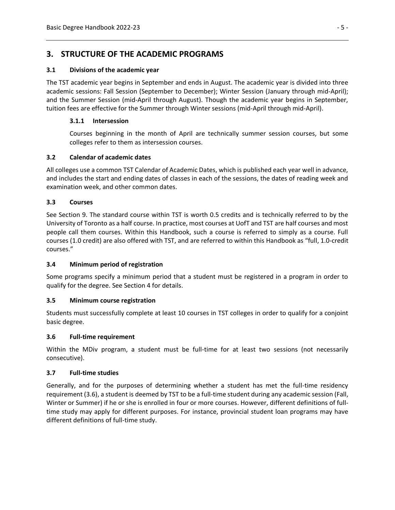## <span id="page-16-0"></span>**3. STRUCTURE OF THE ACADEMIC PROGRAMS**

#### <span id="page-16-1"></span>**3.1 Divisions of the academic year**

The TST academic year begins in September and ends in August. The academic year is divided into three academic sessions: Fall Session (September to December); Winter Session (January through mid-April); and the Summer Session (mid-April through August). Though the academic year begins in September, tuition fees are effective for the Summer through Winter sessions (mid-April through mid-April).

#### <span id="page-16-2"></span>**3.1.1 Intersession**

Courses beginning in the month of April are technically summer session courses, but some colleges refer to them as intersession courses.

#### <span id="page-16-3"></span>**3.2 Calendar of academic dates**

All colleges use a common TST Calendar of Academic Dates, which is published each year well in advance, and includes the start and ending dates of classes in each of the sessions, the dates of reading week and examination week, and other common dates.

#### <span id="page-16-4"></span>**3.3 Courses**

See Section 9. The standard course within TST is worth 0.5 credits and is technically referred to by the University of Toronto as a half course. In practice, most courses at UofT and TST are half courses and most people call them courses. Within this Handbook, such a course is referred to simply as a course. Full courses (1.0 credit) are also offered with TST, and are referred to within this Handbook as "full, 1.0-credit courses."

#### <span id="page-16-5"></span>**3.4 Minimum period of registration**

Some programs specify a minimum period that a student must be registered in a program in order to qualify for the degree. See Section 4 for details.

#### <span id="page-16-6"></span>**3.5 Minimum course registration**

Students must successfully complete at least 10 courses in TST colleges in order to qualify for a conjoint basic degree.

#### <span id="page-16-7"></span>**3.6 Full-time requirement**

Within the MDiv program, a student must be full-time for at least two sessions (not necessarily consecutive).

#### <span id="page-16-8"></span>**3.7 Full-time studies**

Generally, and for the purposes of determining whether a student has met the full-time residency requirement (3.6), a student is deemed by TST to be a full-time student during any academic session (Fall, Winter or Summer) if he or she is enrolled in four or more courses. However, different definitions of fulltime study may apply for different purposes. For instance, provincial student loan programs may have different definitions of full-time study.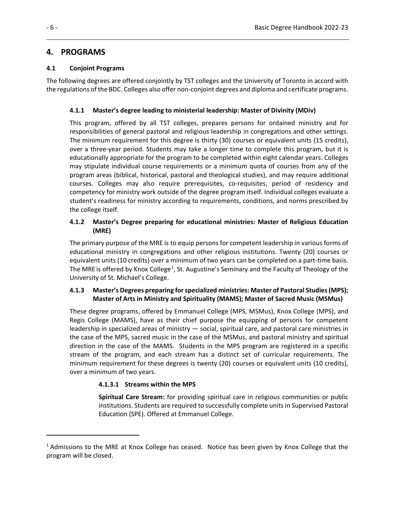## <span id="page-17-0"></span>**4. PROGRAMS**

#### <span id="page-17-1"></span>**4.1 Conjoint Programs**

The following degrees are offered conjointly by TST colleges and the University of Toronto in accord with the regulations of the BDC. Colleges also offer non-conjoint degrees and diploma and certificate programs.

#### <span id="page-17-2"></span>**4.1.1 Master's degree leading to ministerial leadership: Master of Divinity (MDiv)**

This program, offered by all TST colleges, prepares persons for ordained ministry and for responsibilities of general pastoral and religious leadership in congregations and other settings. The minimum requirement for this degree is thirty (30) courses or equivalent units (15 credits), over a three-year period. Students may take a longer time to complete this program, but it is educationally appropriate for the program to be completed within eight calendar years. Colleges may stipulate individual course requirements or a minimum quota of courses from any of the program areas (biblical, historical, pastoral and theological studies), and may require additional courses. Colleges may also require prerequisites, co-requisites, period of residency and competency for ministry work outside of the degree program itself. Individual colleges evaluate a student's readiness for ministry according to requirements, conditions, and norms prescribed by the college itself.

#### <span id="page-17-3"></span>**4.1.2 Master's Degree preparing for educational ministries: Master of Religious Education (MRE)**

The primary purpose of the MRE is to equip persons for competent leadership in various forms of educational ministry in congregations and other religious institutions. Twenty (20) courses or equivalent units (10 credits) over a minimum of two years can be completed on a part-time basis. The MRE is offered by Knox College<sup>[1](#page-17-5)</sup>, St. Augustine's Seminary and the Faculty of Theology of the University of St. Michael's College.

#### <span id="page-17-4"></span>**4.1.3 Master's Degrees preparing for specialized ministries: Master of Pastoral Studies (MPS); Master of Arts in Ministry and Spirituality (MAMS); Master of Sacred Music (MSMus)**

These degree programs, offered by Emmanuel College (MPS, MSMus), Knox College (MPS), and Regis College (MAMS), have as their chief purpose the equipping of persons for competent leadership in specialized areas of ministry — social, spiritual care, and pastoral care ministries in the case of the MPS, sacred music in the case of the MSMus, and pastoral ministry and spiritual direction in the case of the MAMS. Students in the MPS program are registered in a specific stream of the program, and each stream has a distinct set of curricular requirements. The minimum requirement for these degrees is twenty (20) courses or equivalent units (10 credits), over a minimum of two years.

#### **4.1.3.1 Streams within the MPS**

**Spiritual Care Stream:** for providing spiritual care in religious communities or public institutions. Students are required to successfully complete units in Supervised Pastoral Education (SPE). Offered at Emmanuel College.

<span id="page-17-5"></span><sup>&</sup>lt;sup>1</sup> Admissions to the MRE at Knox College has ceased. Notice has been given by Knox College that the program will be closed.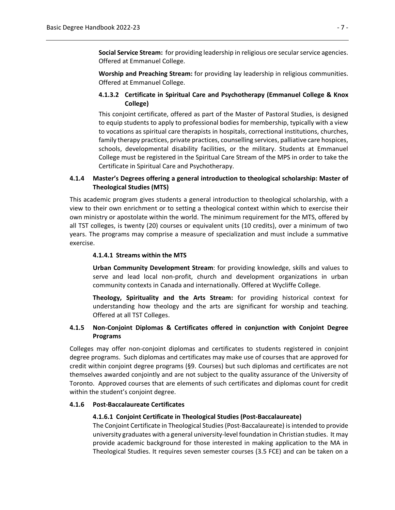**Social Service Stream:** for providing leadership in religious ore secular service agencies. Offered at Emmanuel College.

**Worship and Preaching Stream:** for providing lay leadership in religious communities. Offered at Emmanuel College.

#### <span id="page-18-0"></span>**4.1.3.2 Certificate in Spiritual Care and Psychotherapy (Emmanuel College & Knox College)**

This conjoint certificate, offered as part of the Master of Pastoral Studies, is designed to equip students to apply to professional bodies for membership, typically with a view to vocations as spiritual care therapists in hospitals, correctional institutions, churches, family therapy practices, private practices, counselling services, palliative care hospices, schools, developmental disability facilities, or the military. Students at Emmanuel College must be registered in the Spiritual Care Stream of the MPS in order to take the Certificate in Spiritual Care and Psychotherapy.

#### <span id="page-18-1"></span>**4.1.4 Master's Degrees offering a general introduction to theological scholarship: Master of Theological Studies (MTS)**

This academic program gives students a general introduction to theological scholarship, with a view to their own enrichment or to setting a theological context within which to exercise their own ministry or apostolate within the world. The minimum requirement for the MTS, offered by all TST colleges, is twenty (20) courses or equivalent units (10 credits), over a minimum of two years. The programs may comprise a measure of specialization and must include a summative exercise.

#### **4.1.4.1 Streams within the MTS**

**Urban Community Development Stream**: for providing knowledge, skills and values to serve and lead local non-profit, church and development organizations in urban community contexts in Canada and internationally. Offered at Wycliffe College.

**Theology, Spirituality and the Arts Stream:** for providing historical context for understanding how theology and the arts are significant for worship and teaching. Offered at all TST Colleges.

#### <span id="page-18-2"></span>**4.1.5 Non-Conjoint Diplomas & Certificates offered in conjunction with Conjoint Degree Programs**

Colleges may offer non-conjoint diplomas and certificates to students registered in conjoint degree programs. Such diplomas and certificates may make use of courses that are approved for credit within conjoint degree programs (§9. Courses) but such diplomas and certificates are not themselves awarded conjointly and are not subject to the quality assurance of the University of Toronto. Approved courses that are elements of such certificates and diplomas count for credit within the student's conjoint degree.

#### <span id="page-18-4"></span><span id="page-18-3"></span>**4.1.6 Post-Baccalaureate Certificates**

#### **4.1.6.1 Conjoint Certificate in Theological Studies (Post-Baccalaureate)**

The Conjoint Certificate in Theological Studies (Post-Baccalaureate) is intended to provide university graduates with a general university-level foundation in Christian studies. It may provide academic background for those interested in making application to the MA in Theological Studies. It requires seven semester courses (3.5 FCE) and can be taken on a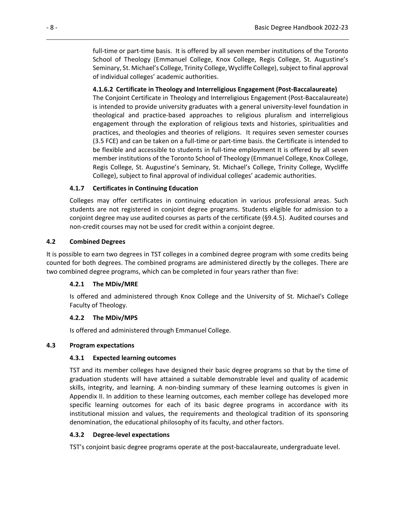full-time or part-time basis. It is offered by all seven member institutions of the Toronto School of Theology (Emmanuel College, Knox College, Regis College, St. Augustine's Seminary, St. Michael's College, Trinity College, Wycliffe College), subject to final approval of individual colleges' academic authorities.

#### <span id="page-19-0"></span>**4.1.6.2 Certificate in Theology and Interreligious Engagement (Post-Baccalaureate)**

The Conjoint Certificate in Theology and Interreligious Engagement (Post-Baccalaureate) is intended to provide university graduates with a general university-level foundation in theological and practice-based approaches to religious pluralism and interreligious engagement through the exploration of religious texts and histories, spiritualities and practices, and theologies and theories of religions. It requires seven semester courses (3.5 FCE) and can be taken on a full-time or part-time basis. the Certificate is intended to be flexible and accessible to students in full-time employment It is offered by all seven member institutions of the Toronto School of Theology (Emmanuel College, Knox College, Regis College, St. Augustine's Seminary, St. Michael's College, Trinity College, Wycliffe College), subject to final approval of individual colleges' academic authorities.

#### <span id="page-19-1"></span>**4.1.7 Certificates in Continuing Education**

Colleges may offer certificates in continuing education in various professional areas. Such students are not registered in conjoint degree programs. Students eligible for admission to a conjoint degree may use audited courses as parts of the certificate (§9.4.5). Audited courses and non-credit courses may not be used for credit within a conjoint degree.

#### <span id="page-19-2"></span>**4.2 Combined Degrees**

It is possible to earn two degrees in TST colleges in a combined degree program with some credits being counted for both degrees. The combined programs are administered directly by the colleges. There are two combined degree programs, which can be completed in four years rather than five:

#### <span id="page-19-3"></span>**4.2.1 The MDiv/MRE**

Is offered and administered through Knox College and the University of St. Michael's College Faculty of Theology.

#### <span id="page-19-4"></span>**4.2.2 The MDiv/MPS**

Is offered and administered through Emmanuel College.

#### <span id="page-19-6"></span><span id="page-19-5"></span>**4.3 Program expectations**

#### **4.3.1 Expected learning outcomes**

TST and its member colleges have designed their basic degree programs so that by the time of graduation students will have attained a suitable demonstrable level and quality of academic skills, integrity, and learning. A non-binding summary of these learning outcomes is given in Appendix II. In addition to these learning outcomes, each member college has developed more specific learning outcomes for each of its basic degree programs in accordance with its institutional mission and values, the requirements and theological tradition of its sponsoring denomination, the educational philosophy of its faculty, and other factors.

#### <span id="page-19-7"></span>**4.3.2 Degree-level expectations**

TST's conjoint basic degree programs operate at the post-baccalaureate, undergraduate level.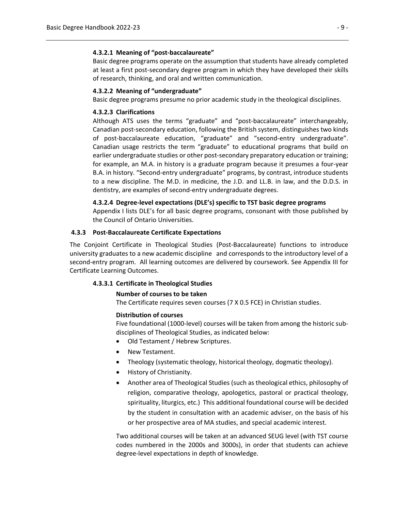#### <span id="page-20-0"></span>**4.3.2.1 Meaning of "post-baccalaureate"**

Basic degree programs operate on the assumption that students have already completed at least a first post-secondary degree program in which they have developed their skills of research, thinking, and oral and written communication.

#### <span id="page-20-1"></span>**4.3.2.2 Meaning of "undergraduate"**

Basic degree programs presume no prior academic study in the theological disciplines.

#### <span id="page-20-2"></span>**4.3.2.3 Clarifications**

Although ATS uses the terms "graduate" and "post-baccalaureate" interchangeably, Canadian post-secondary education, following the British system, distinguishes two kinds of post-baccalaureate education, "graduate" and "second-entry undergraduate". Canadian usage restricts the term "graduate" to educational programs that build on earlier undergraduate studies or other post-secondary preparatory education or training; for example, an M.A. in history is a graduate program because it presumes a four-year B.A. in history. "Second-entry undergraduate" programs, by contrast, introduce students to a new discipline. The M.D. in medicine, the J.D. and LL.B. in law, and the D.D.S. in dentistry, are examples of second-entry undergraduate degrees.

#### **4.3.2.4 Degree-level expectations (DLE's) specific to TST basic degree programs**

Appendix I lists DLE's for all basic degree programs, consonant with those published by the Council of Ontario Universities.

#### <span id="page-20-4"></span><span id="page-20-3"></span>**4.3.3 Post-Baccalaureate Certificate Expectations**

<span id="page-20-5"></span>The Conjoint Certificate in Theological Studies (Post-Baccalaureate) functions to introduce university graduates to a new academic discipline and corresponds to the introductory level of a second-entry program. All learning outcomes are delivered by coursework. See Appendix III for Certificate Learning Outcomes.

#### <span id="page-20-7"></span><span id="page-20-6"></span>**4.3.3.1 Certificate in Theological Studies**

#### **Number of courses to be taken**

The Certificate requires seven courses (7 X 0.5 FCE) in Christian studies.

#### **Distribution of courses**

Five foundational (1000-level) courses will be taken from among the historic subdisciplines of Theological Studies, as indicated below:

- Old Testament / Hebrew Scriptures.
- New Testament.
- Theology (systematic theology, historical theology, dogmatic theology).
- History of Christianity.
- Another area of Theological Studies (such as theological ethics, philosophy of religion, comparative theology, apologetics, pastoral or practical theology, spirituality, liturgics, etc.) This additional foundational course will be decided by the student in consultation with an academic adviser, on the basis of his or her prospective area of MA studies, and special academic interest.

Two additional courses will be taken at an advanced SEUG level (with TST course codes numbered in the 2000s and 3000s), in order that students can achieve degree-level expectations in depth of knowledge.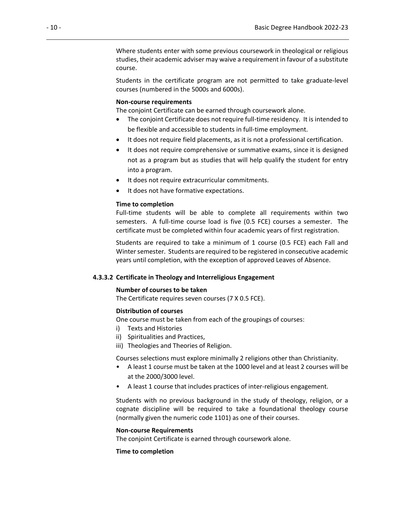Where students enter with some previous coursework in theological or religious studies, their academic adviser may waive a requirement in favour of a substitute course.

Students in the certificate program are not permitted to take graduate-level courses (numbered in the 5000s and 6000s).

#### <span id="page-21-0"></span>**Non-course requirements**

The conjoint Certificate can be earned through coursework alone.

- The conjoint Certificate does not require full-time residency. It is intended to be flexible and accessible to students in full-time employment.
- It does not require field placements, as it is not a professional certification.
- It does not require comprehensive or summative exams, since it is designed not as a program but as studies that will help qualify the student for entry into a program.
- It does not require extracurricular commitments.
- It does not have formative expectations.

#### <span id="page-21-1"></span>**Time to completion**

Full-time students will be able to complete all requirements within two semesters. A full-time course load is five (0.5 FCE) courses a semester. The certificate must be completed within four academic years of first registration.

Students are required to take a minimum of 1 course (0.5 FCE) each Fall and Winter semester. Students are required to be registered in consecutive academic years until completion, with the exception of approved Leaves of Absence.

#### <span id="page-21-2"></span>**4.3.3.2 Certificate in Theology and Interreligious Engagement**

#### **Number of courses to be taken**

The Certificate requires seven courses (7 X 0.5 FCE).

#### **Distribution of courses**

One course must be taken from each of the groupings of courses:

- i) Texts and Histories
- ii) Spiritualities and Practices,
- iii) Theologies and Theories of Religion.

Courses selections must explore minimally 2 religions other than Christianity.

- A least 1 course must be taken at the 1000 level and at least 2 courses will be at the 2000/3000 level.
- A least 1 course that includes practices of inter-religious engagement.

Students with no previous background in the study of theology, religion, or a cognate discipline will be required to take a foundational theology course (normally given the numeric code 1101) as one of their courses.

#### **Non-course Requirements**

The conjoint Certificate is earned through coursework alone.

#### **Time to completion**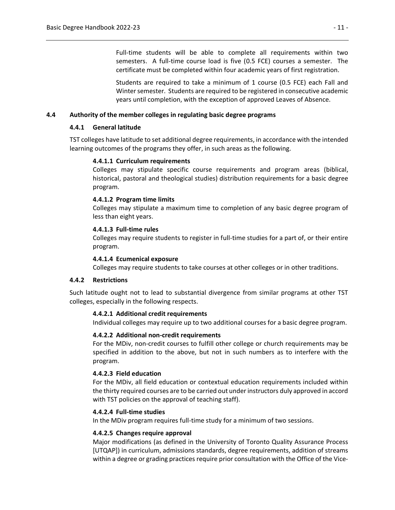Full-time students will be able to complete all requirements within two semesters. A full-time course load is five (0.5 FCE) courses a semester. The certificate must be completed within four academic years of first registration.

Students are required to take a minimum of 1 course (0.5 FCE) each Fall and Winter semester. Students are required to be registered in consecutive academic years until completion, with the exception of approved Leaves of Absence.

#### <span id="page-22-1"></span><span id="page-22-0"></span>**4.4 Authority of the member colleges in regulating basic degree programs**

#### **4.4.1 General latitude**

<span id="page-22-2"></span>TST colleges have latitude to set additional degree requirements, in accordance with the intended learning outcomes of the programs they offer, in such areas as the following.

#### **4.4.1.1 Curriculum requirements**

Colleges may stipulate specific course requirements and program areas (biblical, historical, pastoral and theological studies) distribution requirements for a basic degree program.

#### <span id="page-22-3"></span>**4.4.1.2 Program time limits**

Colleges may stipulate a maximum time to completion of any basic degree program of less than eight years.

#### <span id="page-22-4"></span>**4.4.1.3 Full-time rules**

Colleges may require students to register in full-time studies for a part of, or their entire program.

#### **4.4.1.4 Ecumenical exposure**

Colleges may require students to take courses at other colleges or in other traditions.

#### <span id="page-22-6"></span><span id="page-22-5"></span>**4.4.2 Restrictions**

<span id="page-22-8"></span><span id="page-22-7"></span>Such latitude ought not to lead to substantial divergence from similar programs at other TST colleges, especially in the following respects.

#### **4.4.2.1 Additional credit requirements**

Individual colleges may require up to two additional courses for a basic degree program.

#### **4.4.2.2 Additional non-credit requirements**

For the MDiv, non-credit courses to fulfill other college or church requirements may be specified in addition to the above, but not in such numbers as to interfere with the program.

#### <span id="page-22-9"></span>**4.4.2.3 Field education**

For the MDiv, all field education or contextual education requirements included within the thirty required courses are to be carried out under instructors duly approved in accord with TST policies on the approval of teaching staff).

#### <span id="page-22-10"></span>**4.4.2.4 Full-time studies**

In the MDiv program requires full-time study for a minimum of two sessions.

#### <span id="page-22-11"></span>**4.4.2.5 Changes require approval**

Major modifications (as defined in the University of Toronto Quality Assurance Process [UTQAP]) in curriculum, admissions standards, degree requirements, addition of streams within a degree or grading practices require prior consultation with the Office of the Vice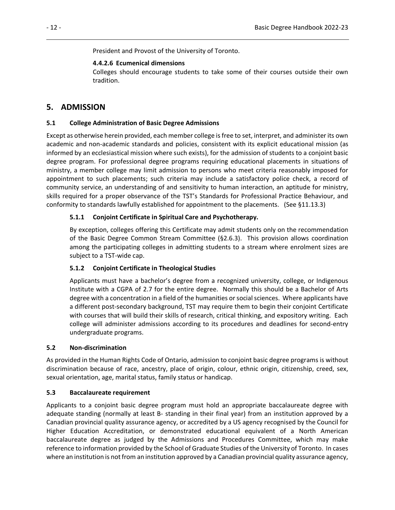President and Provost of the University of Toronto.

#### **4.4.2.6 Ecumenical dimensions**

Colleges should encourage students to take some of their courses outside their own tradition.

## <span id="page-23-1"></span><span id="page-23-0"></span>**5. ADMISSION**

#### <span id="page-23-2"></span>**5.1 College Administration of Basic Degree Admissions**

Except as otherwise herein provided, each member college is free to set, interpret, and administer its own academic and non-academic standards and policies, consistent with its explicit educational mission (as informed by an ecclesiastical mission where such exists), for the admission of students to a conjoint basic degree program. For professional degree programs requiring educational placements in situations of ministry, a member college may limit admission to persons who meet criteria reasonably imposed for appointment to such placements; such criteria may include a satisfactory police check, a record of community service, an understanding of and sensitivity to human interaction, an aptitude for ministry, skills required for a proper observance of the TST's Standards for Professional Practice Behaviour, and conformity to standards lawfully established for appointment to the placements. (See §11.13.3)

#### <span id="page-23-3"></span>**5.1.1 Conjoint Certificate in Spiritual Care and Psychotherapy.**

By exception, colleges offering this Certificate may admit students only on the recommendation of the Basic Degree Common Stream Committee (§2.6.3). This provision allows coordination among the participating colleges in admitting students to a stream where enrolment sizes are subject to a TST-wide cap.

#### <span id="page-23-4"></span>**5.1.2 Conjoint Certificate in Theological Studies**

Applicants must have a bachelor's degree from a recognized university, college, or Indigenous Institute with a CGPA of 2.7 for the entire degree. Normally this should be a Bachelor of Arts degree with a concentration in a field of the humanities or social sciences. Where applicants have a different post-secondary background, TST may require them to begin their conjoint Certificate with courses that will build their skills of research, critical thinking, and expository writing. Each college will administer admissions according to its procedures and deadlines for second-entry undergraduate programs.

#### <span id="page-23-5"></span>**5.2 Non-discrimination**

As provided in the Human Rights Code of Ontario, admission to conjoint basic degree programs is without discrimination because of race, ancestry, place of origin, colour, ethnic origin, citizenship, creed, sex, sexual orientation, age, marital status, family status or handicap.

#### <span id="page-23-6"></span>**5.3 Baccalaureate requirement**

Applicants to a conjoint basic degree program must hold an appropriate baccalaureate degree with adequate standing (normally at least B- standing in their final year) from an institution approved by a Canadian provincial quality assurance agency, or accredited by a US agency recognised by the Council for Higher Education Accreditation, or demonstrated educational equivalent of a North American baccalaureate degree as judged by the Admissions and Procedures Committee, which may make reference to information provided by the School of Graduate Studies of the University of Toronto. In cases where an institution is not from an institution approved by a Canadian provincial quality assurance agency,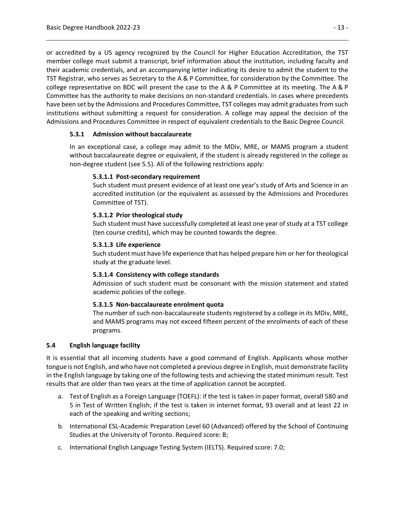or accredited by a US agency recognized by the Council for Higher Education Accreditation, the TST member college must submit a transcript, brief information about the institution, including faculty and their academic credentials, and an accompanying letter indicating its desire to admit the student to the TST Registrar, who serves as Secretary to the A & P Committee, for consideration by the Committee. The college representative on BDC will present the case to the A & P Committee at its meeting. The A & P Committee has the authority to make decisions on non-standard credentials. In cases where precedents have been set by the Admissions and Procedures Committee, TST colleges may admit graduates from such institutions without submitting a request for consideration. A college may appeal the decision of the Admissions and Procedures Committee in respect of equivalent credentials to the Basic Degree Council.

#### <span id="page-24-0"></span>**5.3.1 Admission without baccalaureate**

<span id="page-24-1"></span>In an exceptional case, a college may admit to the MDiv, MRE, or MAMS program a student without baccalaureate degree or equivalent, if the student is already registered in the college as non-degree student (see 5.5). All of the following restrictions apply:

#### **5.3.1.1 Post-secondary requirement**

Such student must present evidence of at least one year's study of Arts and Science in an accredited institution (or the equivalent as assessed by the Admissions and Procedures Committee of TST).

#### <span id="page-24-2"></span>**5.3.1.2 Prior theological study**

Such student must have successfully completed at least one year of study at a TST college (ten course credits), which may be counted towards the degree.

#### <span id="page-24-3"></span>**5.3.1.3 Life experience**

Such student must have life experience that has helped prepare him or her for theological study at the graduate level.

#### <span id="page-24-4"></span>**5.3.1.4 Consistency with college standards**

Admission of such student must be consonant with the mission statement and stated academic policies of the college.

#### **5.3.1.5 Non-baccalaureate enrolment quota**

The number of such non-baccalaureate students registered by a college in its MDiv, MRE, and MAMS programs may not exceed fifteen percent of the enrolments of each of these programs.

#### <span id="page-24-6"></span><span id="page-24-5"></span>**5.4 English language facility**

It is essential that all incoming students have a good command of English. Applicants whose mother tongue is not English, and who have not completed a previous degree in English, must demonstrate facility in the English language by taking one of the following tests and achieving the stated minimum result. Test results that are older than two years at the time of application cannot be accepted.

- a. Test of English as a Foreign Language (TOEFL): if the test is taken in paper format, overall 580 and 5 in Test of Written English; if the test is taken in internet format, 93 overall and at least 22 in each of the speaking and writing sections;
- b. International ESL-Academic Preparation Level 60 (Advanced) offered by the School of Continuing Studies at the University of Toronto. Required score: B;
- c. International English Language Testing System (IELTS). Required score: 7.0;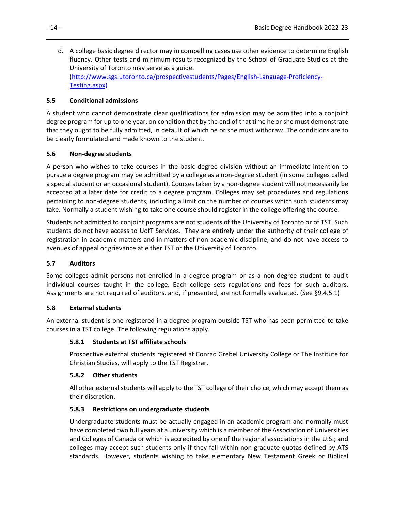d. A college basic degree director may in compelling cases use other evidence to determine English fluency. Other tests and minimum results recognized by the School of Graduate Studies at the University of Toronto may serve as a guide. [\(http://www.sgs.utoronto.ca/prospectivestudents/Pages/English-Language-Proficiency-](http://www.sgs.utoronto.ca/prospectivestudents/Pages/English-Language-Proficiency-Testing.aspx)[Testing.aspx\)](http://www.sgs.utoronto.ca/prospectivestudents/Pages/English-Language-Proficiency-Testing.aspx)

#### <span id="page-25-0"></span>**5.5 Conditional admissions**

A student who cannot demonstrate clear qualifications for admission may be admitted into a conjoint degree program for up to one year, on condition that by the end of that time he or she must demonstrate that they ought to be fully admitted, in default of which he or she must withdraw. The conditions are to be clearly formulated and made known to the student.

#### <span id="page-25-1"></span>**5.6 Non-degree students**

A person who wishes to take courses in the basic degree division without an immediate intention to pursue a degree program may be admitted by a college as a non-degree student (in some colleges called a special student or an occasional student). Courses taken by a non-degree student will not necessarily be accepted at a later date for credit to a degree program. Colleges may set procedures and regulations pertaining to non-degree students, including a limit on the number of courses which such students may take. Normally a student wishing to take one course should register in the college offering the course.

Students not admitted to conjoint programs are not students of the University of Toronto or of TST. Such students do not have access to UofT Services. They are entirely under the authority of their college of registration in academic matters and in matters of non-academic discipline, and do not have access to avenues of appeal or grievance at either TST or the University of Toronto.

#### <span id="page-25-2"></span>**5.7 Auditors**

Some colleges admit persons not enrolled in a degree program or as a non-degree student to audit individual courses taught in the college. Each college sets regulations and fees for such auditors. Assignments are not required of auditors, and, if presented, are not formally evaluated. (See §9.4.5.1)

#### <span id="page-25-3"></span>**5.8 External students**

<span id="page-25-4"></span>An external student is one registered in a degree program outside TST who has been permitted to take courses in a TST college. The following regulations apply.

#### **5.8.1 Students at TST affiliate schools**

Prospective external students registered at Conrad Grebel University College or The Institute for Christian Studies, will apply to the TST Registrar.

#### <span id="page-25-5"></span>**5.8.2 Other students**

All other external students will apply to the TST college of their choice, which may accept them as their discretion.

#### <span id="page-25-6"></span>**5.8.3 Restrictions on undergraduate students**

Undergraduate students must be actually engaged in an academic program and normally must have completed two full years at a university which is a member of the Association of Universities and Colleges of Canada or which is accredited by one of the regional associations in the U.S.; and colleges may accept such students only if they fall within non-graduate quotas defined by ATS standards. However, students wishing to take elementary New Testament Greek or Biblical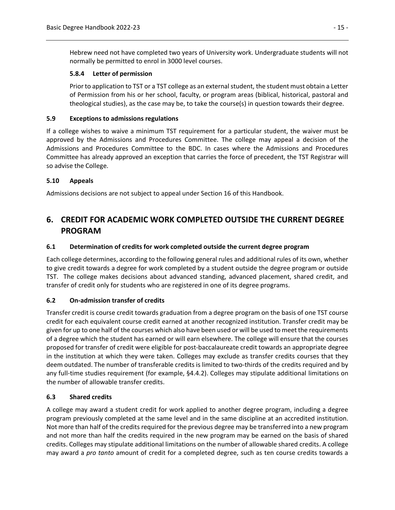Hebrew need not have completed two years of University work. Undergraduate students will not normally be permitted to enrol in 3000 level courses.

#### <span id="page-26-0"></span>**5.8.4 Letter of permission**

Prior to application to TST or a TST college as an external student, the student must obtain a Letter of Permission from his or her school, faculty, or program areas (biblical, historical, pastoral and theological studies), as the case may be, to take the course(s) in question towards their degree.

#### <span id="page-26-1"></span>**5.9 Exceptions to admissions regulations**

If a college wishes to waive a minimum TST requirement for a particular student, the waiver must be approved by the Admissions and Procedures Committee. The college may appeal a decision of the Admissions and Procedures Committee to the BDC. In cases where the Admissions and Procedures Committee has already approved an exception that carries the force of precedent, the TST Registrar will so advise the College.

#### <span id="page-26-2"></span>**5.10 Appeals**

Admissions decisions are not subject to appeal under Section 16 of this Handbook.

## <span id="page-26-3"></span>**6. CREDIT FOR ACADEMIC WORK COMPLETED OUTSIDE THE CURRENT DEGREE PROGRAM**

#### <span id="page-26-4"></span>**6.1 Determination of credits for work completed outside the current degree program**

Each college determines, according to the following general rules and additional rules of its own, whether to give credit towards a degree for work completed by a student outside the degree program or outside TST. The college makes decisions about advanced standing, advanced placement, shared credit, and transfer of credit only for students who are registered in one of its degree programs.

#### <span id="page-26-5"></span>**6.2 On-admission transfer of credits**

Transfer credit is course credit towards graduation from a degree program on the basis of one TST course credit for each equivalent course credit earned at another recognized institution. Transfer credit may be given for up to one half of the courses which also have been used or will be used to meet the requirements of a degree which the student has earned or will earn elsewhere. The college will ensure that the courses proposed for transfer of credit were eligible for post-baccalaureate credit towards an appropriate degree in the institution at which they were taken. Colleges may exclude as transfer credits courses that they deem outdated. The number of transferable credits is limited to two-thirds of the credits required and by any full-time studies requirement (for example, §4.4.2). Colleges may stipulate additional limitations on the number of allowable transfer credits.

#### <span id="page-26-6"></span>**6.3 Shared credits**

A college may award a student credit for work applied to another degree program, including a degree program previously completed at the same level and in the same discipline at an accredited institution. Not more than half of the credits required for the previous degree may be transferred into a new program and not more than half the credits required in the new program may be earned on the basis of shared credits. Colleges may stipulate additional limitations on the number of allowable shared credits. A college may award a *pro tanto* amount of credit for a completed degree, such as ten course credits towards a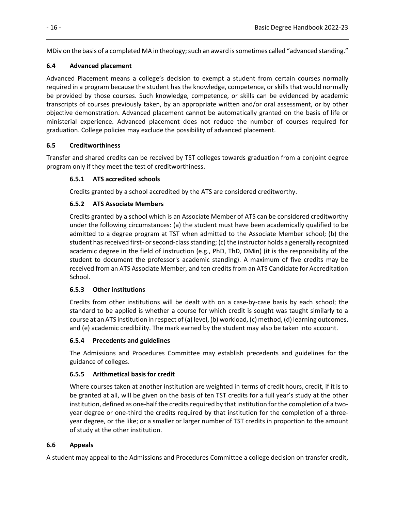MDiv on the basis of a completed MA in theology; such an award is sometimes called "advanced standing."

## <span id="page-27-0"></span>**6.4 Advanced placement**

Advanced Placement means a college's decision to exempt a student from certain courses normally required in a program because the student has the knowledge, competence, or skills that would normally be provided by those courses. Such knowledge, competence, or skills can be evidenced by academic transcripts of courses previously taken, by an appropriate written and/or oral assessment, or by other objective demonstration. Advanced placement cannot be automatically granted on the basis of life or ministerial experience. Advanced placement does not reduce the number of courses required for graduation. College policies may exclude the possibility of advanced placement.

## <span id="page-27-1"></span>**6.5 Creditworthiness**

<span id="page-27-2"></span>Transfer and shared credits can be received by TST colleges towards graduation from a conjoint degree program only if they meet the test of creditworthiness.

## **6.5.1 ATS accredited schools**

Credits granted by a school accredited by the ATS are considered creditworthy.

## <span id="page-27-3"></span>**6.5.2 ATS Associate Members**

Credits granted by a school which is an Associate Member of ATS can be considered creditworthy under the following circumstances: (a) the student must have been academically qualified to be admitted to a degree program at TST when admitted to the Associate Member school; (b) the student has received first- or second-class standing; (c) the instructor holds a generally recognized academic degree in the field of instruction (e.g., PhD, ThD, DMin) (it is the responsibility of the student to document the professor's academic standing). A maximum of five credits may be received from an ATS Associate Member, and ten credits from an ATS Candidate for Accreditation School.

## <span id="page-27-4"></span>**6.5.3 Other institutions**

Credits from other institutions will be dealt with on a case-by-case basis by each school; the standard to be applied is whether a course for which credit is sought was taught similarly to a course at an ATS institution in respect of (a) level, (b) workload, (c) method, (d) learning outcomes, and (e) academic credibility. The mark earned by the student may also be taken into account.

## <span id="page-27-5"></span>**6.5.4 Precedents and guidelines**

The Admissions and Procedures Committee may establish precedents and guidelines for the guidance of colleges.

## <span id="page-27-6"></span>**6.5.5 Arithmetical basis for credit**

Where courses taken at another institution are weighted in terms of credit hours, credit, if it is to be granted at all, will be given on the basis of ten TST credits for a full year's study at the other institution, defined as one-half the credits required by that institution for the completion of a twoyear degree or one-third the credits required by that institution for the completion of a threeyear degree, or the like; or a smaller or larger number of TST credits in proportion to the amount of study at the other institution.

## <span id="page-27-7"></span>**6.6 Appeals**

A student may appeal to the Admissions and Procedures Committee a college decision on transfer credit,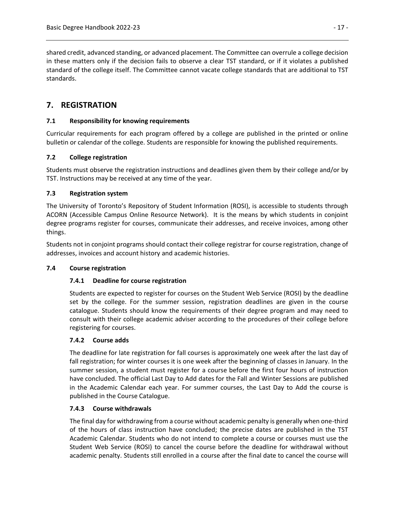shared credit, advanced standing, or advanced placement. The Committee can overrule a college decision in these matters only if the decision fails to observe a clear TST standard, or if it violates a published standard of the college itself. The Committee cannot vacate college standards that are additional to TST standards.

## <span id="page-28-0"></span>**7. REGISTRATION**

#### <span id="page-28-1"></span>**7.1 Responsibility for knowing requirements**

Curricular requirements for each program offered by a college are published in the printed or online bulletin or calendar of the college. Students are responsible for knowing the published requirements.

#### <span id="page-28-2"></span>**7.2 College registration**

Students must observe the registration instructions and deadlines given them by their college and/or by TST. Instructions may be received at any time of the year.

#### <span id="page-28-3"></span>**7.3 Registration system**

The University of Toronto's Repository of Student Information (ROSI), is accessible to students through ACORN (Accessible Campus Online Resource Network). It is the means by which students in conjoint degree programs register for courses, communicate their addresses, and receive invoices, among other things.

Students not in conjoint programs should contact their college registrar for course registration, change of addresses, invoices and account history and academic histories.

#### <span id="page-28-5"></span><span id="page-28-4"></span>**7.4 Course registration**

#### **7.4.1 Deadline for course registration**

Students are expected to register for courses on the Student Web Service (ROSI) by the deadline set by the college. For the summer session, registration deadlines are given in the course catalogue. Students should know the requirements of their degree program and may need to consult with their college academic adviser according to the procedures of their college before registering for courses.

#### <span id="page-28-6"></span>**7.4.2 Course adds**

The deadline for late registration for fall courses is approximately one week after the last day of fall registration; for winter courses it is one week after the beginning of classes in January. In the summer session, a student must register for a course before the first four hours of instruction have concluded. The official Last Day to Add dates for the Fall and Winter Sessions are published in the Academic Calendar each year. For summer courses, the Last Day to Add the course is published in the Course Catalogue.

#### <span id="page-28-7"></span>**7.4.3 Course withdrawals**

The final day for withdrawing from a course without academic penalty is generally when one-third of the hours of class instruction have concluded; the precise dates are published in the TST Academic Calendar. Students who do not intend to complete a course or courses must use the Student Web Service (ROSI) to cancel the course before the deadline for withdrawal without academic penalty. Students still enrolled in a course after the final date to cancel the course will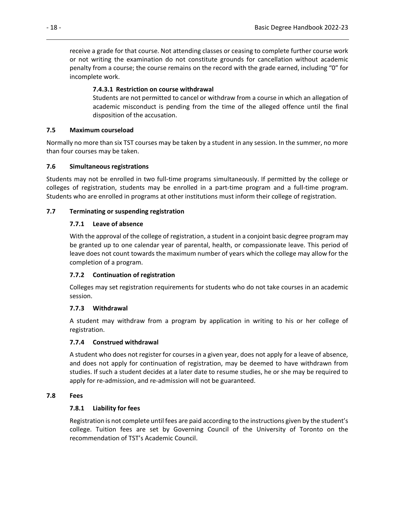receive a grade for that course. Not attending classes or ceasing to complete further course work or not writing the examination do not constitute grounds for cancellation without academic penalty from a course; the course remains on the record with the grade earned, including "0" for incomplete work.

#### **7.4.3.1 Restriction on course withdrawal**

Students are not permitted to cancel or withdraw from a course in which an allegation of academic misconduct is pending from the time of the alleged offence until the final disposition of the accusation.

#### <span id="page-29-1"></span><span id="page-29-0"></span>**7.5 Maximum courseload**

Normally no more than six TST courses may be taken by a student in any session. In the summer, no more than four courses may be taken.

#### <span id="page-29-2"></span>**7.6 Simultaneous registrations**

Students may not be enrolled in two full-time programs simultaneously. If permitted by the college or colleges of registration, students may be enrolled in a part-time program and a full-time program. Students who are enrolled in programs at other institutions must inform their college of registration.

#### <span id="page-29-4"></span><span id="page-29-3"></span>**7.7 Terminating or suspending registration**

#### **7.7.1 Leave of absence**

With the approval of the college of registration, a student in a conjoint basic degree program may be granted up to one calendar year of parental, health, or compassionate leave. This period of leave does not count towards the maximum number of years which the college may allow for the completion of a program.

#### <span id="page-29-5"></span>**7.7.2 Continuation of registration**

Colleges may set registration requirements for students who do not take courses in an academic session.

#### <span id="page-29-6"></span>**7.7.3 Withdrawal**

A student may withdraw from a program by application in writing to his or her college of registration.

#### <span id="page-29-7"></span>**7.7.4 Construed withdrawal**

A student who does not register for courses in a given year, does not apply for a leave of absence, and does not apply for continuation of registration, may be deemed to have withdrawn from studies. If such a student decides at a later date to resume studies, he or she may be required to apply for re-admission, and re-admission will not be guaranteed.

#### <span id="page-29-9"></span><span id="page-29-8"></span>**7.8 Fees**

#### **7.8.1 Liability for fees**

Registration is not complete until fees are paid according to the instructions given by the student's college. Tuition fees are set by Governing Council of the University of Toronto on the recommendation of TST's Academic Council.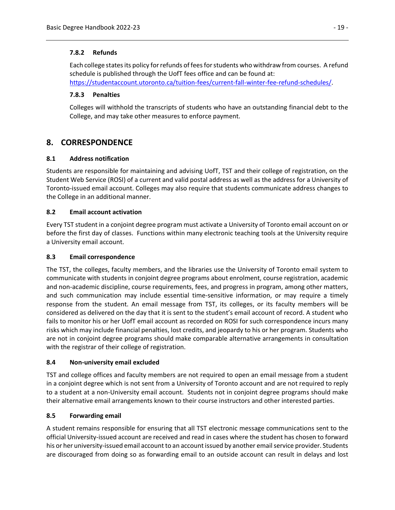#### <span id="page-30-0"></span>**7.8.2 Refunds**

Each college states its policy for refunds of fees for students who withdraw from courses. A refund schedule is published through the UofT fees office and can be found at: [https://studentaccount.utoronto.ca/tuition-fees/current-fall-winter-fee-refund-schedules/.](https://studentaccount.utoronto.ca/tuition-fees/current-fall-winter-fee-refund-schedules/)

#### <span id="page-30-1"></span>**7.8.3 Penalties**

Colleges will withhold the transcripts of students who have an outstanding financial debt to the College, and may take other measures to enforce payment.

## <span id="page-30-2"></span>**8. CORRESPONDENCE**

#### <span id="page-30-3"></span>**8.1 Address notification**

Students are responsible for maintaining and advising UofT, TST and their college of registration, on the Student Web Service (ROSI) of a current and valid postal address as well as the address for a University of Toronto-issued email account. Colleges may also require that students communicate address changes to the College in an additional manner.

#### <span id="page-30-4"></span>**8.2 Email account activation**

Every TST student in a conjoint degree program must activate a University of Toronto email account on or before the first day of classes. Functions within many electronic teaching tools at the University require a University email account.

#### <span id="page-30-5"></span>**8.3 Email correspondence**

The TST, the colleges, faculty members, and the libraries use the University of Toronto email system to communicate with students in conjoint degree programs about enrolment, course registration, academic and non-academic discipline, course requirements, fees, and progress in program, among other matters, and such communication may include essential time-sensitive information, or may require a timely response from the student. An email message from TST, its colleges, or its faculty members will be considered as delivered on the day that it is sent to the student's email account of record. A student who fails to monitor his or her UofT email account as recorded on ROSI for such correspondence incurs many risks which may include financial penalties, lost credits, and jeopardy to his or her program. Students who are not in conjoint degree programs should make comparable alternative arrangements in consultation with the registrar of their college of registration.

#### <span id="page-30-6"></span>**8.4 Non-university email excluded**

TST and college offices and faculty members are not required to open an email message from a student in a conjoint degree which is not sent from a University of Toronto account and are not required to reply to a student at a non-University email account. Students not in conjoint degree programs should make their alternative email arrangements known to their course instructors and other interested parties.

#### <span id="page-30-7"></span>**8.5 Forwarding email**

A student remains responsible for ensuring that all TST electronic message communications sent to the official University-issued account are received and read in cases where the student has chosen to forward his or her university-issued email account to an account issued by another email service provider. Students are discouraged from doing so as forwarding email to an outside account can result in delays and lost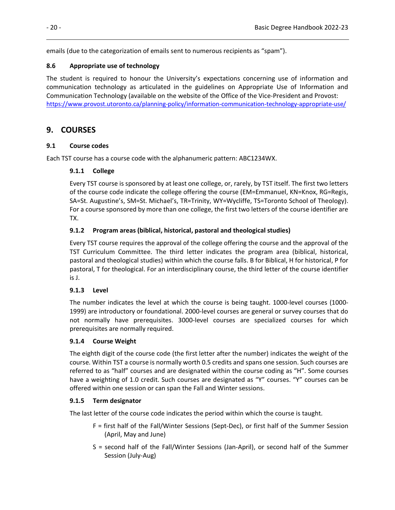emails (due to the categorization of emails sent to numerous recipients as "spam").

## <span id="page-31-0"></span>**8.6 Appropriate use of technology**

The student is required to honour the University's expectations concerning use of information and communication technology as articulated in the guidelines on Appropriate Use of Information and Communication Technology (available on the website of the Office of the Vice-President and Provost: <https://www.provost.utoronto.ca/planning-policy/information-communication-technology-appropriate-use/>

## <span id="page-31-1"></span>**9. COURSES**

#### <span id="page-31-2"></span>**9.1 Course codes**

<span id="page-31-3"></span>Each TST course has a course code with the alphanumeric pattern: ABC1234WX.

## **9.1.1 College**

Every TST course is sponsored by at least one college, or, rarely, by TST itself. The first two letters of the course code indicate the college offering the course (EM=Emmanuel, KN=Knox, RG=Regis, SA=St. Augustine's, SM=St. Michael's, TR=Trinity, WY=Wycliffe, TS=Toronto School of Theology). For a course sponsored by more than one college, the first two letters of the course identifier are TX.

## <span id="page-31-4"></span>**9.1.2 Program areas (biblical, historical, pastoral and theological studies)**

Every TST course requires the approval of the college offering the course and the approval of the TST Curriculum Committee. The third letter indicates the program area (biblical, historical, pastoral and theological studies) within which the course falls. B for Biblical, H for historical, P for pastoral, T for theological. For an interdisciplinary course, the third letter of the course identifier is J.

## <span id="page-31-5"></span>**9.1.3 Level**

The number indicates the level at which the course is being taught. 1000-level courses (1000- 1999) are introductory or foundational. 2000-level courses are general or survey courses that do not normally have prerequisites. 3000-level courses are specialized courses for which prerequisites are normally required.

#### <span id="page-31-6"></span>**9.1.4 Course Weight**

The eighth digit of the course code (the first letter after the number) indicates the weight of the course. Within TST a course is normally worth 0.5 credits and spans one session. Such courses are referred to as "half" courses and are designated within the course coding as "H". Some courses have a weighting of 1.0 credit. Such courses are designated as "Y" courses. "Y" courses can be offered within one session or can span the Fall and Winter sessions.

#### <span id="page-31-7"></span>**9.1.5 Term designator**

The last letter of the course code indicates the period within which the course is taught.

- F = first half of the Fall/Winter Sessions (Sept-Dec), or first half of the Summer Session (April, May and June)
- S = second half of the Fall/Winter Sessions (Jan-April), or second half of the Summer Session (July-Aug)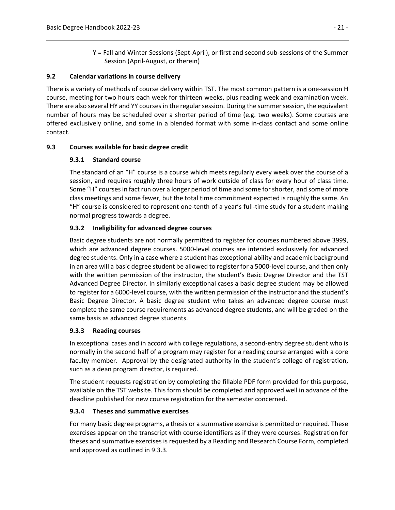Y = Fall and Winter Sessions (Sept-April), or first and second sub-sessions of the Summer Session (April-August, or therein)

#### <span id="page-32-0"></span>**9.2 Calendar variations in course delivery**

There is a variety of methods of course delivery within TST. The most common pattern is a one-session H course, meeting for two hours each week for thirteen weeks, plus reading week and examination week. There are also several HY and YY courses in the regular session. During the summer session, the equivalent number of hours may be scheduled over a shorter period of time (e.g. two weeks). Some courses are offered exclusively online, and some in a blended format with some in-class contact and some online contact.

#### <span id="page-32-2"></span><span id="page-32-1"></span>**9.3 Courses available for basic degree credit**

#### **9.3.1 Standard course**

The standard of an "H" course is a course which meets regularly every week over the course of a session, and requires roughly three hours of work outside of class for every hour of class time. Some "H" courses in fact run over a longer period of time and some for shorter, and some of more class meetings and some fewer, but the total time commitment expected is roughly the same. An "H" course is considered to represent one-tenth of a year's full-time study for a student making normal progress towards a degree.

#### <span id="page-32-3"></span>**9.3.2 Ineligibility for advanced degree courses**

Basic degree students are not normally permitted to register for courses numbered above 3999, which are advanced degree courses. 5000-level courses are intended exclusively for advanced degree students. Only in a case where a student has exceptional ability and academic background in an area will a basic degree student be allowed to register for a 5000-level course, and then only with the written permission of the instructor, the student's Basic Degree Director and the TST Advanced Degree Director. In similarly exceptional cases a basic degree student may be allowed to register for a 6000-level course, with the written permission of the instructor and the student's Basic Degree Director. A basic degree student who takes an advanced degree course must complete the same course requirements as advanced degree students, and will be graded on the same basis as advanced degree students.

#### <span id="page-32-4"></span>**9.3.3 Reading courses**

In exceptional cases and in accord with college regulations, a second-entry degree student who is normally in the second half of a program may register for a reading course arranged with a core faculty member. Approval by the designated authority in the student's college of registration, such as a dean program director, is required.

The student requests registration by completing the fillable PDF form provided for this purpose, available on the TST website. This form should be completed and approved well in advance of the deadline published for new course registration for the semester concerned.

#### <span id="page-32-5"></span>**9.3.4 Theses and summative exercises**

For many basic degree programs, a thesis or a summative exercise is permitted or required. These exercises appear on the transcript with course identifiers as if they were courses. Registration for theses and summative exercises is requested by a Reading and Research Course Form, completed and approved as outlined in 9.3.3.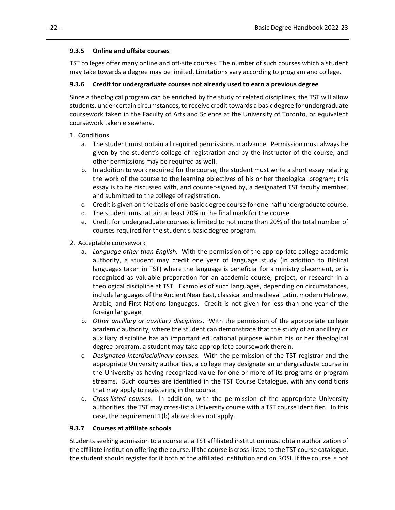#### <span id="page-33-0"></span>**9.3.5 Online and offsite courses**

TST colleges offer many online and off-site courses. The number of such courses which a student may take towards a degree may be limited. Limitations vary according to program and college.

#### <span id="page-33-1"></span>**9.3.6 Credit for undergraduate courses not already used to earn a previous degree**

Since a theological program can be enriched by the study of related disciplines, the TST will allow students, under certain circumstances, to receive credit towards a basic degree for undergraduate coursework taken in the Faculty of Arts and Science at the University of Toronto, or equivalent coursework taken elsewhere.

#### 1. Conditions

- a. The student must obtain all required permissions in advance. Permission must always be given by the student's college of registration and by the instructor of the course, and other permissions may be required as well.
- b. In addition to work required for the course, the student must write a short essay relating the work of the course to the learning objectives of his or her theological program; this essay is to be discussed with, and counter-signed by, a designated TST faculty member, and submitted to the college of registration.
- c. Credit is given on the basis of one basic degree course for one-half undergraduate course.
- d. The student must attain at least 70% in the final mark for the course.
- e. Credit for undergraduate courses is limited to not more than 20% of the total number of courses required for the student's basic degree program.
- 2. Acceptable coursework
	- a. *Language other than English.* With the permission of the appropriate college academic authority, a student may credit one year of language study (in addition to Biblical languages taken in TST) where the language is beneficial for a ministry placement, or is recognized as valuable preparation for an academic course, project, or research in a theological discipline at TST. Examples of such languages, depending on circumstances, include languages of the Ancient Near East, classical and medieval Latin, modern Hebrew, Arabic, and First Nations languages. Credit is not given for less than one year of the foreign language.
	- b. *Other ancillary or auxiliary disciplines.* With the permission of the appropriate college academic authority, where the student can demonstrate that the study of an ancillary or auxiliary discipline has an important educational purpose within his or her theological degree program, a student may take appropriate coursework therein.
	- c. *Designated interdisciplinary courses.* With the permission of the TST registrar and the appropriate University authorities, a college may designate an undergraduate course in the University as having recognized value for one or more of its programs or program streams. Such courses are identified in the TST Course Catalogue, with any conditions that may apply to registering in the course.
	- d. *Cross-listed courses.* In addition, with the permission of the appropriate University authorities, the TST may cross-list a University course with a TST course identifier. In this case, the requirement 1(b) above does not apply.

#### <span id="page-33-2"></span>**9.3.7 Courses at affiliate schools**

Students seeking admission to a course at a TST affiliated institution must obtain authorization of the affiliate institution offering the course. If the course is cross-listed to the TST course catalogue, the student should register for it both at the affiliated institution and on ROSI. If the course is not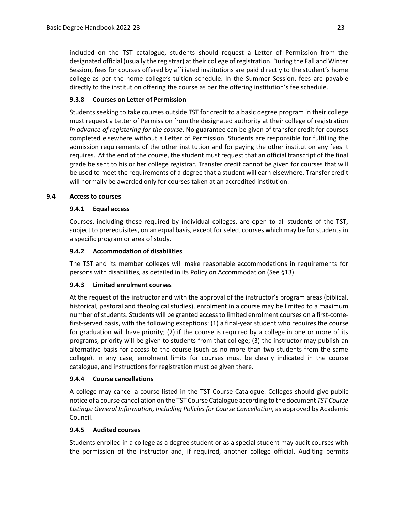included on the TST catalogue, students should request a Letter of Permission from the designated official (usually the registrar) at their college of registration. During the Fall and Winter Session, fees for courses offered by affiliated institutions are paid directly to the student's home college as per the home college's tuition schedule. In the Summer Session, fees are payable directly to the institution offering the course as per the offering institution's fee schedule.

#### <span id="page-34-0"></span>**9.3.8 Courses on Letter of Permission**

Students seeking to take courses outside TST for credit to a basic degree program in their college must request a Letter of Permission from the designated authority at their college of registration *in advance of registering for the course*. No guarantee can be given of transfer credit for courses completed elsewhere without a Letter of Permission. Students are responsible for fulfilling the admission requirements of the other institution and for paying the other institution any fees it requires. At the end of the course, the student must request that an official transcript of the final grade be sent to his or her college registrar. Transfer credit cannot be given for courses that will be used to meet the requirements of a degree that a student will earn elsewhere. Transfer credit will normally be awarded only for courses taken at an accredited institution.

#### <span id="page-34-2"></span><span id="page-34-1"></span>**9.4 Access to courses**

#### **9.4.1 Equal access**

Courses, including those required by individual colleges, are open to all students of the TST, subject to prerequisites, on an equal basis, except for select courses which may be for students in a specific program or area of study.

#### <span id="page-34-3"></span>**9.4.2 Accommodation of disabilities**

The TST and its member colleges will make reasonable accommodations in requirements for persons with disabilities, as detailed in its Policy on Accommodation (See §13).

#### <span id="page-34-4"></span>**9.4.3 Limited enrolment courses**

At the request of the instructor and with the approval of the instructor's program areas (biblical, historical, pastoral and theological studies), enrolment in a course may be limited to a maximum number of students. Students will be granted access to limited enrolment courses on a first-comefirst-served basis, with the following exceptions: (1) a final-year student who requires the course for graduation will have priority; (2) if the course is required by a college in one or more of its programs, priority will be given to students from that college; (3) the instructor may publish an alternative basis for access to the course (such as no more than two students from the same college). In any case, enrolment limits for courses must be clearly indicated in the course catalogue, and instructions for registration must be given there.

#### <span id="page-34-5"></span>**9.4.4 Course cancellations**

A college may cancel a course listed in the TST Course Catalogue. Colleges should give public notice of a course cancellation on the TST Course Catalogue according to the document *TST Course*  Listings: General Information, Including Policies for Course Cancellation, as approved by Academic Council.

#### <span id="page-34-6"></span>**9.4.5 Audited courses**

Students enrolled in a college as a degree student or as a special student may audit courses with the permission of the instructor and, if required, another college official. Auditing permits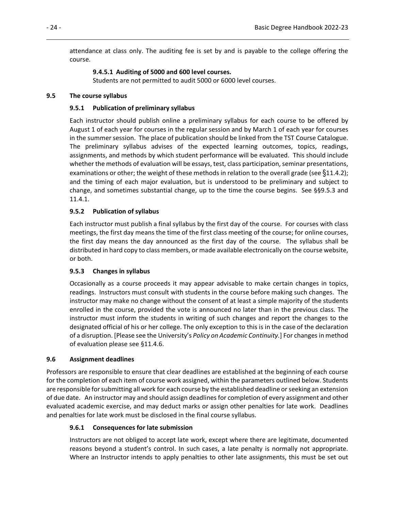attendance at class only. The auditing fee is set by and is payable to the college offering the course.

#### **9.4.5.1 Auditing of 5000 and 600 level courses.**

Students are not permitted to audit 5000 or 6000 level courses.

#### <span id="page-35-2"></span><span id="page-35-1"></span><span id="page-35-0"></span>**9.5 The course syllabus**

#### **9.5.1 Publication of preliminary syllabus**

Each instructor should publish online a preliminary syllabus for each course to be offered by August 1 of each year for courses in the regular session and by March 1 of each year for courses in the summer session. The place of publication should be linked from the TST Course Catalogue. The preliminary syllabus advises of the expected learning outcomes, topics, readings, assignments, and methods by which student performance will be evaluated. This should include whether the methods of evaluation will be essays, test, class participation, seminar presentations, examinations or other; the weight of these methods in relation to the overall grade (see  $\S 11.4.2$ ); and the timing of each major evaluation, but is understood to be preliminary and subject to change, and sometimes substantial change, up to the time the course begins. See §§9.5.3 and 11.4.1.

#### <span id="page-35-3"></span>**9.5.2 Publication of syllabus**

Each instructor must publish a final syllabus by the first day of the course. For courses with class meetings, the first day means the time of the first class meeting of the course; for online courses, the first day means the day announced as the first day of the course. The syllabus shall be distributed in hard copy to class members, or made available electronically on the course website, or both.

#### <span id="page-35-4"></span>**9.5.3 Changes in syllabus**

Occasionally as a course proceeds it may appear advisable to make certain changes in topics, readings. Instructors must consult with students in the course before making such changes. The instructor may make no change without the consent of at least a simple majority of the students enrolled in the course, provided the vote is announced no later than in the previous class. The instructor must inform the students in writing of such changes and report the changes to the designated official of his or her college. The only exception to this is in the case of the declaration of a disruption. [Please see the University's *Policy on Academic Continuity.*] For changes in method of evaluation please see §11.4.6.

#### <span id="page-35-5"></span>**9.6 Assignment deadlines**

Professors are responsible to ensure that clear deadlines are established at the beginning of each course for the completion of each item of course work assigned, within the parameters outlined below. Students are responsible for submitting all work for each course by the established deadline or seeking an extension of due date. An instructor may and should assign deadlines for completion of every assignment and other evaluated academic exercise, and may deduct marks or assign other penalties for late work. Deadlines and penalties for late work must be disclosed in the final course syllabus.

#### <span id="page-35-6"></span>**9.6.1 Consequences for late submission**

Instructors are not obliged to accept late work, except where there are legitimate, documented reasons beyond a student's control. In such cases, a late penalty is normally not appropriate. Where an Instructor intends to apply penalties to other late assignments, this must be set out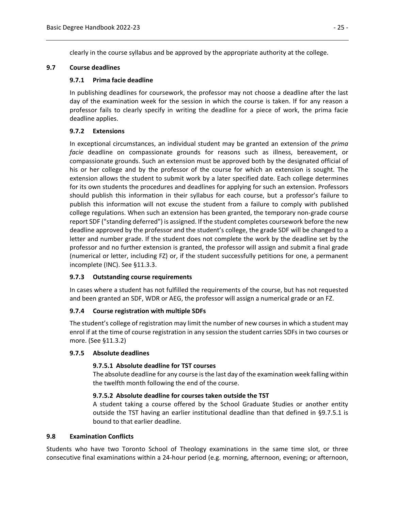clearly in the course syllabus and be approved by the appropriate authority at the college.

### **9.7 Course deadlines**

### **9.7.1 Prima facie deadline**

In publishing deadlines for coursework, the professor may not choose a deadline after the last day of the examination week for the session in which the course is taken. If for any reason a professor fails to clearly specify in writing the deadline for a piece of work, the prima facie deadline applies.

## **9.7.2 Extensions**

In exceptional circumstances, an individual student may be granted an extension of the *prima facie* deadline on compassionate grounds for reasons such as illness, bereavement, or compassionate grounds. Such an extension must be approved both by the designated official of his or her college and by the professor of the course for which an extension is sought. The extension allows the student to submit work by a later specified date. Each college determines for its own students the procedures and deadlines for applying for such an extension. Professors should publish this information in their syllabus for each course, but a professor's failure to publish this information will not excuse the student from a failure to comply with published college regulations. When such an extension has been granted, the temporary non-grade course report SDF ("standing deferred") is assigned. If the student completes coursework before the new deadline approved by the professor and the student's college, the grade SDF will be changed to a letter and number grade. If the student does not complete the work by the deadline set by the professor and no further extension is granted, the professor will assign and submit a final grade (numerical or letter, including FZ) or, if the student successfully petitions for one, a permanent incomplete (INC). See §11.3.3.

## **9.7.3 Outstanding course requirements**

In cases where a student has not fulfilled the requirements of the course, but has not requested and been granted an SDF, WDR or AEG, the professor will assign a numerical grade or an FZ.

## **9.7.4 Course registration with multiple SDFs**

The student's college of registration may limit the number of new courses in which a student may enrol if at the time of course registration in any session the student carries SDFs in two courses or more. (See §11.3.2)

## **9.7.5 Absolute deadlines**

## **9.7.5.1 Absolute deadline for TST courses**

The absolute deadline for any course is the last day of the examination week falling within the twelfth month following the end of the course.

## **9.7.5.2 Absolute deadline for courses taken outside the TST**

A student taking a course offered by the School Graduate Studies or another entity outside the TST having an earlier institutional deadline than that defined in §9.7.5.1 is bound to that earlier deadline.

#### **9.8 Examination Conflicts**

Students who have two Toronto School of Theology examinations in the same time slot, or three consecutive final examinations within a 24-hour period (e.g. morning, afternoon, evening; or afternoon,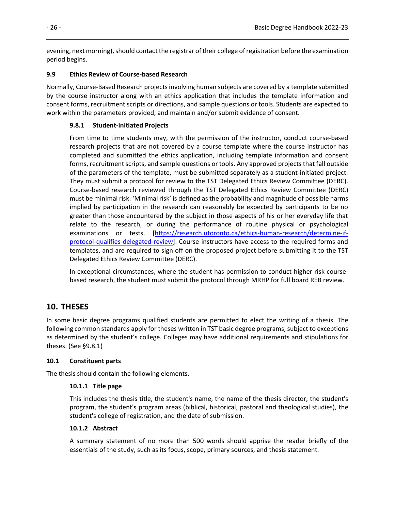evening, next morning), should contact the registrar of their college of registration before the examination period begins.

## **9.9 Ethics Review of Course-based Research**

Normally, Course-Based Research projects involving human subjects are covered by a template submitted by the course instructor along with an ethics application that includes the template information and consent forms, recruitment scripts or directions, and sample questions or tools. Students are expected to work within the parameters provided, and maintain and/or submit evidence of consent.

## **9.8.1 Student-initiated Projects**

From time to time students may, with the permission of the instructor, conduct course-based research projects that are not covered by a course template where the course instructor has completed and submitted the ethics application, including template information and consent forms, recruitment scripts, and sample questions or tools. Any approved projects that fall outside of the parameters of the template, must be submitted separately as a student-initiated project. They must submit a protocol for review to the TST Delegated Ethics Review Committee (DERC). Course-based research reviewed through the TST Delegated Ethics Review Committee (DERC) must be minimal risk. 'Minimal risk' is defined as the probability and magnitude of possible harms implied by participation in the research can reasonably be expected by participants to be no greater than those encountered by the subject in those aspects of his or her everyday life that relate to the research, or during the performance of routine physical or psychological examinations or tests. [\[https://research.utoronto.ca/ethics-human-research/determine-if](https://research.utoronto.ca/ethics-human-research/determine-if-protocol-qualifies-delegated-review)[protocol-qualifies-delegated-review\]](https://research.utoronto.ca/ethics-human-research/determine-if-protocol-qualifies-delegated-review). Course instructors have access to the required forms and templates, and are required to sign off on the proposed project before submitting it to the TST Delegated Ethics Review Committee (DERC).

In exceptional circumstances, where the student has permission to conduct higher risk coursebased research, the student must submit the protocol through MRHP for full board REB review.

# **10. THESES**

In some basic degree programs qualified students are permitted to elect the writing of a thesis. The following common standards apply for theses written in TST basic degree programs, subject to exceptions as determined by the student's college. Colleges may have additional requirements and stipulations for theses. (See §9.8.1)

## **10.1 Constituent parts**

The thesis should contain the following elements.

## **10.1.1 Title page**

This includes the thesis title, the student's name, the name of the thesis director, the student's program, the student's program areas (biblical, historical, pastoral and theological studies), the student's college of registration, and the date of submission.

## **10.1.2 Abstract**

A summary statement of no more than 500 words should apprise the reader briefly of the essentials of the study, such as its focus, scope, primary sources, and thesis statement.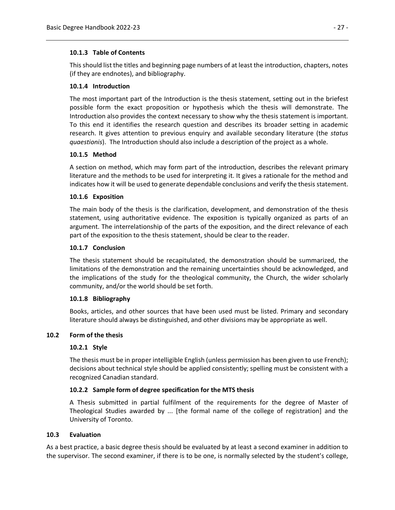## **10.1.3 Table of Contents**

This should list the titles and beginning page numbers of at least the introduction, chapters, notes (if they are endnotes), and bibliography.

## **10.1.4 Introduction**

The most important part of the Introduction is the thesis statement, setting out in the briefest possible form the exact proposition or hypothesis which the thesis will demonstrate. The Introduction also provides the context necessary to show why the thesis statement is important. To this end it identifies the research question and describes its broader setting in academic research. It gives attention to previous enquiry and available secondary literature (the *status quaestionis*). The Introduction should also include a description of the project as a whole.

## **10.1.5 Method**

A section on method, which may form part of the introduction, describes the relevant primary literature and the methods to be used for interpreting it. It gives a rationale for the method and indicates how it will be used to generate dependable conclusions and verify the thesis statement.

## **10.1.6 Exposition**

The main body of the thesis is the clarification, development, and demonstration of the thesis statement, using authoritative evidence. The exposition is typically organized as parts of an argument. The interrelationship of the parts of the exposition, and the direct relevance of each part of the exposition to the thesis statement, should be clear to the reader.

## **10.1.7 Conclusion**

The thesis statement should be recapitulated, the demonstration should be summarized, the limitations of the demonstration and the remaining uncertainties should be acknowledged, and the implications of the study for the theological community, the Church, the wider scholarly community, and/or the world should be set forth.

## **10.1.8 Bibliography**

Books, articles, and other sources that have been used must be listed. Primary and secondary literature should always be distinguished, and other divisions may be appropriate as well.

## **10.2 Form of the thesis**

## **10.2.1 Style**

The thesis must be in proper intelligible English (unless permission has been given to use French); decisions about technical style should be applied consistently; spelling must be consistent with a recognized Canadian standard.

## **10.2.2 Sample form of degree specification for the MTS thesis**

A Thesis submitted in partial fulfilment of the requirements for the degree of Master of Theological Studies awarded by ... [the formal name of the college of registration] and the University of Toronto.

## **10.3 Evaluation**

As a best practice, a basic degree thesis should be evaluated by at least a second examiner in addition to the supervisor. The second examiner, if there is to be one, is normally selected by the student's college,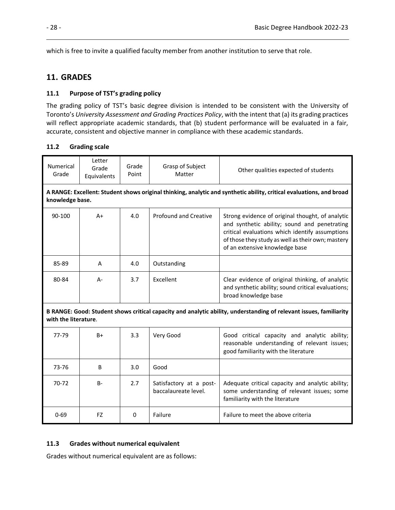which is free to invite a qualified faculty member from another institution to serve that role.

## **11. GRADES**

### **11.1 Purpose of TST's grading policy**

The grading policy of TST's basic degree division is intended to be consistent with the University of Toronto's *University Assessment and Grading Practices Policy*, with the intent that (a) its grading practices will reflect appropriate academic standards, that (b) student performance will be evaluated in a fair, accurate, consistent and objective manner in compliance with these academic standards.

### **11.2 Grading scale**

| <b>Numerical</b><br>Grade                                                                                                                  | Letter<br>Grade<br>Equivalents                                                                                                          | Grade<br>Point | Grasp of Subject<br>Matter                      | Other qualities expected of students                                                                                                                                                                                                       |
|--------------------------------------------------------------------------------------------------------------------------------------------|-----------------------------------------------------------------------------------------------------------------------------------------|----------------|-------------------------------------------------|--------------------------------------------------------------------------------------------------------------------------------------------------------------------------------------------------------------------------------------------|
|                                                                                                                                            | A RANGE: Excellent: Student shows original thinking, analytic and synthetic ability, critical evaluations, and broad<br>knowledge base. |                |                                                 |                                                                                                                                                                                                                                            |
| 90-100                                                                                                                                     | $A+$                                                                                                                                    | 4.0            | Profound and Creative                           | Strong evidence of original thought, of analytic<br>and synthetic ability; sound and penetrating<br>critical evaluations which identify assumptions<br>of those they study as well as their own; mastery<br>of an extensive knowledge base |
| 85-89                                                                                                                                      | A                                                                                                                                       | 4.0            | Outstanding                                     |                                                                                                                                                                                                                                            |
| 80-84                                                                                                                                      | $A -$                                                                                                                                   | 3.7            | Excellent                                       | Clear evidence of original thinking, of analytic<br>and synthetic ability; sound critical evaluations;<br>broad knowledge base                                                                                                             |
| B RANGE: Good: Student shows critical capacity and analytic ability, understanding of relevant issues, familiarity<br>with the literature. |                                                                                                                                         |                |                                                 |                                                                                                                                                                                                                                            |
| 77-79                                                                                                                                      | $B+$                                                                                                                                    | 3.3            | Very Good                                       | Good critical capacity and analytic ability;<br>reasonable understanding of relevant issues;<br>good familiarity with the literature                                                                                                       |
| 73-76                                                                                                                                      | B                                                                                                                                       | 3.0            | Good                                            |                                                                                                                                                                                                                                            |
| $70-72$                                                                                                                                    | $B -$                                                                                                                                   | 2.7            | Satisfactory at a post-<br>baccalaureate level. | Adequate critical capacity and analytic ability;<br>some understanding of relevant issues; some<br>familiarity with the literature                                                                                                         |
| $0 - 69$                                                                                                                                   | FZ                                                                                                                                      | 0              | Failure                                         | Failure to meet the above criteria                                                                                                                                                                                                         |

## **11.3 Grades without numerical equivalent**

Grades without numerical equivalent are as follows: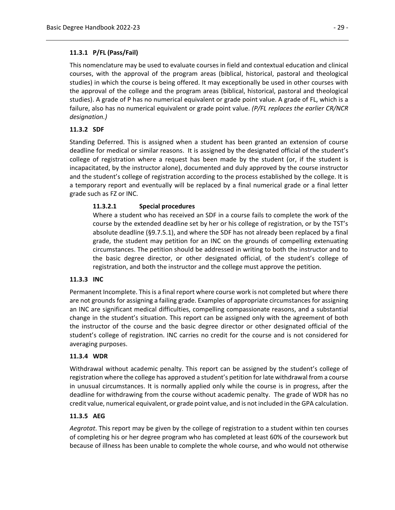## **11.3.1 P/FL (Pass/Fail)**

This nomenclature may be used to evaluate courses in field and contextual education and clinical courses, with the approval of the program areas (biblical, historical, pastoral and theological studies) in which the course is being offered. It may exceptionally be used in other courses with the approval of the college and the program areas (biblical, historical, pastoral and theological studies). A grade of P has no numerical equivalent or grade point value. A grade of FL, which is a failure, also has no numerical equivalent or grade point value. *(P/FL replaces the earlier CR/NCR designation.)*

## **11.3.2 SDF**

Standing Deferred. This is assigned when a student has been granted an extension of course deadline for medical or similar reasons. It is assigned by the designated official of the student's college of registration where a request has been made by the student (or, if the student is incapacitated, by the instructor alone), documented and duly approved by the course instructor and the student's college of registration according to the process established by the college. It is a temporary report and eventually will be replaced by a final numerical grade or a final letter grade such as FZ or INC.

## **11.3.2.1 Special procedures**

Where a student who has received an SDF in a course fails to complete the work of the course by the extended deadline set by her or his college of registration, or by the TST's absolute deadline (§9.7.5.1), and where the SDF has not already been replaced by a final grade, the student may petition for an INC on the grounds of compelling extenuating circumstances. The petition should be addressed in writing to both the instructor and to the basic degree director, or other designated official, of the student's college of registration, and both the instructor and the college must approve the petition.

## **11.3.3 INC**

Permanent Incomplete. This is a final report where course work is not completed but where there are not grounds for assigning a failing grade. Examples of appropriate circumstances for assigning an INC are significant medical difficulties, compelling compassionate reasons, and a substantial change in the student's situation. This report can be assigned only with the agreement of both the instructor of the course and the basic degree director or other designated official of the student's college of registration. INC carries no credit for the course and is not considered for averaging purposes.

## **11.3.4 WDR**

Withdrawal without academic penalty. This report can be assigned by the student's college of registration where the college has approved a student's petition for late withdrawal from a course in unusual circumstances. It is normally applied only while the course is in progress, after the deadline for withdrawing from the course without academic penalty. The grade of WDR has no credit value, numerical equivalent, or grade point value, and is not included in the GPA calculation.

## **11.3.5 AEG**

*Aegrotat*. This report may be given by the college of registration to a student within ten courses of completing his or her degree program who has completed at least 60% of the coursework but because of illness has been unable to complete the whole course, and who would not otherwise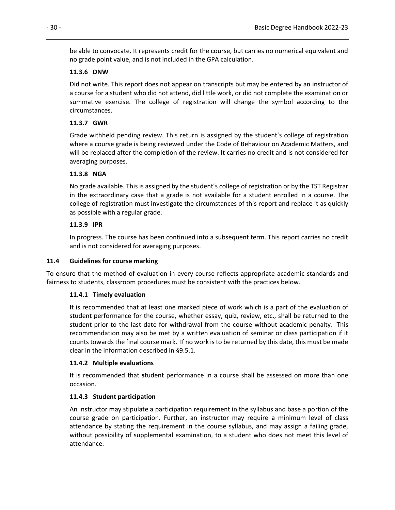be able to convocate. It represents credit for the course, but carries no numerical equivalent and no grade point value, and is not included in the GPA calculation.

### **11.3.6 DNW**

Did not write. This report does not appear on transcripts but may be entered by an instructor of a course for a student who did not attend, did little work, or did not complete the examination or summative exercise. The college of registration will change the symbol according to the circumstances.

## **11.3.7 GWR**

Grade withheld pending review. This return is assigned by the student's college of registration where a course grade is being reviewed under the Code of Behaviour on Academic Matters, and will be replaced after the completion of the review. It carries no credit and is not considered for averaging purposes.

### **11.3.8 NGA**

No grade available. This is assigned by the student's college of registration or by the TST Registrar in the extraordinary case that a grade is not available for a student enrolled in a course. The college of registration must investigate the circumstances of this report and replace it as quickly as possible with a regular grade.

### **11.3.9 IPR**

In progress. The course has been continued into a subsequent term. This report carries no credit and is not considered for averaging purposes.

#### **11.4 Guidelines for course marking**

To ensure that the method of evaluation in every course reflects appropriate academic standards and fairness to students, classroom procedures must be consistent with the practices below.

#### **11.4.1 Timely evaluation**

It is recommended that at least one marked piece of work which is a part of the evaluation of student performance for the course, whether essay, quiz, review, etc., shall be returned to the student prior to the last date for withdrawal from the course without academic penalty. This recommendation may also be met by a written evaluation of seminar or class participation if it counts towards the final course mark. If no work is to be returned by this date, this must be made clear in the information described in §9.5.1.

#### **11.4.2 Multiple evaluations**

It is recommended that **s**tudent performance in a course shall be assessed on more than one occasion.

## **11.4.3 Student participation**

An instructor may stipulate a participation requirement in the syllabus and base a portion of the course grade on participation. Further, an instructor may require a minimum level of class attendance by stating the requirement in the course syllabus, and may assign a failing grade, without possibility of supplemental examination, to a student who does not meet this level of attendance.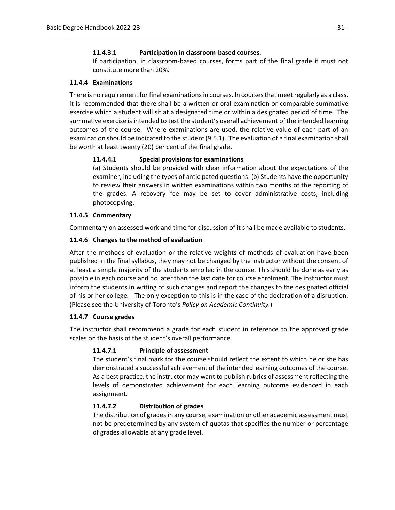## **11.4.3.1 Participation in classroom-based courses.**

If participation, in classroom-based courses, forms part of the final grade it must not constitute more than 20%.

### **11.4.4 Examinations**

There is no requirement for final examinations in courses. In courses that meet regularly as a class, it is recommended that there shall be a written or oral examination or comparable summative exercise which a student will sit at a designated time or within a designated period of time. The summative exercise is intended to test the student's overall achievement of the intended learning outcomes of the course. Where examinations are used, the relative value of each part of an examination should be indicated to the student (9.5.1). The evaluation of a final examination shall be worth at least twenty (20) per cent of the final grade**.**

## **11.4.4.1 Special provisions for examinations**

(a) Students should be provided with clear information about the expectations of the examiner, including the types of anticipated questions. (b) Students have the opportunity to review their answers in written examinations within two months of the reporting of the grades. A recovery fee may be set to cover administrative costs, including photocopying.

## **11.4.5 Commentary**

Commentary on assessed work and time for discussion of it shall be made available to students.

### **11.4.6 Changes to the method of evaluation**

After the methods of evaluation or the relative weights of methods of evaluation have been published in the final syllabus, they may not be changed by the instructor without the consent of at least a simple majority of the students enrolled in the course. This should be done as early as possible in each course and no later than the last date for course enrolment. The instructor must inform the students in writing of such changes and report the changes to the designated official of his or her college. The only exception to this is in the case of the declaration of a disruption. (Please see the University of Toronto's *Policy on Academic Continuity.*)

## **11.4.7 Course grades**

The instructor shall recommend a grade for each student in reference to the approved grade scales on the basis of the student's overall performance.

## **11.4.7.1 Principle of assessment**

The student's final mark for the course should reflect the extent to which he or she has demonstrated a successful achievement of the intended learning outcomes of the course. As a best practice, the instructor may want to publish rubrics of assessment reflecting the levels of demonstrated achievement for each learning outcome evidenced in each assignment.

## **11.4.7.2 Distribution of grades**

The distribution of grades in any course, examination or other academic assessment must not be predetermined by any system of quotas that specifies the number or percentage of grades allowable at any grade level.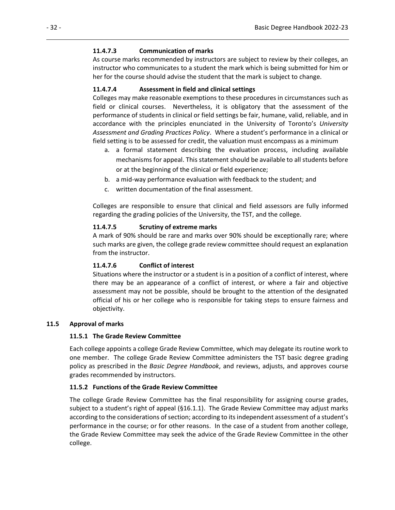## **11.4.7.3 Communication of marks**

As course marks recommended by instructors are subject to review by their colleges, an instructor who communicates to a student the mark which is being submitted for him or her for the course should advise the student that the mark is subject to change.

## **11.4.7.4 Assessment in field and clinical settings**

Colleges may make reasonable exemptions to these procedures in circumstances such as field or clinical courses. Nevertheless, it is obligatory that the assessment of the performance of students in clinical or field settings be fair, humane, valid, reliable, and in accordance with the principles enunciated in the University of Toronto's *University Assessment and Grading Practices Policy*. Where a student's performance in a clinical or field setting is to be assessed for credit, the valuation must encompass as a minimum

- a. a formal statement describing the evaluation process, including available mechanisms for appeal. This statement should be available to all students before or at the beginning of the clinical or field experience;
- b. a mid-way performance evaluation with feedback to the student; and
- c. written documentation of the final assessment.

Colleges are responsible to ensure that clinical and field assessors are fully informed regarding the grading policies of the University, the TST, and the college.

## **11.4.7.5 Scrutiny of extreme marks**

A mark of 90% should be rare and marks over 90% should be exceptionally rare; where such marks are given, the college grade review committee should request an explanation from the instructor.

## **11.4.7.6 Conflict of interest**

Situations where the instructor or a student is in a position of a conflict of interest, where there may be an appearance of a conflict of interest, or where a fair and objective assessment may not be possible, should be brought to the attention of the designated official of his or her college who is responsible for taking steps to ensure fairness and objectivity.

## **11.5 Approval of marks**

## **11.5.1 The Grade Review Committee**

Each college appoints a college Grade Review Committee, which may delegate its routine work to one member. The college Grade Review Committee administers the TST basic degree grading policy as prescribed in the *Basic Degree Handbook*, and reviews, adjusts, and approves course grades recommended by instructors.

## **11.5.2 Functions of the Grade Review Committee**

The college Grade Review Committee has the final responsibility for assigning course grades, subject to a student's right of appeal (§16.1.1). The Grade Review Committee may adjust marks according to the considerations of section; according to its independent assessment of a student's performance in the course; or for other reasons. In the case of a student from another college, the Grade Review Committee may seek the advice of the Grade Review Committee in the other college.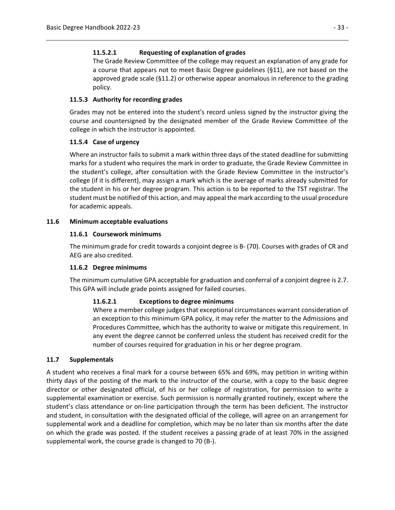## **11.5.2.1 Requesting of explanation of grades**

The Grade Review Committee of the college may request an explanation of any grade for a course that appears not to meet Basic Degree guidelines (§11), are not based on the approved grade scale (§11.2) or otherwise appear anomalous in reference to the grading policy.

## **11.5.3 Authority for recording grades**

Grades may not be entered into the student's record unless signed by the instructor giving the course and countersigned by the designated member of the Grade Review Committee of the college in which the instructor is appointed.

## **11.5.4 Case of urgency**

Where an instructor fails to submit a mark within three days of the stated deadline for submitting marks for a student who requires the mark in order to graduate, the Grade Review Committee in the student's college, after consultation with the Grade Review Committee in the instructor's college (if it is different), may assign a mark which is the average of marks already submitted for the student in his or her degree program. This action is to be reported to the TST registrar. The student must be notified of this action, and may appeal the mark according to the usual procedure for academic appeals.

## **11.6 Minimum acceptable evaluations**

## **11.6.1 Coursework minimums**

The minimum grade for credit towards a conjoint degree is B- (70). Courses with grades of CR and AEG are also credited.

## **11.6.2 Degree minimums**

The minimum cumulative GPA acceptable for graduation and conferral of a conjoint degree is 2.7. This GPA will include grade points assigned for failed courses.

## **11.6.2.1 Exceptions to degree minimums**

Where a member college judges that exceptional circumstances warrant consideration of an exception to this minimum GPA policy, it may refer the matter to the Admissions and Procedures Committee, which has the authority to waive or mitigate this requirement. In any event the degree cannot be conferred unless the student has received credit for the number of courses required for graduation in his or her degree program.

## **11.7 Supplementals**

A student who receives a final mark for a course between 65% and 69%, may petition in writing within thirty days of the posting of the mark to the instructor of the course, with a copy to the basic degree director or other designated official, of his or her college of registration, for permission to write a supplemental examination or exercise. Such permission is normally granted routinely, except where the student's class attendance or on-line participation through the term has been deficient. The instructor and student, in consultation with the designated official of the college, will agree on an arrangement for supplemental work and a deadline for completion, which may be no later than six months after the date on which the grade was posted. If the student receives a passing grade of at least 70% in the assigned supplemental work, the course grade is changed to 70 (B-).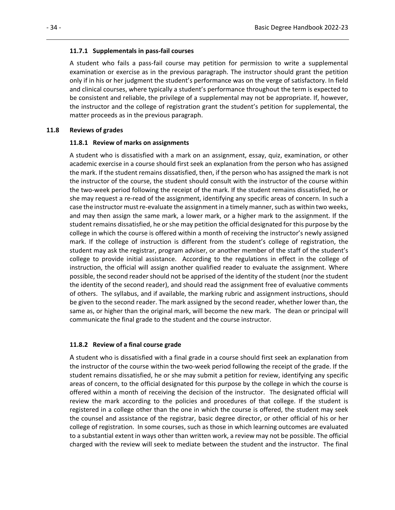#### **11.7.1 Supplementals in pass-fail courses**

A student who fails a pass-fail course may petition for permission to write a supplemental examination or exercise as in the previous paragraph. The instructor should grant the petition only if in his or her judgment the student's performance was on the verge of satisfactory. In field and clinical courses, where typically a student's performance throughout the term is expected to be consistent and reliable, the privilege of a supplemental may not be appropriate. If, however, the instructor and the college of registration grant the student's petition for supplemental, the matter proceeds as in the previous paragraph.

#### **11.8 Reviews of grades**

#### **11.8.1 Review of marks on assignments**

A student who is dissatisfied with a mark on an assignment, essay, quiz, examination, or other academic exercise in a course should first seek an explanation from the person who has assigned the mark. If the student remains dissatisfied, then, if the person who has assigned the mark is not the instructor of the course, the student should consult with the instructor of the course within the two-week period following the receipt of the mark. If the student remains dissatisfied, he or she may request a re-read of the assignment, identifying any specific areas of concern. In such a case the instructor must re-evaluate the assignment in a timely manner, such as within two weeks, and may then assign the same mark, a lower mark, or a higher mark to the assignment. If the student remains dissatisfied, he or she may petition the official designated for this purpose by the college in which the course is offered within a month of receiving the instructor's newly assigned mark. If the college of instruction is different from the student's college of registration, the student may ask the registrar, program adviser, or another member of the staff of the student's college to provide initial assistance. According to the regulations in effect in the college of instruction, the official will assign another qualified reader to evaluate the assignment. Where possible, the second reader should not be apprised of the identity of the student (nor the student the identity of the second reader), and should read the assignment free of evaluative comments of others. The syllabus, and if available, the marking rubric and assignment instructions, should be given to the second reader. The mark assigned by the second reader, whether lower than, the same as, or higher than the original mark, will become the new mark. The dean or principal will communicate the final grade to the student and the course instructor.

#### **11.8.2 Review of a final course grade**

A student who is dissatisfied with a final grade in a course should first seek an explanation from the instructor of the course within the two-week period following the receipt of the grade. If the student remains dissatisfied, he or she may submit a petition for review, identifying any specific areas of concern, to the official designated for this purpose by the college in which the course is offered within a month of receiving the decision of the instructor. The designated official will review the mark according to the policies and procedures of that college. If the student is registered in a college other than the one in which the course is offered, the student may seek the counsel and assistance of the registrar, basic degree director, or other official of his or her college of registration. In some courses, such as those in which learning outcomes are evaluated to a substantial extent in ways other than written work, a review may not be possible. The official charged with the review will seek to mediate between the student and the instructor. The final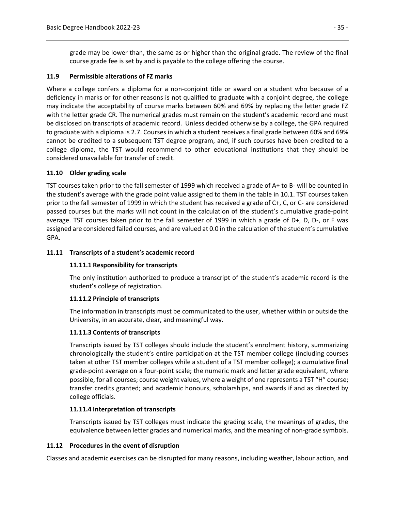grade may be lower than, the same as or higher than the original grade. The review of the final course grade fee is set by and is payable to the college offering the course.

### **11.9 Permissible alterations of FZ marks**

Where a college confers a diploma for a non-conjoint title or award on a student who because of a deficiency in marks or for other reasons is not qualified to graduate with a conjoint degree, the college may indicate the acceptability of course marks between 60% and 69% by replacing the letter grade FZ with the letter grade CR. The numerical grades must remain on the student's academic record and must be disclosed on transcripts of academic record. Unless decided otherwise by a college, the GPA required to graduate with a diploma is 2.7. Courses in which a student receives a final grade between 60% and 69% cannot be credited to a subsequent TST degree program, and, if such courses have been credited to a college diploma, the TST would recommend to other educational institutions that they should be considered unavailable for transfer of credit.

## **11.10 Older grading scale**

TST courses taken prior to the fall semester of 1999 which received a grade of A+ to B- will be counted in the student's average with the grade point value assigned to them in the table in 10.1. TST courses taken prior to the fall semester of 1999 in which the student has received a grade of C+, C, or C- are considered passed courses but the marks will not count in the calculation of the student's cumulative grade-point average. TST courses taken prior to the fall semester of 1999 in which a grade of D+, D, D-, or F was assigned are considered failed courses, and are valued at 0.0 in the calculation of the student's cumulative GPA.

### **11.11 Transcripts of a student's academic record**

#### **11.11.1 Responsibility for transcripts**

The only institution authorized to produce a transcript of the student's academic record is the student's college of registration.

#### **11.11.2 Principle of transcripts**

The information in transcripts must be communicated to the user, whether within or outside the University, in an accurate, clear, and meaningful way.

## **11.11.3 Contents of transcripts**

Transcripts issued by TST colleges should include the student's enrolment history, summarizing chronologically the student's entire participation at the TST member college (including courses taken at other TST member colleges while a student of a TST member college); a cumulative final grade-point average on a four-point scale; the numeric mark and letter grade equivalent, where possible, for all courses; course weight values, where a weight of one represents a TST "H" course; transfer credits granted; and academic honours, scholarships, and awards if and as directed by college officials.

## **11.11.4 Interpretation of transcripts**

Transcripts issued by TST colleges must indicate the grading scale, the meanings of grades, the equivalence between letter grades and numerical marks, and the meaning of non-grade symbols.

#### **11.12 Procedures in the event of disruption**

Classes and academic exercises can be disrupted for many reasons, including weather, labour action, and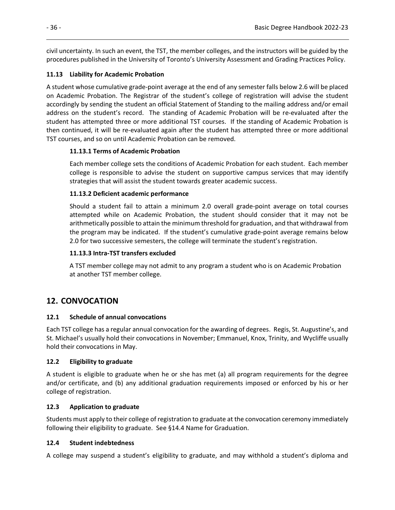civil uncertainty. In such an event, the TST, the member colleges, and the instructors will be guided by the procedures published in the University of Toronto's University Assessment and Grading Practices Policy.

## **11.13 Liability for Academic Probation**

A student whose cumulative grade-point average at the end of any semester falls below 2.6 will be placed on Academic Probation. The Registrar of the student's college of registration will advise the student accordingly by sending the student an official Statement of Standing to the mailing address and/or email address on the student's record. The standing of Academic Probation will be re-evaluated after the student has attempted three or more additional TST courses. If the standing of Academic Probation is then continued, it will be re-evaluated again after the student has attempted three or more additional TST courses, and so on until Academic Probation can be removed.

## **11.13.1 Terms of Academic Probation**

Each member college sets the conditions of Academic Probation for each student. Each member college is responsible to advise the student on supportive campus services that may identify strategies that will assist the student towards greater academic success.

## **11.13.2 Deficient academic performance**

Should a student fail to attain a minimum 2.0 overall grade-point average on total courses attempted while on Academic Probation, the student should consider that it may not be arithmetically possible to attain the minimum threshold for graduation, and that withdrawal from the program may be indicated. If the student's cumulative grade-point average remains below 2.0 for two successive semesters, the college will terminate the student's registration.

## **11.13.3 Intra-TST transfers excluded**

A TST member college may not admit to any program a student who is on Academic Probation at another TST member college.

# **12. CONVOCATION**

## **12.1 Schedule of annual convocations**

Each TST college has a regular annual convocation for the awarding of degrees. Regis, St. Augustine's, and St. Michael's usually hold their convocations in November; Emmanuel, Knox, Trinity, and Wycliffe usually hold their convocations in May.

## **12.2 Eligibility to graduate**

A student is eligible to graduate when he or she has met (a) all program requirements for the degree and/or certificate, and (b) any additional graduation requirements imposed or enforced by his or her college of registration.

## **12.3 Application to graduate**

Students must apply to their college of registration to graduate at the convocation ceremony immediately following their eligibility to graduate. See §14.4 Name for Graduation.

## **12.4 Student indebtedness**

A college may suspend a student's eligibility to graduate, and may withhold a student's diploma and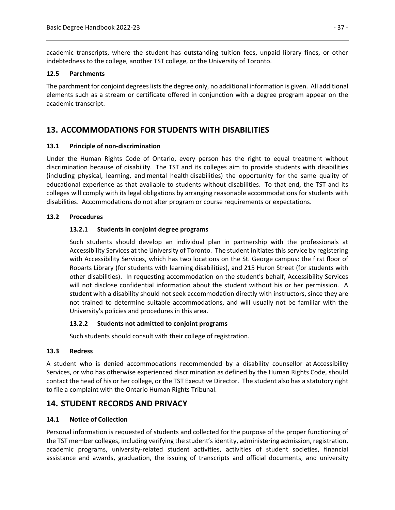academic transcripts, where the student has outstanding tuition fees, unpaid library fines, or other indebtedness to the college, another TST college, or the University of Toronto.

### **12.5 Parchments**

The parchment for conjoint degrees lists the degree only, no additional information is given. All additional elements such as a stream or certificate offered in conjunction with a degree program appear on the academic transcript.

# **13. ACCOMMODATIONS FOR STUDENTS WITH DISABILITIES**

### **13.1 Principle of non-discrimination**

Under the Human Rights Code of Ontario, every person has the right to equal treatment without discrimination because of disability. The TST and its colleges aim to provide students with disabilities (including physical, learning, and mental health disabilities) the opportunity for the same quality of educational experience as that available to students without disabilities. To that end, the TST and its colleges will comply with its legal obligations by arranging reasonable accommodations for students with disabilities. Accommodations do not alter program or course requirements or expectations.

### **13.2 Procedures**

### **13.2.1 Students in conjoint degree programs**

Such students should develop an individual plan in partnership with the professionals at Accessibility Services at the University of Toronto. The student initiates this service by registering with Accessibility Services, which has two locations on the St. George campus: the first floor of Robarts Library (for students with learning disabilities), and 215 Huron Street (for students with other disabilities). In requesting accommodation on the student's behalf, Accessibility Services will not disclose confidential information about the student without his or her permission. A student with a disability should not seek accommodation directly with instructors, since they are not trained to determine suitable accommodations, and will usually not be familiar with the University's policies and procedures in this area.

#### **13.2.2 Students not admitted to conjoint programs**

Such students should consult with their college of registration.

#### **13.3 Redress**

A student who is denied accommodations recommended by a disability counsellor at Accessibility Services, or who has otherwise experienced discrimination as defined by the Human Rights Code, should contact the head of his or her college, or the TST Executive Director. The student also has a statutory right to file a complaint with the Ontario Human Rights Tribunal.

## **14. STUDENT RECORDS AND PRIVACY**

## **14.1 Notice of Collection**

Personal information is requested of students and collected for the purpose of the proper functioning of the TST member colleges, including verifying the student's identity, administering admission, registration, academic programs, university-related student activities, activities of student societies, financial assistance and awards, graduation, the issuing of transcripts and official documents, and university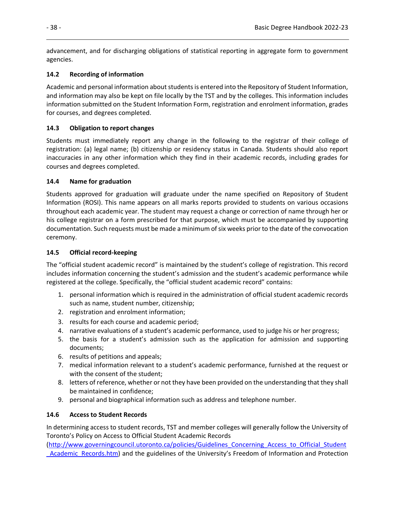advancement, and for discharging obligations of statistical reporting in aggregate form to government agencies.

## **14.2 Recording of information**

Academic and personal information about students is entered into the Repository of Student Information, and information may also be kept on file locally by the TST and by the colleges. This information includes information submitted on the Student Information Form, registration and enrolment information, grades for courses, and degrees completed.

## **14.3 Obligation to report changes**

Students must immediately report any change in the following to the registrar of their college of registration: (a) legal name; (b) citizenship or residency status in Canada. Students should also report inaccuracies in any other information which they find in their academic records, including grades for courses and degrees completed.

## **14.4 Name for graduation**

Students approved for graduation will graduate under the name specified on Repository of Student Information (ROSI). This name appears on all marks reports provided to students on various occasions throughout each academic year. The student may request a change or correction of name through her or his college registrar on a form prescribed for that purpose, which must be accompanied by supporting documentation. Such requests must be made a minimum of six weeks prior to the date of the convocation ceremony.

## **14.5 Official record-keeping**

The "official student academic record" is maintained by the student's college of registration. This record includes information concerning the student's admission and the student's academic performance while registered at the college. Specifically, the "official student academic record" contains:

- 1. personal information which is required in the administration of official student academic records such as name, student number, citizenship;
- 2. registration and enrolment information;
- 3. results for each course and academic period;
- 4. narrative evaluations of a student's academic performance, used to judge his or her progress;
- 5. the basis for a student's admission such as the application for admission and supporting documents;
- 6. results of petitions and appeals;
- 7. medical information relevant to a student's academic performance, furnished at the request or with the consent of the student;
- 8. letters of reference, whether or not they have been provided on the understanding that they shall be maintained in confidence;
- 9. personal and biographical information such as address and telephone number.

## **14.6 Access to Student Records**

In determining access to student records, TST and member colleges will generally follow the University of Toronto's Policy on Access to Official Student Academic Records

[\(http://www.governingcouncil.utoronto.ca/policies/Guidelines\\_Concerning\\_Access\\_to\\_Official\\_Student](http://www.governingcouncil.utoronto.ca/policies/Guidelines_Concerning_Access_to_Official_Student_Academic_Records.htm) Academic Records.htm) and the guidelines of the University's Freedom of Information and Protection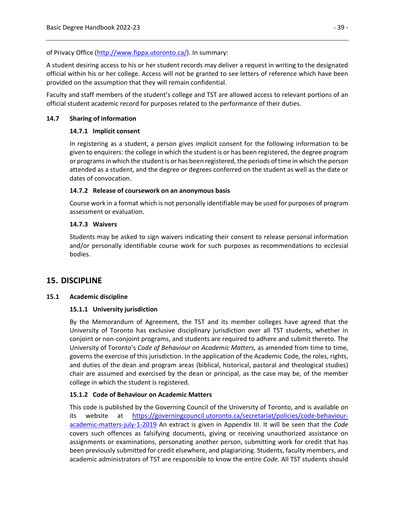of Privacy Office [\(http://www.fippa.utoronto.ca/\)](http://www.fippa.utoronto.ca/). In summary:

A student desiring access to his or her student records may deliver a request in writing to the designated official within his or her college. Access will not be granted to see letters of reference which have been provided on the assumption that they will remain confidential.

Faculty and staff members of the student's college and TST are allowed access to relevant portions of an official student academic record for purposes related to the performance of their duties.

### **14.7 Sharing of information**

### **14.7.1 Implicit consent**

In registering as a student, a person gives implicit consent for the following information to be given to enquirers: the college in which the student is or has been registered, the degree program or programs in which the student is or has been registered, the periods of time in which the person attended as a student, and the degree or degrees conferred on the student as well as the date or dates of convocation.

### **14.7.2 Release of coursework on an anonymous basis**

Course work in a format which is not personally identifiable may be used for purposes of program assessment or evaluation.

### **14.7.3 Waivers**

Students may be asked to sign waivers indicating their consent to release personal information and/or personally identifiable course work for such purposes as recommendations to ecclesial bodies.

## **15. DISCIPLINE**

#### **15.1 Academic discipline**

## **15.1.1 University jurisdiction**

By the Memorandum of Agreement, the TST and its member colleges have agreed that the University of Toronto has exclusive disciplinary jurisdiction over all TST students, whether in conjoint or non-conjoint programs, and students are required to adhere and submit thereto. The University of Toronto's *Code of Behaviour on Academic Matters,* as amended from time to time, governs the exercise of this jurisdiction. In the application of the Academic Code, the roles, rights, and duties of the dean and program areas (biblical, historical, pastoral and theological studies) chair are assumed and exercised by the dean or principal, as the case may be, of the member college in which the student is registered.

## **15.1.2 Code of Behaviour on Academic Matters**

This code is published by the Governing Council of the University of Toronto, and is available on its website at [https://governingcouncil.utoronto.ca/secretariat/policies/code-behaviour](https://governingcouncil.utoronto.ca/secretariat/policies/code-behaviour-academic-matters-july-1-2019)[academic-matters-july-1-2019](https://governingcouncil.utoronto.ca/secretariat/policies/code-behaviour-academic-matters-july-1-2019) An extract is given in Appendix III. It will be seen that the *Code* covers such offences as falsifying documents, giving or receiving unauthorized assistance on assignments or examinations, personating another person, submitting work for credit that has been previously submitted for credit elsewhere, and plagiarizing. Students, faculty members, and academic administrators of TST are responsible to know the entire *Code.* All TST students should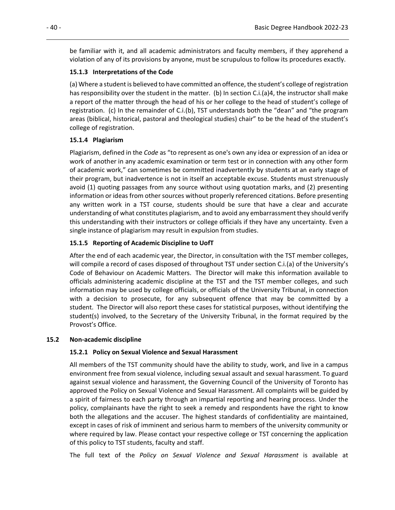be familiar with it, and all academic administrators and faculty members, if they apprehend a violation of any of its provisions by anyone, must be scrupulous to follow its procedures exactly.

## **15.1.3 Interpretations of the Code**

(a) Where a student is believed to have committed an offence, the student's college of registration has responsibility over the student in the matter. (b) In section C.i.(a)4, the instructor shall make a report of the matter through the head of his or her college to the head of student's college of registration. (c) In the remainder of C.i.(b), TST understands both the "dean" and "the program areas (biblical, historical, pastoral and theological studies) chair" to be the head of the student's college of registration.

## **15.1.4 Plagiarism**

Plagiarism, defined in the *Code* as "to represent as one's own any idea or expression of an idea or work of another in any academic examination or term test or in connection with any other form of academic work," can sometimes be committed inadvertently by students at an early stage of their program, but inadvertence is not in itself an acceptable excuse. Students must strenuously avoid (1) quoting passages from any source without using quotation marks, and (2) presenting information or ideas from other sources without properly referenced citations. Before presenting any written work in a TST course, students should be sure that have a clear and accurate understanding of what constitutes plagiarism, and to avoid any embarrassment they should verify this understanding with their instructors or college officials if they have any uncertainty. Even a single instance of plagiarism may result in expulsion from studies.

## **15.1.5 Reporting of Academic Discipline to UofT**

After the end of each academic year, the Director, in consultation with the TST member colleges, will compile a record of cases disposed of throughout TST under section C.i.(a) of the University's Code of Behaviour on Academic Matters. The Director will make this information available to officials administering academic discipline at the TST and the TST member colleges, and such information may be used by college officials, or officials of the University Tribunal, in connection with a decision to prosecute, for any subsequent offence that may be committed by a student. The Director will also report these cases for statistical purposes, without identifying the student(s) involved, to the Secretary of the University Tribunal, in the format required by the Provost's Office.

## **15.2 Non-academic discipline**

## **15.2.1 Policy on Sexual Violence and Sexual Harassment**

All members of the TST community should have the ability to study, work, and live in a campus environment free from sexual violence, including sexual assault and sexual harassment. To guard against sexual violence and harassment, the Governing Council of the University of Toronto has approved the Policy on Sexual Violence and Sexual Harassment. All complaints will be guided by a spirit of fairness to each party through an impartial reporting and hearing process. Under the policy, complainants have the right to seek a remedy and respondents have the right to know both the allegations and the accuser. The highest standards of confidentiality are maintained, except in cases of risk of imminent and serious harm to members of the university community or where required by law. Please contact your respective college or TST concerning the application of this policy to TST students, faculty and staff.

The full text of the *Policy on Sexual Violence and Sexual Harassment* is available at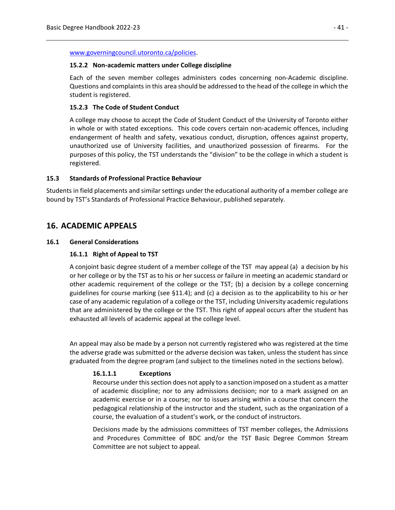[www.governingcouncil.utoronto.ca/policies.](http://www.governingcouncil.utoronto.ca/policies)

#### **15.2.2 Non-academic matters under College discipline**

Each of the seven member colleges administers codes concerning non-Academic discipline. Questions and complaints in this area should be addressed to the head of the college in which the student is registered.

#### **15.2.3 The Code of Student Conduct**

A college may choose to accept the Code of Student Conduct of the University of Toronto either in whole or with stated exceptions. This code covers certain non-academic offences, including endangerment of health and safety, vexatious conduct, disruption, offences against property, unauthorized use of University facilities, and unauthorized possession of firearms. For the purposes of this policy, the TST understands the "division" to be the college in which a student is registered.

### **15.3 Standards of Professional Practice Behaviour**

Students in field placements and similar settings under the educational authority of a member college are bound by TST's Standards of Professional Practice Behaviour, published separately.

## **16. ACADEMIC APPEALS**

### **16.1 General Considerations**

### **16.1.1 Right of Appeal to TST**

A conjoint basic degree student of a member college of the TST may appeal (a) a decision by his or her college or by the TST as to his or her success or failure in meeting an academic standard or other academic requirement of the college or the TST; (b) a decision by a college concerning guidelines for course marking (see §11.4); and (c) a decision as to the applicability to his or her case of any academic regulation of a college or the TST, including University academic regulations that are administered by the college or the TST. This right of appeal occurs after the student has exhausted all levels of academic appeal at the college level.

An appeal may also be made by a person not currently registered who was registered at the time the adverse grade was submitted or the adverse decision was taken, unless the student has since graduated from the degree program (and subject to the timelines noted in the sections below).

## **16.1.1.1 Exceptions**

Recourse under this section does not apply to a sanction imposed on a student as a matter of academic discipline; nor to any admissions decision; nor to a mark assigned on an academic exercise or in a course; nor to issues arising within a course that concern the pedagogical relationship of the instructor and the student, such as the organization of a course, the evaluation of a student's work, or the conduct of instructors.

Decisions made by the admissions committees of TST member colleges, the Admissions and Procedures Committee of BDC and/or the TST Basic Degree Common Stream Committee are not subject to appeal.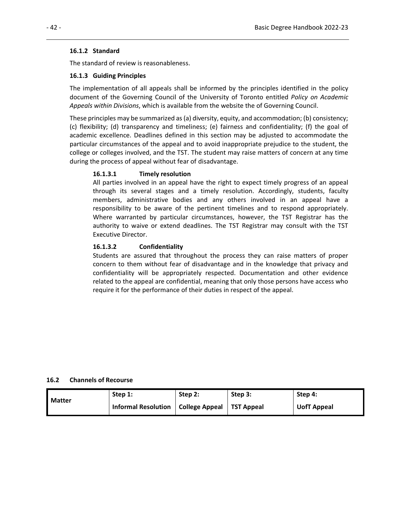### **16.1.2 Standard**

The standard of review is reasonableness.

### **16.1.3 Guiding Principles**

The implementation of all appeals shall be informed by the principles identified in the policy document of the Governing Council of the University of Toronto entitled *Policy on Academic Appeals within Divisions*, which is available from the website the of Governing Council.

These principles may be summarized as (a) diversity, equity, and accommodation; (b) consistency; (c) flexibility; (d) transparency and timeliness; (e) fairness and confidentiality; (f) the goal of academic excellence. Deadlines defined in this section may be adjusted to accommodate the particular circumstances of the appeal and to avoid inappropriate prejudice to the student, the college or colleges involved, and the TST. The student may raise matters of concern at any time during the process of appeal without fear of disadvantage.

## **16.1.3.1 Timely resolution**

All parties involved in an appeal have the right to expect timely progress of an appeal through its several stages and a timely resolution. Accordingly, students, faculty members, administrative bodies and any others involved in an appeal have a responsibility to be aware of the pertinent timelines and to respond appropriately. Where warranted by particular circumstances, however, the TST Registrar has the authority to waive or extend deadlines. The TST Registrar may consult with the TST Executive Director.

### **16.1.3.2 Confidentiality**

Students are assured that throughout the process they can raise matters of proper concern to them without fear of disadvantage and in the knowledge that privacy and confidentiality will be appropriately respected. Documentation and other evidence related to the appeal are confidential, meaning that only those persons have access who require it for the performance of their duties in respect of the appeal.

#### **16.2 Channels of Recourse**

|        | Step 1:                                           | Step 2: | Step 3: | Step 4:     |
|--------|---------------------------------------------------|---------|---------|-------------|
| Matter | Informal Resolution   College Appeal   TST Appeal |         |         | UofT Appeal |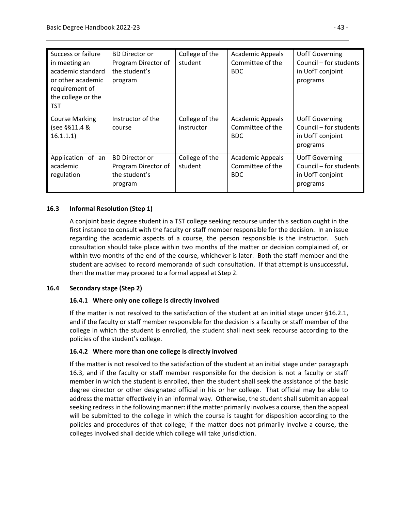| Success or failure<br>in meeting an<br>academic standard<br>or other academic<br>requirement of<br>the college or the<br>TST | <b>BD Director or</b><br>Program Director of<br>the student's<br>program | College of the<br>student    | <b>Academic Appeals</b><br>Committee of the<br><b>BDC</b> | <b>UofT Governing</b><br>Council - for students<br>in UofT conjoint<br>programs |
|------------------------------------------------------------------------------------------------------------------------------|--------------------------------------------------------------------------|------------------------------|-----------------------------------------------------------|---------------------------------------------------------------------------------|
| <b>Course Marking</b><br>(see §§11.4 &<br>16.1.1.1)                                                                          | Instructor of the<br>course                                              | College of the<br>instructor | <b>Academic Appeals</b><br>Committee of the<br><b>BDC</b> | <b>UofT Governing</b><br>Council – for students<br>in UofT conjoint<br>programs |
| Application of an<br>academic<br>regulation                                                                                  | <b>BD Director or</b><br>Program Director of<br>the student's<br>program | College of the<br>student    | <b>Academic Appeals</b><br>Committee of the<br><b>BDC</b> | <b>UofT Governing</b><br>Council – for students<br>in UofT conjoint<br>programs |

## **16.3 Informal Resolution (Step 1)**

A conjoint basic degree student in a TST college seeking recourse under this section ought in the first instance to consult with the faculty or staff member responsible for the decision. In an issue regarding the academic aspects of a course, the person responsible is the instructor. Such consultation should take place within two months of the matter or decision complained of, or within two months of the end of the course, whichever is later. Both the staff member and the student are advised to record memoranda of such consultation. If that attempt is unsuccessful, then the matter may proceed to a formal appeal at Step 2.

## **16.4 Secondary stage (Step 2)**

## **16.4.1 Where only one college is directly involved**

If the matter is not resolved to the satisfaction of the student at an initial stage under §16.2.1, and if the faculty or staff member responsible for the decision is a faculty or staff member of the college in which the student is enrolled, the student shall next seek recourse according to the policies of the student's college.

## **16.4.2 Where more than one college is directly involved**

If the matter is not resolved to the satisfaction of the student at an initial stage under paragraph 16.3, and if the faculty or staff member responsible for the decision is not a faculty or staff member in which the student is enrolled, then the student shall seek the assistance of the basic degree director or other designated official in his or her college. That official may be able to address the matter effectively in an informal way. Otherwise, the student shall submit an appeal seeking redress in the following manner: if the matter primarily involves a course, then the appeal will be submitted to the college in which the course is taught for disposition according to the policies and procedures of that college; if the matter does not primarily involve a course, the colleges involved shall decide which college will take jurisdiction.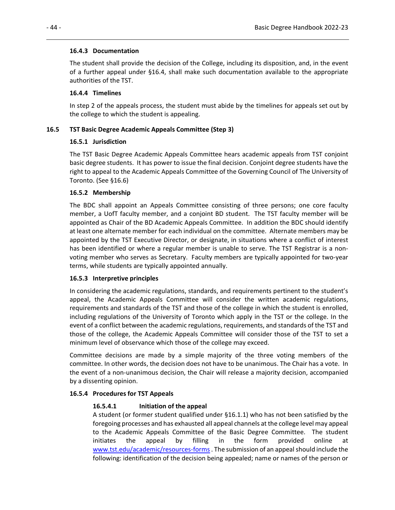### **16.4.3 Documentation**

The student shall provide the decision of the College, including its disposition, and, in the event of a further appeal under §16.4, shall make such documentation available to the appropriate authorities of the TST.

## **16.4.4 Timelines**

In step 2 of the appeals process, the student must abide by the timelines for appeals set out by the college to which the student is appealing.

## **16.5 TST Basic Degree Academic Appeals Committee (Step 3)**

### **16.5.1 Jurisdiction**

The TST Basic Degree Academic Appeals Committee hears academic appeals from TST conjoint basic degree students. It has power to issue the final decision. Conjoint degree students have the right to appeal to the Academic Appeals Committee of the Governing Council of The University of Toronto. (See §16.6)

### **16.5.2 Membership**

The BDC shall appoint an Appeals Committee consisting of three persons; one core faculty member, a UofT faculty member, and a conjoint BD student. The TST faculty member will be appointed as Chair of the BD Academic Appeals Committee. In addition the BDC should identify at least one alternate member for each individual on the committee. Alternate members may be appointed by the TST Executive Director, or designate, in situations where a conflict of interest has been identified or where a regular member is unable to serve. The TST Registrar is a nonvoting member who serves as Secretary. Faculty members are typically appointed for two-year terms, while students are typically appointed annually.

#### **16.5.3 Interpretive principles**

In considering the academic regulations, standards, and requirements pertinent to the student's appeal, the Academic Appeals Committee will consider the written academic regulations, requirements and standards of the TST and those of the college in which the student is enrolled, including regulations of the University of Toronto which apply in the TST or the college. In the event of a conflict between the academic regulations, requirements, and standards of the TST and those of the college, the Academic Appeals Committee will consider those of the TST to set a minimum level of observance which those of the college may exceed.

Committee decisions are made by a simple majority of the three voting members of the committee. In other words, the decision does not have to be unanimous. The Chair has a vote. In the event of a non-unanimous decision, the Chair will release a majority decision, accompanied by a dissenting opinion.

#### **16.5.4 Procedures for TST Appeals**

## **16.5.4.1 Initiation of the appeal**

A student (or former student qualified under §16.1.1) who has not been satisfied by the foregoing processes and has exhausted all appeal channels at the college level may appeal to the Academic Appeals Committee of the Basic Degree Committee. The student initiates the appeal by filling in the form provided online at [www.tst.edu/academic/resources-forms.](http://www.tst.edu/academic/resources-forms) The submission of an appeal should include the following: identification of the decision being appealed; name or names of the person or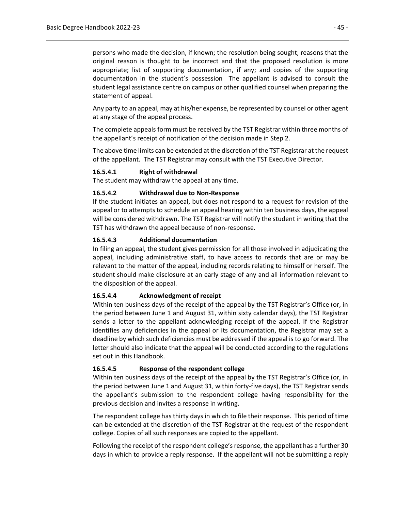persons who made the decision, if known; the resolution being sought; reasons that the original reason is thought to be incorrect and that the proposed resolution is more appropriate; list of supporting documentation, if any; and copies of the supporting documentation in the student's possession The appellant is advised to consult the student legal assistance centre on campus or other qualified counsel when preparing the statement of appeal.

Any party to an appeal, may at his/her expense, be represented by counsel or other agent at any stage of the appeal process.

The complete appeals form must be received by the TST Registrar within three months of the appellant's receipt of notification of the decision made in Step 2.

The above time limits can be extended at the discretion of the TST Registrar at the request of the appellant. The TST Registrar may consult with the TST Executive Director.

#### **16.5.4.1 Right of withdrawal**

The student may withdraw the appeal at any time.

## **16.5.4.2 Withdrawal due to Non-Response**

If the student initiates an appeal, but does not respond to a request for revision of the appeal or to attempts to schedule an appeal hearing within ten business days, the appeal will be considered withdrawn. The TST Registrar will notify the student in writing that the TST has withdrawn the appeal because of non-response.

#### **16.5.4.3 Additional documentation**

In filing an appeal, the student gives permission for all those involved in adjudicating the appeal, including administrative staff, to have access to records that are or may be relevant to the matter of the appeal, including records relating to himself or herself. The student should make disclosure at an early stage of any and all information relevant to the disposition of the appeal.

#### **16.5.4.4 Acknowledgment of receipt**

Within ten business days of the receipt of the appeal by the TST Registrar's Office (or, in the period between June 1 and August 31, within sixty calendar days), the TST Registrar sends a letter to the appellant acknowledging receipt of the appeal. If the Registrar identifies any deficiencies in the appeal or its documentation, the Registrar may set a deadline by which such deficiencies must be addressed if the appeal is to go forward. The letter should also indicate that the appeal will be conducted according to the regulations set out in this Handbook.

#### **16.5.4.5 Response of the respondent college**

Within ten business days of the receipt of the appeal by the TST Registrar's Office (or, in the period between June 1 and August 31, within forty-five days), the TST Registrar sends the appellant's submission to the respondent college having responsibility for the previous decision and invites a response in writing.

The respondent college has thirty days in which to file their response. This period of time can be extended at the discretion of the TST Registrar at the request of the respondent college. Copies of all such responses are copied to the appellant.

Following the receipt of the respondent college's response, the appellant has a further 30 days in which to provide a reply response. If the appellant will not be submitting a reply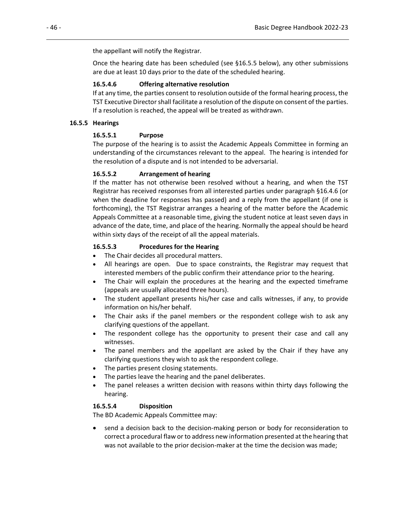the appellant will notify the Registrar.

Once the hearing date has been scheduled (see §16.5.5 below), any other submissions are due at least 10 days prior to the date of the scheduled hearing.

### **16.5.4.6 Offering alternative resolution**

If at any time, the parties consent to resolution outside of the formal hearing process, the TST Executive Director shall facilitate a resolution of the dispute on consent of the parties. If a resolution is reached, the appeal will be treated as withdrawn.

### **16.5.5 Hearings**

### **16.5.5.1 Purpose**

The purpose of the hearing is to assist the Academic Appeals Committee in forming an understanding of the circumstances relevant to the appeal. The hearing is intended for the resolution of a dispute and is not intended to be adversarial.

### **16.5.5.2 Arrangement of hearing**

If the matter has not otherwise been resolved without a hearing, and when the TST Registrar has received responses from all interested parties under paragraph §16.4.6 (or when the deadline for responses has passed) and a reply from the appellant (if one is forthcoming), the TST Registrar arranges a hearing of the matter before the Academic Appeals Committee at a reasonable time, giving the student notice at least seven days in advance of the date, time, and place of the hearing. Normally the appeal should be heard within sixty days of the receipt of all the appeal materials.

### **16.5.5.3 Procedures for the Hearing**

- The Chair decides all procedural matters.
- All hearings are open. Due to space constraints, the Registrar may request that interested members of the public confirm their attendance prior to the hearing.
- The Chair will explain the procedures at the hearing and the expected timeframe (appeals are usually allocated three hours).
- The student appellant presents his/her case and calls witnesses, if any, to provide information on his/her behalf.
- The Chair asks if the panel members or the respondent college wish to ask any clarifying questions of the appellant.
- The respondent college has the opportunity to present their case and call any witnesses.
- The panel members and the appellant are asked by the Chair if they have any clarifying questions they wish to ask the respondent college.
- The parties present closing statements.
- The parties leave the hearing and the panel deliberates.
- The panel releases a written decision with reasons within thirty days following the hearing.

## **16.5.5.4 Disposition**

The BD Academic Appeals Committee may:

• send a decision back to the decision-making person or body for reconsideration to correct a procedural flaw or to address new information presented at the hearing that was not available to the prior decision-maker at the time the decision was made;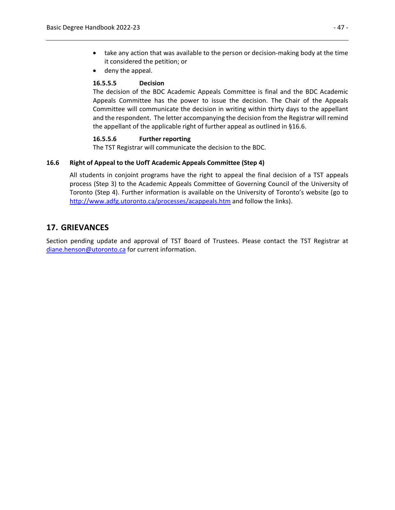- take any action that was available to the person or decision-making body at the time it considered the petition; or
- deny the appeal.

## **16.5.5.5 Decision**

The decision of the BDC Academic Appeals Committee is final and the BDC Academic Appeals Committee has the power to issue the decision. The Chair of the Appeals Committee will communicate the decision in writing within thirty days to the appellant and the respondent. The letter accompanying the decision from the Registrar will remind the appellant of the applicable right of further appeal as outlined in §16.6.

### **16.5.5.6 Further reporting**

The TST Registrar will communicate the decision to the BDC.

### **16.6 Right of Appeal to the UofT Academic Appeals Committee (Step 4)**

All students in conjoint programs have the right to appeal the final decision of a TST appeals process (Step 3) to the Academic Appeals Committee of Governing Council of the University of Toronto (Step 4). Further information is available on the University of Toronto's website (go to <http://www.adfg.utoronto.ca/processes/acappeals.htm> and follow the links).

## **17. GRIEVANCES**

Section pending update and approval of TST Board of Trustees. Please contact the TST Registrar at [diane.henson@utoronto.ca](mailto:diane.henson@utoronto.ca) for current information.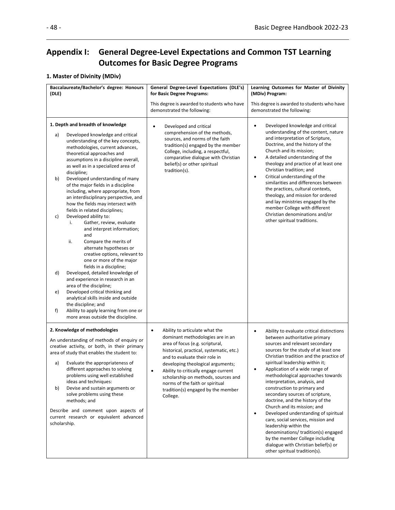# **Appendix I: General Degree-Level Expectations and Common TST Learning Outcomes for Basic Degree Programs**

# **1. Master of Divinity (MDiv)**

| Baccalaureate/Bachelor's degree: Honours<br>(DLE) |                                                                                                                                                                                                                                                                                                                                                                                                                                                                                                                                                                                                                                                                                                                                                                                                                                                                                                                                                                                                              | General Degree-Level Expectations (DLE's)<br>for Basic Degree Programs:                                                                                                                                                                                                                                                                                                                                  | Learning Outcomes for Master of Divinity<br>(MDiv) Program:                                                                                                                                                                                                                                                                                                                                                                                                                                                                                                                                                                                                                                                                                                  |
|---------------------------------------------------|--------------------------------------------------------------------------------------------------------------------------------------------------------------------------------------------------------------------------------------------------------------------------------------------------------------------------------------------------------------------------------------------------------------------------------------------------------------------------------------------------------------------------------------------------------------------------------------------------------------------------------------------------------------------------------------------------------------------------------------------------------------------------------------------------------------------------------------------------------------------------------------------------------------------------------------------------------------------------------------------------------------|----------------------------------------------------------------------------------------------------------------------------------------------------------------------------------------------------------------------------------------------------------------------------------------------------------------------------------------------------------------------------------------------------------|--------------------------------------------------------------------------------------------------------------------------------------------------------------------------------------------------------------------------------------------------------------------------------------------------------------------------------------------------------------------------------------------------------------------------------------------------------------------------------------------------------------------------------------------------------------------------------------------------------------------------------------------------------------------------------------------------------------------------------------------------------------|
|                                                   |                                                                                                                                                                                                                                                                                                                                                                                                                                                                                                                                                                                                                                                                                                                                                                                                                                                                                                                                                                                                              | This degree is awarded to students who have<br>demonstrated the following:                                                                                                                                                                                                                                                                                                                               | This degree is awarded to students who have<br>demonstrated the following:                                                                                                                                                                                                                                                                                                                                                                                                                                                                                                                                                                                                                                                                                   |
| a)<br>b)<br>c)<br>d)<br>e)<br>f)                  | 1. Depth and breadth of knowledge<br>Developed knowledge and critical<br>understanding of the key concepts,<br>methodologies, current advances,<br>theoretical approaches and<br>assumptions in a discipline overall,<br>as well as in a specialized area of<br>discipline;<br>Developed understanding of many<br>of the major fields in a discipline<br>including, where appropriate, from<br>an interdisciplinary perspective, and<br>how the fields may intersect with<br>fields in related disciplines;<br>Developed ability to:<br>Gather, review, evaluate<br>i.<br>and interpret information;<br>and<br>ii.<br>Compare the merits of<br>alternate hypotheses or<br>creative options, relevant to<br>one or more of the major<br>fields in a discipline;<br>Developed, detailed knowledge of<br>and experience in research in an<br>area of the discipline;<br>Developed critical thinking and<br>analytical skills inside and outside<br>the discipline; and<br>Ability to apply learning from one or | Developed and critical<br>$\bullet$<br>comprehension of the methods,<br>sources, and norms of the faith<br>tradition(s) engaged by the member<br>College, including, a respectful,<br>comparative dialogue with Christian<br>belief(s) or other spiritual<br>tradition(s).                                                                                                                               | Developed knowledge and critical<br>٠<br>understanding of the content, nature<br>and interpretation of Scripture,<br>Doctrine, and the history of the<br>Church and its mission;<br>A detailed understanding of the<br>$\bullet$<br>theology and practice of at least one<br>Christian tradition; and<br>Critical understanding of the<br>$\bullet$<br>similarities and differences between<br>the practices, cultural contexts,<br>theology, and mission for ordered<br>and lay ministries engaged by the<br>member College with different<br>Christian denominations and/or<br>other spiritual traditions.                                                                                                                                                 |
| a)<br>b)<br>scholarship.                          | more areas outside the discipline.<br>2. Knowledge of methodologies<br>An understanding of methods of enquiry or<br>creative activity, or both, in their primary<br>area of study that enables the student to:<br>Evaluate the appropriateness of<br>different approaches to solving<br>problems using well established<br>ideas and techniques:<br>Devise and sustain arguments or<br>solve problems using these<br>methods; and<br>Describe and comment upon aspects of<br>current research or equivalent advanced                                                                                                                                                                                                                                                                                                                                                                                                                                                                                         | Ability to articulate what the<br>$\bullet$<br>dominant methodologies are in an<br>area of focus (e.g. scriptural,<br>historical, practical, systematic, etc.)<br>and to evaluate their role in<br>developing theological arguments;<br>Ability to critically engage current<br>scholarship on methods, sources and<br>norms of the faith or spiritual<br>tradition(s) engaged by the member<br>College. | Ability to evaluate critical distinctions<br>$\bullet$<br>between authoritative primary<br>sources and relevant secondary<br>sources for the study of at least one<br>Christian tradition and the practice of<br>spiritual leadership within it;<br>Application of a wide range of<br>methodological approaches towards<br>interpretation, analysis, and<br>construction to primary and<br>secondary sources of scripture,<br>doctrine, and the history of the<br>Church and its mission; and<br>Developed understanding of spiritual<br>٠<br>care, social services, mission and<br>leadership within the<br>denominations/ tradition(s) engaged<br>by the member College including<br>dialogue with Christian belief(s) or<br>other spiritual tradition(s). |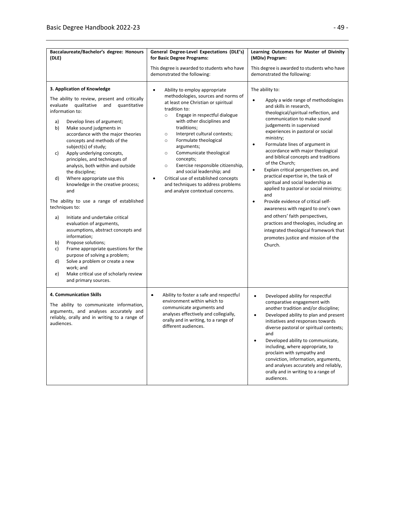| Baccalaureate/Bachelor's degree: Honours<br>(DLE)                                                                                                                                                                                                                                                                                                                                                                                                                                                                                                                                                                                                                                                                                                                                                                                                                                                                                                            | General Degree-Level Expectations (DLE's)<br>for Basic Degree Programs:                                                                                                                                                                                                                                                                                                                                                                                                                                                                                                                         | Learning Outcomes for Master of Divinity<br>(MDiv) Program:                                                                                                                                                                                                                                                                                                                                                                                                                                                                                                                                                                                                                                                                                                                                                                      |
|--------------------------------------------------------------------------------------------------------------------------------------------------------------------------------------------------------------------------------------------------------------------------------------------------------------------------------------------------------------------------------------------------------------------------------------------------------------------------------------------------------------------------------------------------------------------------------------------------------------------------------------------------------------------------------------------------------------------------------------------------------------------------------------------------------------------------------------------------------------------------------------------------------------------------------------------------------------|-------------------------------------------------------------------------------------------------------------------------------------------------------------------------------------------------------------------------------------------------------------------------------------------------------------------------------------------------------------------------------------------------------------------------------------------------------------------------------------------------------------------------------------------------------------------------------------------------|----------------------------------------------------------------------------------------------------------------------------------------------------------------------------------------------------------------------------------------------------------------------------------------------------------------------------------------------------------------------------------------------------------------------------------------------------------------------------------------------------------------------------------------------------------------------------------------------------------------------------------------------------------------------------------------------------------------------------------------------------------------------------------------------------------------------------------|
|                                                                                                                                                                                                                                                                                                                                                                                                                                                                                                                                                                                                                                                                                                                                                                                                                                                                                                                                                              | This degree is awarded to students who have<br>demonstrated the following:                                                                                                                                                                                                                                                                                                                                                                                                                                                                                                                      | This degree is awarded to students who have<br>demonstrated the following:                                                                                                                                                                                                                                                                                                                                                                                                                                                                                                                                                                                                                                                                                                                                                       |
| 3. Application of Knowledge<br>The ability to review, present and critically<br>evaluate qualitative and<br>quantitative<br>information to:<br>a)<br>Develop lines of argument;<br>b)<br>Make sound judgments in<br>accordance with the major theories<br>concepts and methods of the<br>subject(s) of study;<br>Apply underlying concepts,<br>c)<br>principles, and techniques of<br>analysis, both within and outside<br>the discipline;<br>Where appropriate use this<br>d)<br>knowledge in the creative process;<br>and<br>The ability to use a range of established<br>techniques to:<br>Initiate and undertake critical<br>a)<br>evaluation of arguments,<br>assumptions, abstract concepts and<br>information;<br>Propose solutions;<br>b)<br>Frame appropriate questions for the<br>c)<br>purpose of solving a problem;<br>Solve a problem or create a new<br>d)<br>work; and<br>Make critical use of scholarly review<br>e)<br>and primary sources. | $\bullet$<br>Ability to employ appropriate<br>methodologies, sources and norms of<br>at least one Christian or spiritual<br>tradition to:<br>Engage in respectful dialogue<br>$\circ$<br>with other disciplines and<br>traditions;<br>Interpret cultural contexts;<br>$\circ$<br>Formulate theological<br>$\circ$<br>arguments;<br>Communicate theological<br>$\circ$<br>concepts;<br>Exercise responsible citizenship,<br>$\circ$<br>and social leadership; and<br>Critical use of established concepts<br>$\bullet$<br>and techniques to address problems<br>and analyze contextual concerns. | The ability to:<br>Apply a wide range of methodologies<br>$\bullet$<br>and skills in research,<br>theological/spiritual reflection, and<br>communication to make sound<br>judgements in supervised<br>experiences in pastoral or social<br>ministry;<br>Formulate lines of argument in<br>٠<br>accordance with major theological<br>and biblical concepts and traditions<br>of the Church;<br>Explain critical perspectives on, and<br>٠<br>practical expertise in, the task of<br>spiritual and social leadership as<br>applied to pastoral or social ministry;<br>and<br>Provide evidence of critical self-<br>٠<br>awareness with regard to one's own<br>and others' faith perspectives,<br>practices and theologies, including an<br>integrated theological framework that<br>promotes justice and mission of the<br>Church. |
| 4. Communication Skills<br>The ability to communicate information,<br>arguments, and analyses accurately and<br>reliably, orally and in writing to a range of<br>audiences.                                                                                                                                                                                                                                                                                                                                                                                                                                                                                                                                                                                                                                                                                                                                                                                  | Ability to foster a safe and respectful<br>$\bullet$<br>environment within which to<br>communicate arguments and<br>analyses effectively and collegially,<br>orally and in writing, to a range of<br>different audiences.                                                                                                                                                                                                                                                                                                                                                                       | $\bullet$<br>Developed ability for respectful<br>comparative engagement with<br>another tradition and/or discipline;<br>Developed ability to plan and present<br>$\bullet$<br>initiatives and responses towards<br>diverse pastoral or spiritual contexts;<br>and<br>Developed ability to communicate,<br>including, where appropriate, to<br>proclaim with sympathy and<br>conviction, information, arguments,<br>and analyses accurately and reliably,<br>orally and in writing to a range of<br>audiences.                                                                                                                                                                                                                                                                                                                    |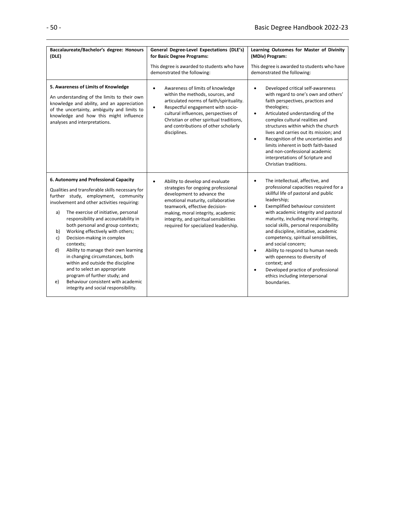| Baccalaureate/Bachelor's degree: Honours<br>(DLE)                                                                                                                                                                                                                                                                                                                                                                                                                                                                                                                                                                                                                                | General Degree-Level Expectations (DLE's)<br>for Basic Degree Programs:<br>This degree is awarded to students who have<br>demonstrated the following:                                                                                                                                                                       | Learning Outcomes for Master of Divinity<br>(MDiv) Program:<br>This degree is awarded to students who have<br>demonstrated the following:                                                                                                                                                                                                                                                                                                                                                                                                                                                                                               |
|----------------------------------------------------------------------------------------------------------------------------------------------------------------------------------------------------------------------------------------------------------------------------------------------------------------------------------------------------------------------------------------------------------------------------------------------------------------------------------------------------------------------------------------------------------------------------------------------------------------------------------------------------------------------------------|-----------------------------------------------------------------------------------------------------------------------------------------------------------------------------------------------------------------------------------------------------------------------------------------------------------------------------|-----------------------------------------------------------------------------------------------------------------------------------------------------------------------------------------------------------------------------------------------------------------------------------------------------------------------------------------------------------------------------------------------------------------------------------------------------------------------------------------------------------------------------------------------------------------------------------------------------------------------------------------|
| 5. Awareness of Limits of Knowledge<br>An understanding of the limits to their own<br>knowledge and ability, and an appreciation<br>of the uncertainty, ambiguity and limits to<br>knowledge and how this might influence<br>analyses and interpretations.                                                                                                                                                                                                                                                                                                                                                                                                                       | Awareness of limits of knowledge<br>$\bullet$<br>within the methods, sources, and<br>articulated norms of faith/spirituality.<br>Respectful engagement with socio-<br>$\bullet$<br>cultural influences, perspectives of<br>Christian or other spiritual traditions,<br>and contributions of other scholarly<br>disciplines. | Developed critical self-awareness<br>$\bullet$<br>with regard to one's own and others'<br>faith perspectives, practices and<br>theologies;<br>Articulated understanding of the<br>$\bullet$<br>complex cultural realities and<br>structures within which the church<br>lives and carries out its mission; and<br>Recognition of the uncertainties and<br>$\bullet$<br>limits inherent in both faith-based<br>and non-confessional academic<br>interpretations of Scripture and<br>Christian traditions.                                                                                                                                 |
| 6. Autonomy and Professional Capacity<br>Qualities and transferable skills necessary for<br>further study, employment, community<br>involvement and other activities requiring:<br>The exercise of initiative, personal<br>a)<br>responsibility and accountability in<br>both personal and group contexts;<br>Working effectively with others;<br>b)<br>Decision-making in complex<br>c)<br>contexts;<br>Ability to manage their own learning<br>d)<br>in changing circumstances, both<br>within and outside the discipline<br>and to select an appropriate<br>program of further study; and<br>Behaviour consistent with academic<br>e)<br>integrity and social responsibility. | Ability to develop and evaluate<br>$\bullet$<br>strategies for ongoing professional<br>development to advance the<br>emotional maturity, collaborative<br>teamwork, effective decision-<br>making, moral integrity, academic<br>integrity, and spiritual sensibilities<br>required for specialized leadership.              | The intellectual, affective, and<br>$\bullet$<br>professional capacities required for a<br>skillful life of pastoral and public<br>leadership;<br>Exemplified behaviour consistent<br>$\bullet$<br>with academic integrity and pastoral<br>maturity, including moral integrity,<br>social skills, personal responsibility<br>and discipline, initiative, academic<br>competency, spiritual sensibilities,<br>and social concern;<br>Ability to respond to human needs<br>$\bullet$<br>with openness to diversity of<br>context; and<br>Developed practice of professional<br>$\bullet$<br>ethics including interpersonal<br>boundaries. |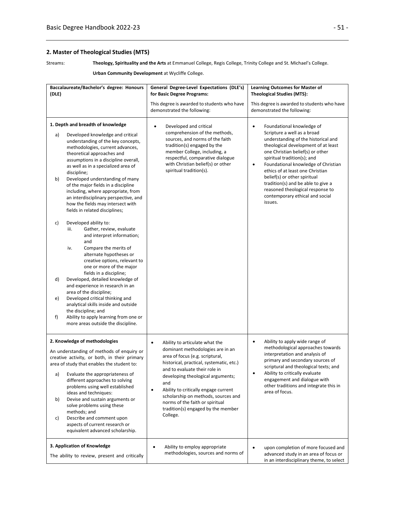## **2. Master of Theological Studies (MTS)**

Streams: **Theology, Spirituality and the Arts** at Emmanuel College, Regis College, Trinity College and St. Michael's College.

| Urban Community Development at Wycliffe College. |  |  |  |
|--------------------------------------------------|--|--|--|
|--------------------------------------------------|--|--|--|

| Baccalaureate/Bachelor's degree: Honours<br>(DLE)                                                                                                                                                                                                                                                                                                                                                                                                                                                                | General Degree-Level Expectations (DLE's)<br>for Basic Degree Programs:                                                                                                                                                                                                                                                                                                                                                      | <b>Learning Outcomes for Master of</b><br><b>Theological Studies (MTS):</b>                                                                                                                                                                                                                                                                                                                                                  |
|------------------------------------------------------------------------------------------------------------------------------------------------------------------------------------------------------------------------------------------------------------------------------------------------------------------------------------------------------------------------------------------------------------------------------------------------------------------------------------------------------------------|------------------------------------------------------------------------------------------------------------------------------------------------------------------------------------------------------------------------------------------------------------------------------------------------------------------------------------------------------------------------------------------------------------------------------|------------------------------------------------------------------------------------------------------------------------------------------------------------------------------------------------------------------------------------------------------------------------------------------------------------------------------------------------------------------------------------------------------------------------------|
|                                                                                                                                                                                                                                                                                                                                                                                                                                                                                                                  | This degree is awarded to students who have<br>demonstrated the following:                                                                                                                                                                                                                                                                                                                                                   | This degree is awarded to students who have<br>demonstrated the following:                                                                                                                                                                                                                                                                                                                                                   |
| 1. Depth and breadth of knowledge                                                                                                                                                                                                                                                                                                                                                                                                                                                                                | Developed and critical<br>٠                                                                                                                                                                                                                                                                                                                                                                                                  | Foundational knowledge of<br>٠                                                                                                                                                                                                                                                                                                                                                                                               |
| Developed knowledge and critical<br>a)<br>understanding of the key concepts,<br>methodologies, current advances,<br>theoretical approaches and<br>assumptions in a discipline overall,<br>as well as in a specialized area of<br>discipline;<br>Developed understanding of many<br>b)<br>of the major fields in a discipline<br>including, where appropriate, from<br>an interdisciplinary perspective, and<br>how the fields may intersect with<br>fields in related disciplines;                               | comprehension of the methods,<br>sources, and norms of the faith<br>tradition(s) engaged by the<br>member College, including, a<br>respectful, comparative dialogue<br>with Christian belief(s) or other<br>spiritual tradition(s).                                                                                                                                                                                          | Scripture a well as a broad<br>understanding of the historical and<br>theological development of at least<br>one Christian belief(s) or other<br>spiritual tradition(s); and<br>Foundational knowledge of Christian<br>$\bullet$<br>ethics of at least one Christian<br>belief(s) or other spiritual<br>tradition(s) and be able to give a<br>reasoned theological response to<br>contemporary ethical and social<br>issues. |
| c)<br>Developed ability to:<br>Gather, review, evaluate<br>iii.<br>and interpret information;<br>and<br>iv.<br>Compare the merits of<br>alternate hypotheses or<br>creative options, relevant to<br>one or more of the major<br>fields in a discipline;                                                                                                                                                                                                                                                          |                                                                                                                                                                                                                                                                                                                                                                                                                              |                                                                                                                                                                                                                                                                                                                                                                                                                              |
| Developed, detailed knowledge of<br>d)<br>and experience in research in an<br>area of the discipline;<br>Developed critical thinking and<br>e)<br>analytical skills inside and outside                                                                                                                                                                                                                                                                                                                           |                                                                                                                                                                                                                                                                                                                                                                                                                              |                                                                                                                                                                                                                                                                                                                                                                                                                              |
| the discipline; and<br>Ability to apply learning from one or<br>f)<br>more areas outside the discipline.                                                                                                                                                                                                                                                                                                                                                                                                         |                                                                                                                                                                                                                                                                                                                                                                                                                              |                                                                                                                                                                                                                                                                                                                                                                                                                              |
| 2. Knowledge of methodologies<br>An understanding of methods of enquiry or<br>creative activity, or both, in their primary<br>area of study that enables the student to:<br>Evaluate the appropriateness of<br>a)<br>different approaches to solving<br>problems using well established<br>ideas and techniques:<br>Devise and sustain arguments or<br>b)<br>solve problems using these<br>methods; and<br>Describe and comment upon<br>c)<br>aspects of current research or<br>equivalent advanced scholarship. | $\bullet$<br>Ability to articulate what the<br>dominant methodologies are in an<br>area of focus (e.g. scriptural,<br>historical, practical, systematic, etc.)<br>and to evaluate their role in<br>developing theological arguments;<br>and<br>Ability to critically engage current<br>$\bullet$<br>scholarship on methods, sources and<br>norms of the faith or spiritual<br>tradition(s) engaged by the member<br>College. | Ability to apply wide range of<br>$\bullet$<br>methodological approaches towards<br>interpretation and analysis of<br>primary and secondary sources of<br>scriptural and theological texts; and<br>Ability to critically evaluate<br>engagement and dialogue with<br>other traditions and integrate this in<br>area of focus.                                                                                                |
| 3. Application of Knowledge<br>The ability to review, present and critically                                                                                                                                                                                                                                                                                                                                                                                                                                     | Ability to employ appropriate<br>$\bullet$<br>methodologies, sources and norms of                                                                                                                                                                                                                                                                                                                                            | upon completion of more focused and<br>advanced study in an area of focus or<br>in an interdisciplinary theme, to select                                                                                                                                                                                                                                                                                                     |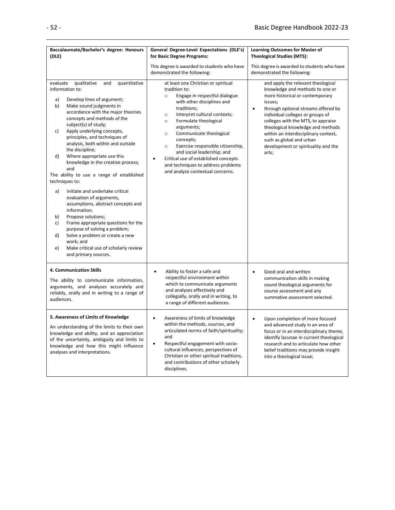| Baccalaureate/Bachelor's degree: Honours                                                                                                                                                                                                                                                                                                                                                                                                                                                                                                                                                                                                                                                                                                                                                                                                                                           | General Degree-Level Expectations (DLE's)                                                                                                                                                                                                                                                                                                                                                                                                                                                                  | <b>Learning Outcomes for Master of</b>                                                                                                                                                                                                                                                                                                                                                                     |
|------------------------------------------------------------------------------------------------------------------------------------------------------------------------------------------------------------------------------------------------------------------------------------------------------------------------------------------------------------------------------------------------------------------------------------------------------------------------------------------------------------------------------------------------------------------------------------------------------------------------------------------------------------------------------------------------------------------------------------------------------------------------------------------------------------------------------------------------------------------------------------|------------------------------------------------------------------------------------------------------------------------------------------------------------------------------------------------------------------------------------------------------------------------------------------------------------------------------------------------------------------------------------------------------------------------------------------------------------------------------------------------------------|------------------------------------------------------------------------------------------------------------------------------------------------------------------------------------------------------------------------------------------------------------------------------------------------------------------------------------------------------------------------------------------------------------|
| (DLE)                                                                                                                                                                                                                                                                                                                                                                                                                                                                                                                                                                                                                                                                                                                                                                                                                                                                              | for Basic Degree Programs:<br><b>Theological Studies (MTS):</b>                                                                                                                                                                                                                                                                                                                                                                                                                                            |                                                                                                                                                                                                                                                                                                                                                                                                            |
|                                                                                                                                                                                                                                                                                                                                                                                                                                                                                                                                                                                                                                                                                                                                                                                                                                                                                    | This degree is awarded to students who have<br>demonstrated the following:                                                                                                                                                                                                                                                                                                                                                                                                                                 | This degree is awarded to students who have<br>demonstrated the following:                                                                                                                                                                                                                                                                                                                                 |
| qualitative<br>quantitative<br>evaluate<br>and<br>information to:<br>Develop lines of argument;<br>a)<br>Make sound judgments in<br>b)<br>accordance with the major theories<br>concepts and methods of the<br>subject(s) of study;<br>c)<br>Apply underlying concepts,<br>principles, and techniques of<br>analysis, both within and outside<br>the discipline;<br>d)<br>Where appropriate use this<br>knowledge in the creative process;<br>and<br>The ability to use a range of established<br>techniques to:<br>Initiate and undertake critical<br>a)<br>evaluation of arguments,<br>assumptions, abstract concepts and<br>information;<br>Propose solutions;<br>b)<br>Frame appropriate questions for the<br>c)<br>purpose of solving a problem;<br>Solve a problem or create a new<br>d)<br>work; and<br>Make critical use of scholarly review<br>e)<br>and primary sources. | at least one Christian or spiritual<br>tradition to:<br>Engage in respectful dialogue<br>$\circ$<br>with other disciplines and<br>traditions;<br>Interpret cultural contexts;<br>$\circ$<br>Formulate theological<br>$\circ$<br>arguments;<br>Communicate theological<br>$\circ$<br>concepts;<br>Exercise responsible citizenship,<br>$\circ$<br>and social leadership; and<br>Critical use of established concepts<br>$\bullet$<br>and techniques to address problems<br>and analyze contextual concerns. | and apply the relevant theological<br>knowledge and methods to one or<br>more historical or contemporary<br>issues;<br>through optional streams offered by<br>$\bullet$<br>individual colleges or groups of<br>colleges with the MTS, to appraise<br>theological knowledge and methods<br>within an interdisciplinary context,<br>such as global and urban<br>development or spirituality and the<br>arts; |
| 4. Communication Skills<br>The ability to communicate information,<br>arguments, and analyses accurately and<br>reliably, orally and in writing to a range of<br>audiences.                                                                                                                                                                                                                                                                                                                                                                                                                                                                                                                                                                                                                                                                                                        | Ability to foster a safe and<br>$\bullet$<br>respectful environment within<br>which to communicate arguments<br>and analyses effectively and<br>collegially, orally and in writing, to<br>a range of different audiences.                                                                                                                                                                                                                                                                                  | $\bullet$<br>Good oral and written<br>communication skills in making<br>sound theological arguments for<br>course assessment and any<br>summative assessment selected.                                                                                                                                                                                                                                     |
| 5. Awareness of Limits of Knowledge<br>An understanding of the limits to their own<br>knowledge and ability, and an appreciation<br>of the uncertainty, ambiguity and limits to<br>knowledge and how this might influence<br>analyses and interpretations.                                                                                                                                                                                                                                                                                                                                                                                                                                                                                                                                                                                                                         | Awareness of limits of knowledge<br>$\bullet$<br>within the methods, sources, and<br>articulated norms of faith/spirituality;<br>and<br>Respectful engagement with socio-<br>$\bullet$<br>cultural influences, perspectives of<br>Christian or other spiritual traditions,<br>and contributions of other scholarly<br>disciplines.                                                                                                                                                                         | Upon completion of more focused<br>$\bullet$<br>and advanced study in an area of<br>focus or in an interdisciplinary theme,<br>identify lacunae in current theological<br>research and to articulate how other<br>belief traditions may provide insight<br>into a theological issue;                                                                                                                       |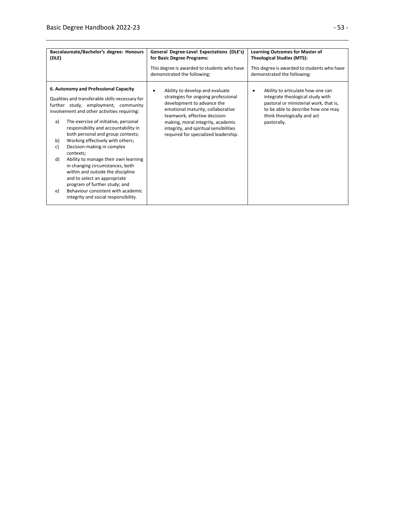| Baccalaureate/Bachelor's degree: Honours<br>(DLE) |                                                                                                                                                                                                                                                                                                                                                                                                                                                                                                                                                                                                            | General Degree-Level Expectations (DLE's)<br><b>Learning Outcomes for Master of</b><br>for Basic Degree Programs:<br><b>Theological Studies (MTS):</b>                                                                                                                                                         |                                                                                                                                                                                                          |
|---------------------------------------------------|------------------------------------------------------------------------------------------------------------------------------------------------------------------------------------------------------------------------------------------------------------------------------------------------------------------------------------------------------------------------------------------------------------------------------------------------------------------------------------------------------------------------------------------------------------------------------------------------------------|----------------------------------------------------------------------------------------------------------------------------------------------------------------------------------------------------------------------------------------------------------------------------------------------------------------|----------------------------------------------------------------------------------------------------------------------------------------------------------------------------------------------------------|
|                                                   |                                                                                                                                                                                                                                                                                                                                                                                                                                                                                                                                                                                                            | This degree is awarded to students who have<br>demonstrated the following:                                                                                                                                                                                                                                     | This degree is awarded to students who have<br>demonstrated the following:                                                                                                                               |
| a)<br>b)<br>c)<br>d)<br>e)                        | 6. Autonomy and Professional Capacity<br>Qualities and transferable skills necessary for<br>further study, employment, community<br>involvement and other activities requiring:<br>The exercise of initiative, personal<br>responsibility and accountability in<br>both personal and group contexts;<br>Working effectively with others;<br>Decision-making in complex<br>contexts;<br>Ability to manage their own learning<br>in changing circumstances, both<br>within and outside the discipline<br>and to select an appropriate<br>program of further study; and<br>Behaviour consistent with academic | Ability to develop and evaluate<br>$\bullet$<br>strategies for ongoing professional<br>development to advance the<br>emotional maturity, collaborative<br>teamwork, effective decision-<br>making, moral integrity, academic<br>integrity, and spiritual sensibilities<br>required for specialized leadership. | Ability to articulate how one can<br>٠<br>integrate theological study with<br>pastoral or ministerial work, that is,<br>to be able to describe how one may<br>think theologically and act<br>pastorally. |
|                                                   | integrity and social responsibility.                                                                                                                                                                                                                                                                                                                                                                                                                                                                                                                                                                       |                                                                                                                                                                                                                                                                                                                |                                                                                                                                                                                                          |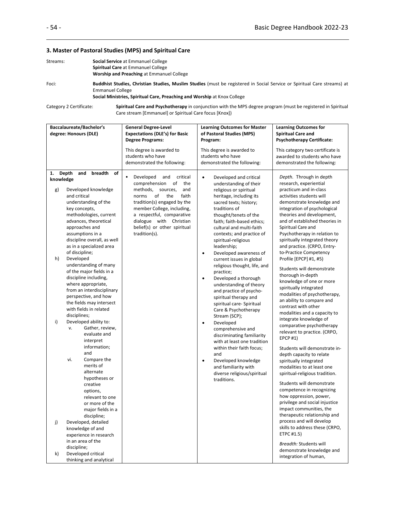#### **3. Master of Pastoral Studies (MPS) and Spiritual Care**

| Streams: | <b>Social Service at Emmanuel College</b>                                                                                |
|----------|--------------------------------------------------------------------------------------------------------------------------|
|          | <b>Spiritual Care</b> at Emmanuel College                                                                                |
|          | <b>Worship and Preaching at Emmanuel College</b>                                                                         |
| n = =:-  | Birdalklar Cristian - Chalattan Cristian Monathen Cristian Januar ka samitanang la Cantal Camilan na Calatrial Cama arma |

Foci: **Buddhist Studies, Christian Studies, Muslim Studies** (must be registered in Social Service or Spiritual Care streams) at Emmanuel College

#### **Social Ministries, Spiritual Care, Preaching and Worship** at Knox College

Category 2 Certificate: **Spiritual Care and Psychotherapy** in conjunction with the MPS degree program (must be registered in Spiritual Care stream [Emmanuel] or Spiritual Care focus [Knox])

| Baccalaureate/Bachelor's<br>degree: Honours (DLE) |                |                                                 | <b>General Degree-Level</b>                                      | <b>Learning Outcomes for Master</b>                           | <b>Learning Outcomes for</b>                                   |
|---------------------------------------------------|----------------|-------------------------------------------------|------------------------------------------------------------------|---------------------------------------------------------------|----------------------------------------------------------------|
|                                                   |                |                                                 | <b>Expectations (DLE's) for Basic</b><br><b>Degree Programs:</b> | of Pastoral Studies (MPS)<br>Program:                         | <b>Spiritual Care and</b><br><b>Psychotherapy Certificate:</b> |
|                                                   |                |                                                 |                                                                  |                                                               |                                                                |
|                                                   |                |                                                 | This degree is awarded to                                        | This degree is awarded to                                     | This category two certificate is                               |
|                                                   |                |                                                 | students who have                                                | students who have                                             | awarded to students who have                                   |
|                                                   |                |                                                 | demonstrated the following:                                      | demonstrated the following:                                   | demonstrated the following:                                    |
| 1.                                                | Depth          | breadth<br>and<br>of                            |                                                                  |                                                               |                                                                |
| knowledge                                         |                |                                                 | Developed<br>and<br>critical<br>comprehension<br>of<br>the       | Developed and critical<br>$\bullet$<br>understanding of their | Depth. Through in depth<br>research, experiential              |
| g)                                                |                | Developed knowledge                             | methods,<br>sources,<br>and                                      | religious or spiritual                                        | practicum and in-class                                         |
|                                                   | and critical   |                                                 | of<br>faith<br>norms<br>the                                      | heritage, including its                                       | activities students will                                       |
|                                                   |                | understanding of the                            | tradition(s) engaged by the                                      | sacred texts; history;                                        | demonstrate knowledge and                                      |
|                                                   | key concepts,  |                                                 | member College, including,                                       | traditions of                                                 | integration of psychological                                   |
|                                                   |                | methodologies, current                          | a respectful, comparative                                        | thought/tenets of the                                         | theories and development,                                      |
|                                                   |                | advances, theoretical                           | dialogue with Christian                                          | faith; faith-based ethics;                                    | and of established theories in                                 |
|                                                   |                | approaches and                                  | belief(s) or other spiritual                                     | cultural and multi-faith                                      | Spiritual Care and                                             |
|                                                   |                | assumptions in a                                | tradition(s).                                                    | contexts; and practice of                                     | Psychotherapy in relation to                                   |
|                                                   |                | discipline overall, as well                     |                                                                  | spiritual-religious                                           | spiritually integrated theory                                  |
|                                                   |                | as in a specialized area                        |                                                                  | leadership;                                                   | and practice. (CRPO, Entry-                                    |
|                                                   | of discipline; |                                                 |                                                                  | Developed awareness of<br>$\bullet$                           | to-Practice Competency                                         |
| h)                                                | Developed      |                                                 |                                                                  | current issues in global                                      | Profile [EPCP] #1, #5)                                         |
|                                                   |                | understanding of many                           |                                                                  | religious thought, life, and                                  | Students will demonstrate                                      |
|                                                   |                | of the major fields in a                        |                                                                  | practice;                                                     | thorough in-depth                                              |
|                                                   |                | discipline including,                           |                                                                  | Developed a thorough<br>$\bullet$                             | knowledge of one or more                                       |
|                                                   |                | where appropriate,<br>from an interdisciplinary |                                                                  | understanding of theory                                       | spiritually integrated                                         |
|                                                   |                | perspective, and how                            |                                                                  | and practice of psycho-<br>spiritual therapy and              | modalities of psychotherapy,                                   |
|                                                   |                | the fields may intersect                        |                                                                  | spiritual care- Spiritual                                     | an ability to compare and                                      |
|                                                   |                | with fields in related                          |                                                                  | Care & Psychotherapy                                          | contrast with other                                            |
|                                                   | disciplines;   |                                                 |                                                                  | Stream (SCP);                                                 | modalities and a capacity to                                   |
| i)                                                |                | Developed ability to:                           |                                                                  | Developed<br>$\bullet$                                        | integrate knowledge of                                         |
|                                                   | v.             | Gather, review,                                 |                                                                  | comprehensive and                                             | comparative psychotherapy                                      |
|                                                   |                | evaluate and                                    |                                                                  | discriminating familiarity                                    | relevant to practice. (CRPO,                                   |
|                                                   |                | interpret                                       |                                                                  | with at least one tradition                                   | <b>EPCP#1)</b>                                                 |
|                                                   |                | information;                                    |                                                                  | within their faith focus;                                     | Students will demonstrate in-                                  |
|                                                   |                | and                                             |                                                                  | and                                                           | depth capacity to relate                                       |
|                                                   | vi.            | Compare the                                     |                                                                  | Developed knowledge<br>$\bullet$                              | spiritually integrated                                         |
|                                                   |                | merits of                                       |                                                                  | and familiarity with                                          | modalities to at least one                                     |
|                                                   |                | alternate                                       |                                                                  | diverse religious/spiritual                                   | spiritual-religious tradition.                                 |
|                                                   |                | hypotheses or                                   |                                                                  | traditions.                                                   | Students will demonstrate                                      |
|                                                   |                | creative                                        |                                                                  |                                                               | competence in recognizing                                      |
|                                                   |                | options,                                        |                                                                  |                                                               | how oppression, power,                                         |
|                                                   |                | relevant to one<br>or more of the               |                                                                  |                                                               | privilege and social injustice                                 |
|                                                   |                | major fields in a                               |                                                                  |                                                               | impact communities, the                                        |
|                                                   |                | discipline;                                     |                                                                  |                                                               | therapeutic relationship and                                   |
| j)                                                |                | Developed, detailed                             |                                                                  |                                                               | process and will develop                                       |
|                                                   |                | knowledge of and                                |                                                                  |                                                               | skills to address these (CRPO,                                 |
|                                                   |                | experience in research                          |                                                                  |                                                               | ETPC #1.5)                                                     |
|                                                   |                | in an area of the                               |                                                                  |                                                               |                                                                |
|                                                   | discipline;    |                                                 |                                                                  |                                                               | Breadth: Students will<br>demonstrate knowledge and            |
| k)                                                |                | Developed critical                              |                                                                  |                                                               | integration of human,                                          |
|                                                   |                | thinking and analytical                         |                                                                  |                                                               |                                                                |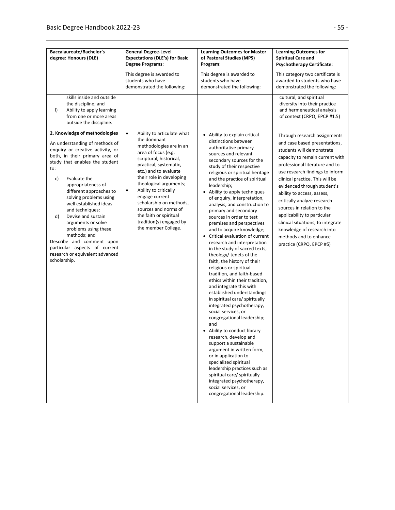| Baccalaureate/Bachelor's<br>degree: Honours (DLE)                                                                                                                                                                                                                                                                                                                                                                                                                                                                                       | <b>General Degree-Level</b><br><b>Expectations (DLE's) for Basic</b><br><b>Degree Programs:</b>                                                                                                                                                                                                                                                                                                                                      | <b>Learning Outcomes for Master</b><br>of Pastoral Studies (MPS)<br>Program:                                                                                                                                                                                                                                                                                                                                                                                                                                                                                                                                                                                                                                                                                                                                                                                                                                                                                                                                                                                                                                                                                                                                                     | <b>Learning Outcomes for</b><br><b>Spiritual Care and</b><br><b>Psychotherapy Certificate:</b>                                                                                                                                                                                                                                                                                                                                                                                                                          |
|-----------------------------------------------------------------------------------------------------------------------------------------------------------------------------------------------------------------------------------------------------------------------------------------------------------------------------------------------------------------------------------------------------------------------------------------------------------------------------------------------------------------------------------------|--------------------------------------------------------------------------------------------------------------------------------------------------------------------------------------------------------------------------------------------------------------------------------------------------------------------------------------------------------------------------------------------------------------------------------------|----------------------------------------------------------------------------------------------------------------------------------------------------------------------------------------------------------------------------------------------------------------------------------------------------------------------------------------------------------------------------------------------------------------------------------------------------------------------------------------------------------------------------------------------------------------------------------------------------------------------------------------------------------------------------------------------------------------------------------------------------------------------------------------------------------------------------------------------------------------------------------------------------------------------------------------------------------------------------------------------------------------------------------------------------------------------------------------------------------------------------------------------------------------------------------------------------------------------------------|-------------------------------------------------------------------------------------------------------------------------------------------------------------------------------------------------------------------------------------------------------------------------------------------------------------------------------------------------------------------------------------------------------------------------------------------------------------------------------------------------------------------------|
|                                                                                                                                                                                                                                                                                                                                                                                                                                                                                                                                         | This degree is awarded to<br>students who have<br>demonstrated the following:                                                                                                                                                                                                                                                                                                                                                        | This degree is awarded to<br>students who have<br>demonstrated the following:                                                                                                                                                                                                                                                                                                                                                                                                                                                                                                                                                                                                                                                                                                                                                                                                                                                                                                                                                                                                                                                                                                                                                    | This category two certificate is<br>awarded to students who have<br>demonstrated the following:                                                                                                                                                                                                                                                                                                                                                                                                                         |
| skills inside and outside<br>the discipline; and<br>$\vert$<br>Ability to apply learning<br>from one or more areas<br>outside the discipline.                                                                                                                                                                                                                                                                                                                                                                                           |                                                                                                                                                                                                                                                                                                                                                                                                                                      |                                                                                                                                                                                                                                                                                                                                                                                                                                                                                                                                                                                                                                                                                                                                                                                                                                                                                                                                                                                                                                                                                                                                                                                                                                  | cultural, and spiritual<br>diversity into their practice<br>and hermeneutical analysis<br>of context (CRPO, EPCP #1.5)                                                                                                                                                                                                                                                                                                                                                                                                  |
| 2. Knowledge of methodologies<br>An understanding of methods of<br>enquiry or creative activity, or<br>both, in their primary area of<br>study that enables the student<br>to:<br>c)<br>Evaluate the<br>appropriateness of<br>different approaches to<br>solving problems using<br>well established ideas<br>and techniques:<br>d)<br>Devise and sustain<br>arguments or solve<br>problems using these<br>methods; and<br>Describe and comment upon<br>particular aspects of current<br>research or equivalent advanced<br>scholarship. | $\bullet$<br>Ability to articulate what<br>the dominant<br>methodologies are in an<br>area of focus (e.g.<br>scriptural, historical,<br>practical, systematic,<br>etc.) and to evaluate<br>their role in developing<br>theological arguments;<br>Ability to critically<br>$\bullet$<br>engage current<br>scholarship on methods,<br>sources and norms of<br>the faith or spiritual<br>tradition(s) engaged by<br>the member College. | • Ability to explain critical<br>distinctions between<br>authoritative primary<br>sources and relevant<br>secondary sources for the<br>study of their respective<br>religious or spiritual heritage<br>and the practice of spiritual<br>leadership;<br>• Ability to apply techniques<br>of enquiry, interpretation,<br>analysis, and construction to<br>primary and secondary<br>sources in order to test<br>premises and perspectives<br>and to acquire knowledge;<br>• Critical evaluation of current<br>research and interpretation<br>in the study of sacred texts,<br>theology/ tenets of the<br>faith, the history of their<br>religious or spiritual<br>tradition, and faith-based<br>ethics within their tradition,<br>and integrate this with<br>established understandings<br>in spiritual care/ spiritually<br>integrated psychotherapy,<br>social services, or<br>congregational leadership;<br>and<br>• Ability to conduct library<br>research, develop and<br>support a sustainable<br>argument in written form,<br>or in application to<br>specialized spiritual<br>leadership practices such as<br>spiritual care/ spiritually<br>integrated psychotherapy,<br>social services, or<br>congregational leadership. | Through research assignments<br>and case based presentations,<br>students will demonstrate<br>capacity to remain current with<br>professional literature and to<br>use research findings to inform<br>clinical practice. This will be<br>evidenced through student's<br>ability to access, assess,<br>critically analyze research<br>sources in relation to the<br>applicability to particular<br>clinical situations, to integrate<br>knowledge of research into<br>methods and to enhance<br>practice (CRPO, EPCP #5) |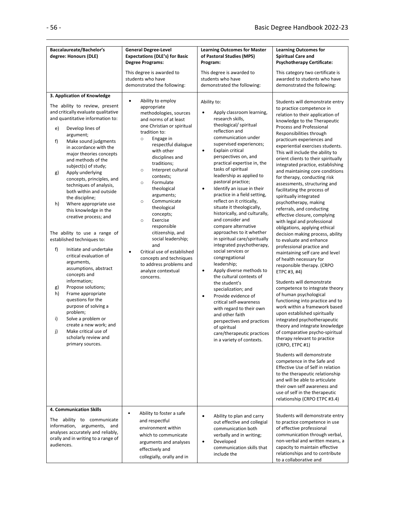| Baccalaureate/Bachelor's<br>degree: Honours (DLE)                                                                                                                                                                                                                                                                                                                                                                                                                                                                                                                                                                                                                                                                                                                                                                                                                                                                                                                                 | <b>General Degree-Level</b><br><b>Expectations (DLE's) for Basic</b><br><b>Degree Programs:</b><br>This degree is awarded to                                                                                                                                                                                                                                                                                                                                                                                                                                                                                           | <b>Learning Outcomes for Master</b><br>of Pastoral Studies (MPS)<br>Program:<br>This degree is awarded to                                                                                                                                                                                                                                                                                                                                                                                                                                                                                                                                                                                                                                                                                                                                                                                                                                                                                                                                     | <b>Learning Outcomes for</b><br><b>Spiritual Care and</b><br><b>Psychotherapy Certificate:</b><br>This category two certificate is                                                                                                                                                                                                                                                                                                                                                                                                                                                                                                                                                                                                                                                                                                                                                                                                                                                                                                                                                                                                                                                                                                                                                                                                                                                                                                                                                                                                |
|-----------------------------------------------------------------------------------------------------------------------------------------------------------------------------------------------------------------------------------------------------------------------------------------------------------------------------------------------------------------------------------------------------------------------------------------------------------------------------------------------------------------------------------------------------------------------------------------------------------------------------------------------------------------------------------------------------------------------------------------------------------------------------------------------------------------------------------------------------------------------------------------------------------------------------------------------------------------------------------|------------------------------------------------------------------------------------------------------------------------------------------------------------------------------------------------------------------------------------------------------------------------------------------------------------------------------------------------------------------------------------------------------------------------------------------------------------------------------------------------------------------------------------------------------------------------------------------------------------------------|-----------------------------------------------------------------------------------------------------------------------------------------------------------------------------------------------------------------------------------------------------------------------------------------------------------------------------------------------------------------------------------------------------------------------------------------------------------------------------------------------------------------------------------------------------------------------------------------------------------------------------------------------------------------------------------------------------------------------------------------------------------------------------------------------------------------------------------------------------------------------------------------------------------------------------------------------------------------------------------------------------------------------------------------------|-----------------------------------------------------------------------------------------------------------------------------------------------------------------------------------------------------------------------------------------------------------------------------------------------------------------------------------------------------------------------------------------------------------------------------------------------------------------------------------------------------------------------------------------------------------------------------------------------------------------------------------------------------------------------------------------------------------------------------------------------------------------------------------------------------------------------------------------------------------------------------------------------------------------------------------------------------------------------------------------------------------------------------------------------------------------------------------------------------------------------------------------------------------------------------------------------------------------------------------------------------------------------------------------------------------------------------------------------------------------------------------------------------------------------------------------------------------------------------------------------------------------------------------|
|                                                                                                                                                                                                                                                                                                                                                                                                                                                                                                                                                                                                                                                                                                                                                                                                                                                                                                                                                                                   | students who have<br>demonstrated the following:                                                                                                                                                                                                                                                                                                                                                                                                                                                                                                                                                                       | students who have<br>demonstrated the following:                                                                                                                                                                                                                                                                                                                                                                                                                                                                                                                                                                                                                                                                                                                                                                                                                                                                                                                                                                                              | awarded to students who have<br>demonstrated the following:                                                                                                                                                                                                                                                                                                                                                                                                                                                                                                                                                                                                                                                                                                                                                                                                                                                                                                                                                                                                                                                                                                                                                                                                                                                                                                                                                                                                                                                                       |
| 3. Application of Knowledge<br>The ability to review, present<br>and critically evaluate qualitative<br>and quantitative information to:<br>Develop lines of<br>e)<br>argument;<br>f)<br>Make sound judgments<br>in accordance with the<br>major theories concepts<br>and methods of the<br>subject(s) of study;<br>Apply underlying<br>g)<br>concepts, principles, and<br>techniques of analysis,<br>both within and outside<br>the discipline;<br>h)<br>Where appropriate use<br>this knowledge in the<br>creative process; and<br>The ability to use a range of<br>established techniques to:<br>f)<br>Initiate and undertake<br>critical evaluation of<br>arguments,<br>assumptions, abstract<br>concepts and<br>information;<br>Propose solutions;<br>g)<br>h)<br>Frame appropriate<br>questions for the<br>purpose of solving a<br>problem;<br>i)<br>Solve a problem or<br>create a new work; and<br>Make critical use of<br>j)<br>scholarly review and<br>primary sources. | Ability to employ<br>appropriate<br>methodologies, sources<br>and norms of at least<br>one Christian or spiritual<br>tradition to:<br>Engage in<br>$\circ$<br>respectful dialogue<br>with other<br>disciplines and<br>traditions;<br>Interpret cultural<br>$\circ$<br>contexts;<br>Formulate<br>$\circ$<br>theological<br>arguments;<br>Communicate<br>$\circ$<br>theological<br>concepts;<br>Exercise<br>$\circ$<br>responsible<br>citizenship, and<br>social leadership;<br>and<br>Critical use of established<br>$\bullet$<br>concepts and techniques<br>to address problems and<br>analyze contextual<br>concerns. | Ability to:<br>Apply classroom learning,<br>$\bullet$<br>research skills,<br>theological/ spiritual<br>reflection and<br>communication under<br>supervised experiences;<br>$\bullet$<br>Explain critical<br>perspectives on, and<br>practical expertise in, the<br>tasks of spiritual<br>leadership as applied to<br>pastoral practice;<br>Identify an issue in their<br>$\bullet$<br>practice in a field setting,<br>reflect on it critically,<br>situate it theologically,<br>historically, and culturally,<br>and consider and<br>compare alternative<br>approaches to it whether<br>in spiritual care/spiritually<br>integrated psychotherapy,<br>social services or<br>congregational<br>leadership;<br>Apply diverse methods to<br>$\bullet$<br>the cultural contexts of<br>the student's<br>specialization; and<br>Provide evidence of<br>$\bullet$<br>critical self-awareness<br>with regard to their own<br>and other faith<br>perspectives and practices<br>of spiritual<br>care/therapeutic practices<br>in a variety of contexts. | Students will demonstrate entry<br>to practice competence in<br>relation to their application of<br>knowledge to the Therapeutic<br>Process and Professional<br>Responsibilities through<br>practicum experiences and<br>experiential exercises students.<br>This will include the ability to<br>orient clients to their spiritually<br>integrated practice, establishing<br>and maintaining core conditions<br>for therapy, conducting risk<br>assessments, structuring and<br>facilitating the process of<br>spiritually integrated<br>psychotherapy, making<br>referrals, and conducting<br>effective closure, complying<br>with legal and professional<br>obligations, applying ethical<br>decision making process, ability<br>to evaluate and enhance<br>professional practice and<br>maintaining self care and level<br>of health necessary for<br>responsible therapy. (CRPO<br>ETPC #3, #4)<br>Students will demonstrate<br>competence to integrate theory<br>of human psychological<br>functioning into practice and to<br>work within a framework based<br>upon established spiritually<br>integrated psychotherapeutic<br>theory and integrate knowledge<br>of comparative psycho-spiritual<br>therapy relevant to practice<br>(CRPO, ETPC #1)<br>Students will demonstrate<br>competence in the Safe and<br>Effective Use of Self in relation<br>to the therapeutic relationship<br>and will be able to articulate<br>their own self awareness and<br>use of self in the therapeutic<br>relationship (CRPO ETPC #3.4) |
| 4. Communication Skills<br>The ability to communicate<br>information, arguments, and<br>analyses accurately and reliably,<br>orally and in writing to a range of<br>audiences.                                                                                                                                                                                                                                                                                                                                                                                                                                                                                                                                                                                                                                                                                                                                                                                                    | Ability to foster a safe<br>$\bullet$<br>and respectful<br>environment within<br>which to communicate<br>arguments and analyses<br>effectively and<br>collegially, orally and in                                                                                                                                                                                                                                                                                                                                                                                                                                       | Ability to plan and carry<br>$\bullet$<br>out effective and collegial<br>communication both<br>verbally and in writing;<br>Developed<br>$\bullet$<br>communication skills that<br>include the                                                                                                                                                                                                                                                                                                                                                                                                                                                                                                                                                                                                                                                                                                                                                                                                                                                 | Students will demonstrate entry<br>to practice competence in use<br>of effective professional<br>communication through verbal,<br>non-verbal and written means, a<br>capacity to maintain effective<br>relationships and to contribute<br>to a collaborative and                                                                                                                                                                                                                                                                                                                                                                                                                                                                                                                                                                                                                                                                                                                                                                                                                                                                                                                                                                                                                                                                                                                                                                                                                                                                  |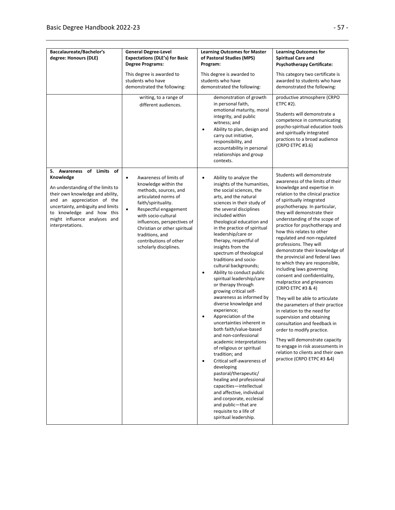| Baccalaureate/Bachelor's<br>degree: Honours (DLE)                                                                                                                                                                                                                      | <b>General Degree-Level</b><br><b>Expectations (DLE's) for Basic</b>                                                                                                                                                                                                                                                                   | <b>Learning Outcomes for Master</b><br>of Pastoral Studies (MPS)                                                                                                                                                                                                                                                                                                                                                                                                                                                                                                                                                                                                                                                                                                                                                                                                                                                                                                                                                                                                                | <b>Learning Outcomes for</b><br><b>Spiritual Care and</b>                                                                                                                                                                                                                                                                                                                                                                                                                                                                                                                                                                                                                                                                                                                                                                                                                                                                                              |
|------------------------------------------------------------------------------------------------------------------------------------------------------------------------------------------------------------------------------------------------------------------------|----------------------------------------------------------------------------------------------------------------------------------------------------------------------------------------------------------------------------------------------------------------------------------------------------------------------------------------|---------------------------------------------------------------------------------------------------------------------------------------------------------------------------------------------------------------------------------------------------------------------------------------------------------------------------------------------------------------------------------------------------------------------------------------------------------------------------------------------------------------------------------------------------------------------------------------------------------------------------------------------------------------------------------------------------------------------------------------------------------------------------------------------------------------------------------------------------------------------------------------------------------------------------------------------------------------------------------------------------------------------------------------------------------------------------------|--------------------------------------------------------------------------------------------------------------------------------------------------------------------------------------------------------------------------------------------------------------------------------------------------------------------------------------------------------------------------------------------------------------------------------------------------------------------------------------------------------------------------------------------------------------------------------------------------------------------------------------------------------------------------------------------------------------------------------------------------------------------------------------------------------------------------------------------------------------------------------------------------------------------------------------------------------|
|                                                                                                                                                                                                                                                                        | <b>Degree Programs:</b>                                                                                                                                                                                                                                                                                                                | Program:                                                                                                                                                                                                                                                                                                                                                                                                                                                                                                                                                                                                                                                                                                                                                                                                                                                                                                                                                                                                                                                                        | <b>Psychotherapy Certificate:</b>                                                                                                                                                                                                                                                                                                                                                                                                                                                                                                                                                                                                                                                                                                                                                                                                                                                                                                                      |
|                                                                                                                                                                                                                                                                        | This degree is awarded to<br>students who have<br>demonstrated the following:                                                                                                                                                                                                                                                          | This degree is awarded to<br>students who have<br>demonstrated the following:                                                                                                                                                                                                                                                                                                                                                                                                                                                                                                                                                                                                                                                                                                                                                                                                                                                                                                                                                                                                   | This category two certificate is<br>awarded to students who have<br>demonstrated the following:                                                                                                                                                                                                                                                                                                                                                                                                                                                                                                                                                                                                                                                                                                                                                                                                                                                        |
|                                                                                                                                                                                                                                                                        | writing, to a range of<br>different audiences.                                                                                                                                                                                                                                                                                         | demonstration of growth<br>in personal faith,<br>emotional maturity, moral<br>integrity, and public<br>witness; and<br>Ability to plan, design and<br>$\bullet$<br>carry out initiative,<br>responsibility, and<br>accountability in personal<br>relationships and group<br>contexts.                                                                                                                                                                                                                                                                                                                                                                                                                                                                                                                                                                                                                                                                                                                                                                                           | productive atmosphere (CRPO<br>ETPC #2).<br>Students will demonstrate a<br>competence in communicating<br>psycho-spiritual education tools<br>and spiritually integrated<br>practices to a broad audience<br>(CRPO ETPC #3.6)                                                                                                                                                                                                                                                                                                                                                                                                                                                                                                                                                                                                                                                                                                                          |
| 5. Awareness of Limits<br>of<br>Knowledge<br>An understanding of the limits to<br>their own knowledge and ability,<br>and an appreciation of the<br>uncertainty, ambiguity and limits<br>to knowledge and how this<br>might influence analyses and<br>interpretations. | Awareness of limits of<br>$\bullet$<br>knowledge within the<br>methods, sources, and<br>articulated norms of<br>faith/spirituality.<br>Respectful engagement<br>$\bullet$<br>with socio-cultural<br>influences, perspectives of<br>Christian or other spiritual<br>traditions, and<br>contributions of other<br>scholarly disciplines. | Ability to analyze the<br>٠<br>insights of the humanities,<br>the social sciences, the<br>arts, and the natural<br>sciences in their study of<br>the several disciplines<br>included within<br>theological education and<br>in the practice of spiritual<br>leadership/care or<br>therapy, respectful of<br>insights from the<br>spectrum of theological<br>traditions and socio-<br>cultural backgrounds;<br>Ability to conduct public<br>$\bullet$<br>spiritual leadership/care<br>or therapy through<br>growing critical self-<br>awareness as informed by<br>diverse knowledge and<br>experience;<br>Appreciation of the<br>$\bullet$<br>uncertainties inherent in<br>both faith/value-based<br>and non-confessional<br>academic interpretations<br>of religious or spiritual<br>tradition; and<br>Critical self-awareness of<br>$\bullet$<br>developing<br>pastoral/therapeutic/<br>healing and professional<br>capacities-intellectual<br>and affective, individual<br>and corporate, ecclesial<br>and public-that are<br>requisite to a life of<br>spiritual leadership. | Students will demonstrate<br>awareness of the limits of their<br>knowledge and expertise in<br>relation to the clinical practice<br>of spiritually integrated<br>psychotherapy. In particular,<br>they will demonstrate their<br>understanding of the scope of<br>practice for psychotherapy and<br>how this relates to other<br>regulated and non-regulated<br>professions. They will<br>demonstrate their knowledge of<br>the provincial and federal laws<br>to which they are responsible,<br>including laws governing<br>consent and confidentiality,<br>malpractice and grievances<br>(CRPO ETPC #3 & 4)<br>They will be able to articulate<br>the parameters of their practice<br>in relation to the need for<br>supervision and obtaining<br>consultation and feedback in<br>order to modify practice.<br>They will demonstrate capacity<br>to engage in risk assessments in<br>relation to clients and their own<br>practice (CRPO ETPC #3 &4) |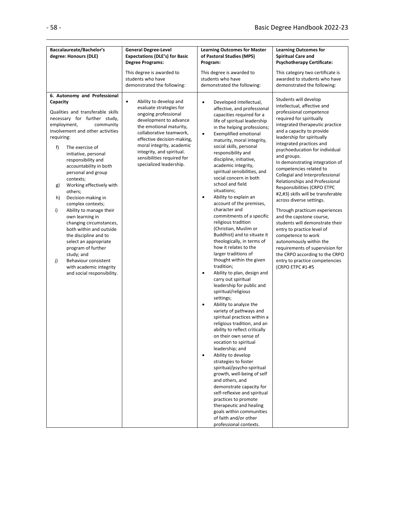| Baccalaureate/Bachelor's                                                                                                                                                                                                                                                                                                                                                                                                                                                                                                                                                                                                                                                                                             | <b>General Degree-Level</b>                                                                                                                                                                                                                                                                                             | <b>Learning Outcomes for Master</b>                                                                                                                                                                                                                                                                                                                                                                                                                                                                                                                                                                                                                                                                                                                                                                                                                                                                                                                                                                                                                                                                                                                                                                                                                                                                                                                                                                                                                                                   | <b>Learning Outcomes for</b>                                                                                                                                                                                                                                                                                                                                                                                                                                                                                                                                                                                                                                                                                                                                                                                                         |
|----------------------------------------------------------------------------------------------------------------------------------------------------------------------------------------------------------------------------------------------------------------------------------------------------------------------------------------------------------------------------------------------------------------------------------------------------------------------------------------------------------------------------------------------------------------------------------------------------------------------------------------------------------------------------------------------------------------------|-------------------------------------------------------------------------------------------------------------------------------------------------------------------------------------------------------------------------------------------------------------------------------------------------------------------------|---------------------------------------------------------------------------------------------------------------------------------------------------------------------------------------------------------------------------------------------------------------------------------------------------------------------------------------------------------------------------------------------------------------------------------------------------------------------------------------------------------------------------------------------------------------------------------------------------------------------------------------------------------------------------------------------------------------------------------------------------------------------------------------------------------------------------------------------------------------------------------------------------------------------------------------------------------------------------------------------------------------------------------------------------------------------------------------------------------------------------------------------------------------------------------------------------------------------------------------------------------------------------------------------------------------------------------------------------------------------------------------------------------------------------------------------------------------------------------------|--------------------------------------------------------------------------------------------------------------------------------------------------------------------------------------------------------------------------------------------------------------------------------------------------------------------------------------------------------------------------------------------------------------------------------------------------------------------------------------------------------------------------------------------------------------------------------------------------------------------------------------------------------------------------------------------------------------------------------------------------------------------------------------------------------------------------------------|
| degree: Honours (DLE)                                                                                                                                                                                                                                                                                                                                                                                                                                                                                                                                                                                                                                                                                                | <b>Expectations (DLE's) for Basic</b>                                                                                                                                                                                                                                                                                   | of Pastoral Studies (MPS)                                                                                                                                                                                                                                                                                                                                                                                                                                                                                                                                                                                                                                                                                                                                                                                                                                                                                                                                                                                                                                                                                                                                                                                                                                                                                                                                                                                                                                                             | <b>Spiritual Care and</b>                                                                                                                                                                                                                                                                                                                                                                                                                                                                                                                                                                                                                                                                                                                                                                                                            |
|                                                                                                                                                                                                                                                                                                                                                                                                                                                                                                                                                                                                                                                                                                                      | <b>Degree Programs:</b>                                                                                                                                                                                                                                                                                                 | Program:                                                                                                                                                                                                                                                                                                                                                                                                                                                                                                                                                                                                                                                                                                                                                                                                                                                                                                                                                                                                                                                                                                                                                                                                                                                                                                                                                                                                                                                                              | <b>Psychotherapy Certificate:</b>                                                                                                                                                                                                                                                                                                                                                                                                                                                                                                                                                                                                                                                                                                                                                                                                    |
|                                                                                                                                                                                                                                                                                                                                                                                                                                                                                                                                                                                                                                                                                                                      | This degree is awarded to                                                                                                                                                                                                                                                                                               | This degree is awarded to                                                                                                                                                                                                                                                                                                                                                                                                                                                                                                                                                                                                                                                                                                                                                                                                                                                                                                                                                                                                                                                                                                                                                                                                                                                                                                                                                                                                                                                             | This category two certificate is                                                                                                                                                                                                                                                                                                                                                                                                                                                                                                                                                                                                                                                                                                                                                                                                     |
|                                                                                                                                                                                                                                                                                                                                                                                                                                                                                                                                                                                                                                                                                                                      | students who have                                                                                                                                                                                                                                                                                                       | students who have                                                                                                                                                                                                                                                                                                                                                                                                                                                                                                                                                                                                                                                                                                                                                                                                                                                                                                                                                                                                                                                                                                                                                                                                                                                                                                                                                                                                                                                                     | awarded to students who have                                                                                                                                                                                                                                                                                                                                                                                                                                                                                                                                                                                                                                                                                                                                                                                                         |
|                                                                                                                                                                                                                                                                                                                                                                                                                                                                                                                                                                                                                                                                                                                      | demonstrated the following:                                                                                                                                                                                                                                                                                             | demonstrated the following:                                                                                                                                                                                                                                                                                                                                                                                                                                                                                                                                                                                                                                                                                                                                                                                                                                                                                                                                                                                                                                                                                                                                                                                                                                                                                                                                                                                                                                                           | demonstrated the following:                                                                                                                                                                                                                                                                                                                                                                                                                                                                                                                                                                                                                                                                                                                                                                                                          |
| 6. Autonomy and Professional<br>Capacity<br>Qualities and transferable skills<br>necessary for further study,<br>employment,<br>community<br>involvement and other activities<br>requiring:<br>f)<br>The exercise of<br>initiative, personal<br>responsibility and<br>accountability in both<br>personal and group<br>contexts;<br>Working effectively with<br>g)<br>others;<br>Decision-making in<br>h)<br>complex contexts;<br>i)<br>Ability to manage their<br>own learning in<br>changing circumstances,<br>both within and outside<br>the discipline and to<br>select an appropriate<br>program of further<br>study; and<br>j)<br>Behaviour consistent<br>with academic integrity<br>and social responsibility. | $\bullet$<br>Ability to develop and<br>evaluate strategies for<br>ongoing professional<br>development to advance<br>the emotional maturity,<br>collaborative teamwork,<br>effective decision-making,<br>moral integrity, academic<br>integrity, and spiritual.<br>sensibilities required for<br>specialized leadership. | Developed intellectual,<br>$\bullet$<br>affective, and professional<br>capacities required for a<br>life of spiritual leadership<br>in the helping professions;<br><b>Exemplified emotional</b><br>$\bullet$<br>maturity, moral integrity,<br>social skills, personal<br>responsibility and<br>discipline, initiative,<br>academic integrity,<br>spiritual sensibilities, and<br>social concern in both<br>school and field<br>situations;<br>Ability to explain an<br>$\bullet$<br>account of the premises,<br>character and<br>commitments of a specific<br>religious tradition<br>(Christian, Muslim or<br>Buddhist) and to situate it<br>theologically, in terms of<br>how it relates to the<br>larger traditions of<br>thought within the given<br>tradition;<br>Ability to plan, design and<br>$\bullet$<br>carry out spiritual<br>leadership for public and<br>spiritual/religious<br>settings;<br>Ability to analyze the<br>$\bullet$<br>variety of pathways and<br>spiritual practices within a<br>religious tradition, and an<br>ability to reflect critically<br>on their own sense of<br>vocation to spiritual<br>leadership; and<br>Ability to develop<br>$\bullet$<br>strategies to foster<br>spiritual/psycho-spiritual<br>growth, well-being of self<br>and others, and<br>demonstrate capacity for<br>self-reflexive and spiritual<br>practices to promote<br>therapeutic and healing<br>goals within communities<br>of faith and/or other<br>professional contexts. | Students will develop<br>intellectual, affective and<br>professional competence<br>required for spiritually<br>integrated therapeutic practice<br>and a capacity to provide<br>leadership for spiritually<br>integrated practices and<br>psychoeducation for individual<br>and groups.<br>In demonstrating integration of<br>competencies related to<br>Collegial and Interprofessional<br>Relationships and Professional<br>Responsibilities (CRPO ETPC<br>#2,#3) skills will be transferable<br>across diverse settings.<br>Through practicum experiences<br>and the capstone course,<br>students will demonstrate their<br>entry to practice level of<br>competence to work<br>autonomously within the<br>requirements of supervision for<br>the CRPO according to the CRPO<br>entry to practice competencies<br>(CRPO ETPC #1-#5 |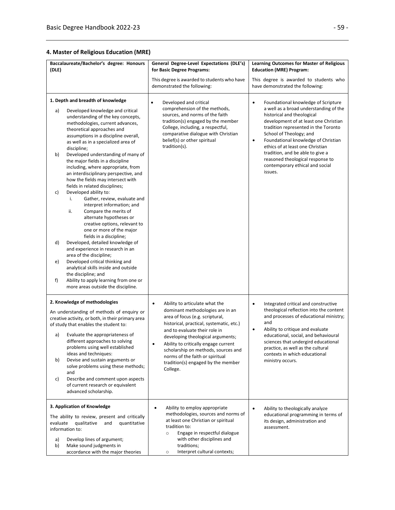## **4. Master of Religious Education (MRE)**

| Baccalaureate/Bachelor's degree: Honours<br>(DLE)                                                                                                                                                                                  |              | General Degree-Level Expectations (DLE's)<br>for Basic Degree Programs:                                                                           | Learning Outcomes for Master of Religious<br><b>Education (MRE) Program:</b>                                                                                      |
|------------------------------------------------------------------------------------------------------------------------------------------------------------------------------------------------------------------------------------|--------------|---------------------------------------------------------------------------------------------------------------------------------------------------|-------------------------------------------------------------------------------------------------------------------------------------------------------------------|
|                                                                                                                                                                                                                                    |              |                                                                                                                                                   |                                                                                                                                                                   |
|                                                                                                                                                                                                                                    |              | This degree is awarded to students who have<br>demonstrated the following:                                                                        | This degree is awarded to students who<br>have demonstrated the following:                                                                                        |
| 1. Depth and breadth of knowledge<br>Developed knowledge and critical<br>a)<br>understanding of the key concepts,                                                                                                                  |              | Developed and critical<br>comprehension of the methods,<br>sources, and norms of the faith<br>tradition(s) engaged by the member                  | Foundational knowledge of Scripture<br>$\bullet$<br>a well as a broad understanding of the<br>historical and theological<br>development of at least one Christian |
| methodologies, current advances,<br>theoretical approaches and<br>assumptions in a discipline overall,<br>as well as in a specialized area of<br>discipline;                                                                       |              | College, including, a respectful,<br>comparative dialogue with Christian<br>belief(s) or other spiritual<br>tradition(s).                         | tradition represented in the Toronto<br>School of Theology; and<br>Foundational knowledge of Christian<br>$\bullet$<br>ethics of at least one Christian           |
| b)<br>Developed understanding of many of<br>the major fields in a discipline<br>including, where appropriate, from<br>an interdisciplinary perspective, and<br>how the fields may intersect with<br>fields in related disciplines; |              |                                                                                                                                                   | tradition, and be able to give a<br>reasoned theological response to<br>contemporary ethical and social<br>issues.                                                |
| Developed ability to:<br>c)<br>Gather, review, evaluate and<br>i.<br>interpret information; and<br>ii.<br>Compare the merits of<br>alternate hypotheses or<br>creative options, relevant to<br>one or more of the major            |              |                                                                                                                                                   |                                                                                                                                                                   |
| fields in a discipline;<br>d)<br>Developed, detailed knowledge of<br>and experience in research in an<br>area of the discipline;                                                                                                   |              |                                                                                                                                                   |                                                                                                                                                                   |
| Developed critical thinking and<br>e)<br>analytical skills inside and outside<br>the discipline; and                                                                                                                               |              |                                                                                                                                                   |                                                                                                                                                                   |
| Ability to apply learning from one or<br>f)<br>more areas outside the discipline.                                                                                                                                                  |              |                                                                                                                                                   |                                                                                                                                                                   |
| 2. Knowledge of methodologies                                                                                                                                                                                                      | $\bullet$    | Ability to articulate what the                                                                                                                    | Integrated critical and constructive<br>$\bullet$                                                                                                                 |
| An understanding of methods of enquiry or<br>creative activity, or both, in their primary area<br>of study that enables the student to:                                                                                            |              | dominant methodologies are in an<br>area of focus (e.g. scriptural,<br>historical, practical, systematic, etc.)                                   | theological reflection into the content<br>and processes of educational ministry;<br>and<br>Ability to critique and evaluate<br>$\bullet$                         |
| Evaluate the appropriateness of<br>a)<br>different approaches to solving<br>problems using well established<br>ideas and techniques:                                                                                               | $\bullet$    | and to evaluate their role in<br>developing theological arguments;<br>Ability to critically engage current<br>scholarship on methods, sources and | educational, social, and behavioural<br>sciences that undergird educational<br>practice, as well as the cultural<br>contexts in which educational                 |
| Devise and sustain arguments or<br>b)<br>solve problems using these methods;<br>and                                                                                                                                                |              | norms of the faith or spiritual<br>tradition(s) engaged by the member<br>College.                                                                 | ministry occurs.                                                                                                                                                  |
| Describe and comment upon aspects<br>c)<br>of current research or equivalent<br>advanced scholarship.                                                                                                                              |              |                                                                                                                                                   |                                                                                                                                                                   |
| 3. Application of Knowledge                                                                                                                                                                                                        | $\bullet$    | Ability to employ appropriate                                                                                                                     | Ability to theologically analyze<br>$\bullet$                                                                                                                     |
| The ability to review, present and critically<br>evaluate<br>qualitative<br>and<br>information to:                                                                                                                                 | quantitative | methodologies, sources and norms of<br>at least one Christian or spiritual<br>tradition to:<br>Engage in respectful dialogue<br>$\circ$           | educational programming in terms of<br>its design, administration and<br>assessment.                                                                              |
| Develop lines of argument;<br>a)<br>b)<br>Make sound judgments in<br>accordance with the major theories                                                                                                                            |              | with other disciplines and<br>traditions;<br>Interpret cultural contexts;<br>$\circ$                                                              |                                                                                                                                                                   |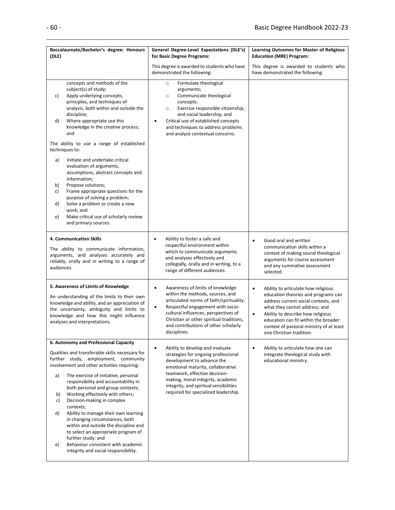| Baccalaureate/Bachelor's degree: Honours<br>(DLE)                                                                                                                                                                                                                                                                                                                                                                                                                                                                                                                      | General Degree-Level Expectations (DLE's)<br>for Basic Degree Programs:                                                                                                                                                                                                                                                     | Learning Outcomes for Master of Religious<br><b>Education (MRE) Program:</b>                                                                                                                                                                                                                                                       |
|------------------------------------------------------------------------------------------------------------------------------------------------------------------------------------------------------------------------------------------------------------------------------------------------------------------------------------------------------------------------------------------------------------------------------------------------------------------------------------------------------------------------------------------------------------------------|-----------------------------------------------------------------------------------------------------------------------------------------------------------------------------------------------------------------------------------------------------------------------------------------------------------------------------|------------------------------------------------------------------------------------------------------------------------------------------------------------------------------------------------------------------------------------------------------------------------------------------------------------------------------------|
|                                                                                                                                                                                                                                                                                                                                                                                                                                                                                                                                                                        | This degree is awarded to students who have<br>demonstrated the following:                                                                                                                                                                                                                                                  | This degree is awarded to students who<br>have demonstrated the following:                                                                                                                                                                                                                                                         |
| concepts and methods of the<br>subject(s) of study;<br>Apply underlying concepts,<br>c)<br>principles, and techniques of<br>analysis, both within and outside the<br>discipline;<br>Where appropriate use this<br>d)<br>knowledge in the creative process;<br>and<br>The ability to use a range of established                                                                                                                                                                                                                                                         | Formulate theological<br>$\circ$<br>arguments;<br>Communicate theological<br>$\circ$<br>concepts;<br>Exercise responsible citizenship,<br>$\circ$<br>and social leadership; and<br>Critical use of established concepts<br>$\bullet$<br>and techniques to address problems<br>and analyze contextual concerns.              |                                                                                                                                                                                                                                                                                                                                    |
| techniques to:<br>a)<br>Initiate and undertake critical<br>evaluation of arguments,<br>assumptions, abstract concepts and<br>information;<br>Propose solutions;<br>b)<br>Frame appropriate questions for the<br>c)<br>purpose of solving a problem;<br>Solve a problem or create a new<br>d)<br>work; and<br>Make critical use of scholarly review<br>e)<br>and primary sources.                                                                                                                                                                                       |                                                                                                                                                                                                                                                                                                                             |                                                                                                                                                                                                                                                                                                                                    |
| 4. Communication Skills<br>The ability to communicate information,<br>arguments, and analyses accurately and<br>reliably, orally and in writing to a range of<br>audiences.                                                                                                                                                                                                                                                                                                                                                                                            | Ability to foster a safe and<br>٠<br>respectful environment within<br>which to communicate arguments<br>and analyses effectively and<br>collegially, orally and in writing, to a<br>range of different audiences.                                                                                                           | $\bullet$<br>Good oral and written<br>communication skills within a<br>context of making sound theological<br>arguments for course assessment<br>and any summative assessment<br>selected.                                                                                                                                         |
| 5. Awareness of Limits of Knowledge<br>An understanding of the limits to their own<br>knowledge and ability, and an appreciation of<br>the uncertainty, ambiguity and limits to<br>knowledge and how this might influence<br>analyses and interpretations.                                                                                                                                                                                                                                                                                                             | Awareness of limits of knowledge<br>$\bullet$<br>within the methods, sources, and<br>articulated norms of faith/spirituality.<br>Respectful engagement with socio-<br>$\bullet$<br>cultural influences, perspectives of<br>Christian or other spiritual traditions,<br>and contributions of other scholarly<br>disciplines. | Ability to articulate how religious<br>$\bullet$<br>education theories and programs can<br>address current social contexts, and<br>what they cannot address; and<br>Ability to describe how religious<br>$\bullet$<br>education can fit within the broader<br>context of pastoral ministry of at least<br>one Christian tradition. |
| 6. Autonomy and Professional Capacity<br>Qualities and transferable skills necessary for<br>further study, employment, community<br>involvement and other activities requiring:<br>The exercise of initiative, personal<br>a)<br>responsibility and accountability in<br>both personal and group contexts;<br>Working effectively with others;<br>b)<br>Decision-making in complex<br>c)<br>contexts;<br>Ability to manage their own learning<br>d)<br>in changing circumstances, both<br>within and outside the discipline and<br>to select an appropriate program of | Ability to develop and evaluate<br>$\bullet$<br>strategies for ongoing professional<br>development to advance the<br>emotional maturity, collaborative<br>teamwork, effective decision-<br>making, moral integrity, academic<br>integrity, and spiritual sensibilities<br>required for specialized leadership.              | Ability to articulate how one can<br>$\bullet$<br>integrate theological study with<br>educational ministry.                                                                                                                                                                                                                        |
| further study; and<br>Behaviour consistent with academic<br>e)<br>integrity and social responsibility.                                                                                                                                                                                                                                                                                                                                                                                                                                                                 |                                                                                                                                                                                                                                                                                                                             |                                                                                                                                                                                                                                                                                                                                    |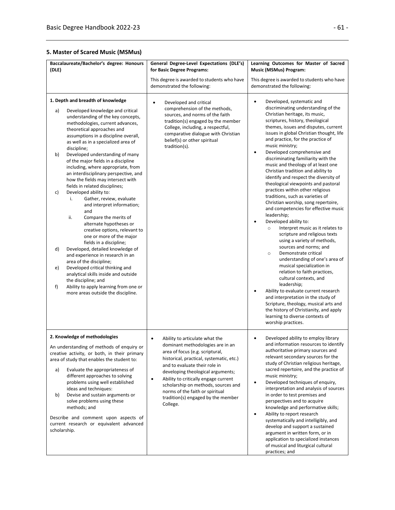### **5. Master of Scared Music (MSMus)**

| Baccalaureate/Bachelor's degree: Honours<br>(DLE)                                                                                                                                                                                                                                                                                                                                                                                                                                                                                                                                                                                                                                                                                                                                                                                                                                                                                                                                                                                                                                      | General Degree-Level Expectations (DLE's)<br>for Basic Degree Programs:                                                                                                                                                                                                                                                                                                                                               | Learning Outcomes for Master of Sacred<br><b>Music (MSMus) Program:</b>                                                                                                                                                                                                                                                                                                                                                                                                                                                                                                                                                                                                                                                                                                                                                                                                                                                                                                                                                                                                                                                                                                                                                                                                             |
|----------------------------------------------------------------------------------------------------------------------------------------------------------------------------------------------------------------------------------------------------------------------------------------------------------------------------------------------------------------------------------------------------------------------------------------------------------------------------------------------------------------------------------------------------------------------------------------------------------------------------------------------------------------------------------------------------------------------------------------------------------------------------------------------------------------------------------------------------------------------------------------------------------------------------------------------------------------------------------------------------------------------------------------------------------------------------------------|-----------------------------------------------------------------------------------------------------------------------------------------------------------------------------------------------------------------------------------------------------------------------------------------------------------------------------------------------------------------------------------------------------------------------|-------------------------------------------------------------------------------------------------------------------------------------------------------------------------------------------------------------------------------------------------------------------------------------------------------------------------------------------------------------------------------------------------------------------------------------------------------------------------------------------------------------------------------------------------------------------------------------------------------------------------------------------------------------------------------------------------------------------------------------------------------------------------------------------------------------------------------------------------------------------------------------------------------------------------------------------------------------------------------------------------------------------------------------------------------------------------------------------------------------------------------------------------------------------------------------------------------------------------------------------------------------------------------------|
|                                                                                                                                                                                                                                                                                                                                                                                                                                                                                                                                                                                                                                                                                                                                                                                                                                                                                                                                                                                                                                                                                        | This degree is awarded to students who have<br>demonstrated the following:                                                                                                                                                                                                                                                                                                                                            | This degree is awarded to students who have<br>demonstrated the following:                                                                                                                                                                                                                                                                                                                                                                                                                                                                                                                                                                                                                                                                                                                                                                                                                                                                                                                                                                                                                                                                                                                                                                                                          |
| 1. Depth and breadth of knowledge<br>Developed knowledge and critical<br>a)<br>understanding of the key concepts,<br>methodologies, current advances,<br>theoretical approaches and<br>assumptions in a discipline overall,<br>as well as in a specialized area of<br>discipline;<br>b)<br>Developed understanding of many<br>of the major fields in a discipline<br>including, where appropriate, from<br>an interdisciplinary perspective, and<br>how the fields may intersect with<br>fields in related disciplines;<br>Developed ability to:<br>c)<br>Gather, review, evaluate<br>i.<br>and interpret information;<br>and<br>ii.<br>Compare the merits of<br>alternate hypotheses or<br>creative options, relevant to<br>one or more of the major<br>fields in a discipline;<br>d)<br>Developed, detailed knowledge of<br>and experience in research in an<br>area of the discipline;<br>Developed critical thinking and<br>e)<br>analytical skills inside and outside<br>the discipline; and<br>Ability to apply learning from one or<br>f)<br>more areas outside the discipline. | $\bullet$<br>Developed and critical<br>comprehension of the methods,<br>sources, and norms of the faith<br>tradition(s) engaged by the member<br>College, including, a respectful,<br>comparative dialogue with Christian<br>belief(s) or other spiritual<br>tradition(s).                                                                                                                                            | Developed, systematic and<br>$\bullet$<br>discriminating understanding of the<br>Christian heritage, its music,<br>scriptures, history, theological<br>themes, issues and disputes, current<br>issues in global Christian thought, life<br>and practice, for the practice of<br>music ministry;<br>Developed comprehensive and<br>٠<br>discriminating familiarity with the<br>music and theology of at least one<br>Christian tradition and ability to<br>identify and respect the diversity of<br>theological viewpoints and pastoral<br>practices within other religious<br>traditions, such as varieties of<br>Christian worship, song repertoire,<br>and competencies for effective music<br>leadership;<br>Developed ability to:<br>Interpret music as it relates to<br>$\circ$<br>scripture and religious texts<br>using a variety of methods,<br>sources and norms; and<br>Demonstrate critical<br>$\circ$<br>understanding of one's area of<br>musical specialization in<br>relation to faith practices,<br>cultural contexts, and<br>leadership;<br>Ability to evaluate current research<br>and interpretation in the study of<br>Scripture, theology, musical arts and<br>the history of Christianity, and apply<br>learning to diverse contexts of<br>worship practices. |
| 2. Knowledge of methodologies<br>An understanding of methods of enquiry or<br>creative activity, or both, in their primary<br>area of study that enables the student to:<br>Evaluate the appropriateness of<br>a)<br>different approaches to solving<br>problems using well established<br>ideas and techniques:<br>Devise and sustain arguments or<br>b)<br>solve problems using these<br>methods; and<br>Describe and comment upon aspects of<br>current research or equivalent advanced<br>scholarship.                                                                                                                                                                                                                                                                                                                                                                                                                                                                                                                                                                             | Ability to articulate what the<br>$\bullet$<br>dominant methodologies are in an<br>area of focus (e.g. scriptural,<br>historical, practical, systematic, etc.)<br>and to evaluate their role in<br>developing theological arguments;<br>Ability to critically engage current<br>$\bullet$<br>scholarship on methods, sources and<br>norms of the faith or spiritual<br>tradition(s) engaged by the member<br>College. | Developed ability to employ library<br>and information resources to identify<br>authoritative primary sources and<br>relevant secondary sources for the<br>study of Christian religious heritage,<br>sacred repertoire, and the practice of<br>music ministry;<br>Developed techniques of enquiry,<br>interpretation and analysis of sources<br>in order to test premises and<br>perspectives and to acquire<br>knowledge and performative skills;<br>Ability to report research<br>٠<br>systematically and intelligibly, and<br>develop and support a sustained<br>argument in written form, or in<br>application to specialized instances<br>of musical and liturgical cultural<br>practices; and                                                                                                                                                                                                                                                                                                                                                                                                                                                                                                                                                                                 |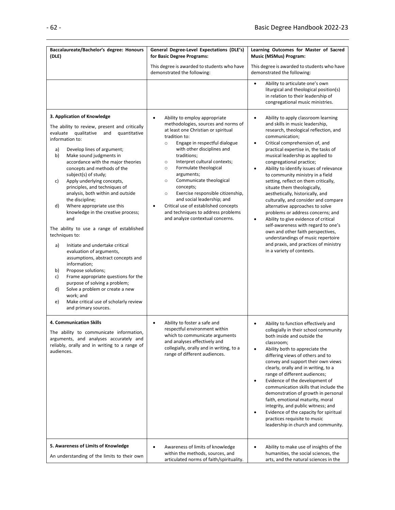| Baccalaureate/Bachelor's degree: Honours<br>(DLE)                                                                                                                                                                                                                                                                                                                                                                                                                                                                                                                                                                                                                                                                                                                                                                                                                                                                                                                  | General Degree-Level Expectations (DLE's)<br>for Basic Degree Programs:                                                                                                                                                                                                                                                                                                                                                                                                                                                                                                                         | Learning Outcomes for Master of Sacred<br><b>Music (MSMus) Program:</b>                                                                                                                                                                                                                                                                                                                                                                                                                                                                                                                                                                                                                                                                                                                                                                                   |
|--------------------------------------------------------------------------------------------------------------------------------------------------------------------------------------------------------------------------------------------------------------------------------------------------------------------------------------------------------------------------------------------------------------------------------------------------------------------------------------------------------------------------------------------------------------------------------------------------------------------------------------------------------------------------------------------------------------------------------------------------------------------------------------------------------------------------------------------------------------------------------------------------------------------------------------------------------------------|-------------------------------------------------------------------------------------------------------------------------------------------------------------------------------------------------------------------------------------------------------------------------------------------------------------------------------------------------------------------------------------------------------------------------------------------------------------------------------------------------------------------------------------------------------------------------------------------------|-----------------------------------------------------------------------------------------------------------------------------------------------------------------------------------------------------------------------------------------------------------------------------------------------------------------------------------------------------------------------------------------------------------------------------------------------------------------------------------------------------------------------------------------------------------------------------------------------------------------------------------------------------------------------------------------------------------------------------------------------------------------------------------------------------------------------------------------------------------|
|                                                                                                                                                                                                                                                                                                                                                                                                                                                                                                                                                                                                                                                                                                                                                                                                                                                                                                                                                                    | This degree is awarded to students who have<br>demonstrated the following:                                                                                                                                                                                                                                                                                                                                                                                                                                                                                                                      | This degree is awarded to students who have<br>demonstrated the following:                                                                                                                                                                                                                                                                                                                                                                                                                                                                                                                                                                                                                                                                                                                                                                                |
|                                                                                                                                                                                                                                                                                                                                                                                                                                                                                                                                                                                                                                                                                                                                                                                                                                                                                                                                                                    |                                                                                                                                                                                                                                                                                                                                                                                                                                                                                                                                                                                                 | Ability to articulate one's own<br>$\bullet$<br>liturgical and theological position(s)<br>in relation to their leadership of<br>congregational music ministries.                                                                                                                                                                                                                                                                                                                                                                                                                                                                                                                                                                                                                                                                                          |
| 3. Application of Knowledge<br>The ability to review, present and critically<br>evaluate<br>qualitative<br>quantitative<br>and<br>information to:<br>Develop lines of argument;<br>a)<br>b)<br>Make sound judgments in<br>accordance with the major theories<br>concepts and methods of the<br>subject(s) of study;<br>Apply underlying concepts,<br>c)<br>principles, and techniques of<br>analysis, both within and outside<br>the discipline;<br>Where appropriate use this<br>d)<br>knowledge in the creative process;<br>and<br>The ability to use a range of established<br>techniques to:<br>a)<br>Initiate and undertake critical<br>evaluation of arguments,<br>assumptions, abstract concepts and<br>information;<br>b)<br>Propose solutions;<br>Frame appropriate questions for the<br>c)<br>purpose of solving a problem;<br>Solve a problem or create a new<br>d)<br>work; and<br>Make critical use of scholarly review<br>e)<br>and primary sources. | Ability to employ appropriate<br>$\bullet$<br>methodologies, sources and norms of<br>at least one Christian or spiritual<br>tradition to:<br>Engage in respectful dialogue<br>$\circ$<br>with other disciplines and<br>traditions;<br>Interpret cultural contexts;<br>$\circ$<br>Formulate theological<br>$\circ$<br>arguments;<br>Communicate theological<br>$\circ$<br>concepts;<br>Exercise responsible citizenship,<br>$\circ$<br>and social leadership; and<br>Critical use of established concepts<br>$\bullet$<br>and techniques to address problems<br>and analyze contextual concerns. | $\bullet$<br>Ability to apply classroom learning<br>and skills in music leadership,<br>research, theological reflection, and<br>communication;<br>Critical comprehension of, and<br>$\bullet$<br>practical expertise in, the tasks of<br>musical leadership as applied to<br>congregational practice;<br>Ability to identify issues of relevance<br>٠<br>to community ministry in a field<br>setting, reflect on them critically,<br>situate them theologically,<br>aesthetically, historically, and<br>culturally, and consider and compare<br>alternative approaches to solve<br>problems or address concerns; and<br>Ability to give evidence of critical<br>٠<br>self-awareness with regard to one's<br>own and other faith perspectives,<br>understandings of music repertoire<br>and praxis, and practices of ministry<br>in a variety of contexts. |
| 4. Communication Skills<br>The ability to communicate information,<br>arguments, and analyses accurately and<br>reliably, orally and in writing to a range of<br>audiences.                                                                                                                                                                                                                                                                                                                                                                                                                                                                                                                                                                                                                                                                                                                                                                                        | Ability to foster a safe and<br>$\bullet$<br>respectful environment within<br>which to communicate arguments<br>and analyses effectively and<br>collegially, orally and in writing, to a<br>range of different audiences.                                                                                                                                                                                                                                                                                                                                                                       | Ability to function effectively and<br>$\bullet$<br>collegially in their school community<br>both inside and outside the<br>classroom;<br>Ability both to appreciate the<br>$\bullet$<br>differing views of others and to<br>convey and support their own views<br>clearly, orally and in writing, to a<br>range of different audiences;<br>Evidence of the development of<br>٠<br>communication skills that include the<br>demonstration of growth in personal<br>faith, emotional maturity, moral<br>integrity, and public witness; and<br>Evidence of the capacity for spiritual<br>practices requisite to music<br>leadership in church and community.                                                                                                                                                                                                |
| 5. Awareness of Limits of Knowledge<br>An understanding of the limits to their own                                                                                                                                                                                                                                                                                                                                                                                                                                                                                                                                                                                                                                                                                                                                                                                                                                                                                 | Awareness of limits of knowledge<br>$\bullet$<br>within the methods, sources, and<br>articulated norms of faith/spirituality.                                                                                                                                                                                                                                                                                                                                                                                                                                                                   | Ability to make use of insights of the<br>٠<br>humanities, the social sciences, the<br>arts, and the natural sciences in the                                                                                                                                                                                                                                                                                                                                                                                                                                                                                                                                                                                                                                                                                                                              |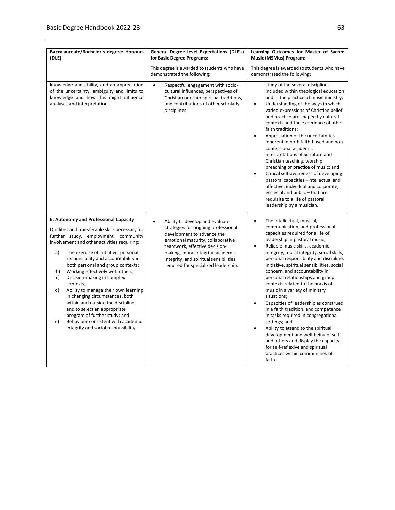| Baccalaureate/Bachelor's degree: Honours<br>(DLE)                                                                                                                                                                                                                                                                                                                                                                                                                                                                                                                                                                                                                                | General Degree-Level Expectations (DLE's)<br>for Basic Degree Programs:                                                                                                                                                                                                                                        | Learning Outcomes for Master of Sacred<br>Music (MSMus) Program:                                                                                                                                                                                                                                                                                                                                                                                                                                                                                                                                                                                                                                                                                                                                                                                                            |
|----------------------------------------------------------------------------------------------------------------------------------------------------------------------------------------------------------------------------------------------------------------------------------------------------------------------------------------------------------------------------------------------------------------------------------------------------------------------------------------------------------------------------------------------------------------------------------------------------------------------------------------------------------------------------------|----------------------------------------------------------------------------------------------------------------------------------------------------------------------------------------------------------------------------------------------------------------------------------------------------------------|-----------------------------------------------------------------------------------------------------------------------------------------------------------------------------------------------------------------------------------------------------------------------------------------------------------------------------------------------------------------------------------------------------------------------------------------------------------------------------------------------------------------------------------------------------------------------------------------------------------------------------------------------------------------------------------------------------------------------------------------------------------------------------------------------------------------------------------------------------------------------------|
|                                                                                                                                                                                                                                                                                                                                                                                                                                                                                                                                                                                                                                                                                  | This degree is awarded to students who have<br>demonstrated the following:                                                                                                                                                                                                                                     | This degree is awarded to students who have<br>demonstrated the following:                                                                                                                                                                                                                                                                                                                                                                                                                                                                                                                                                                                                                                                                                                                                                                                                  |
| knowledge and ability, and an appreciation<br>of the uncertainty, ambiguity and limits to<br>knowledge and how this might influence<br>analyses and interpretations.                                                                                                                                                                                                                                                                                                                                                                                                                                                                                                             | Respectful engagement with socio-<br>$\bullet$<br>cultural influences, perspectives of<br>Christian or other spiritual traditions,<br>and contributions of other scholarly<br>disciplines.                                                                                                                     | study of the several disciplines<br>included within theological education<br>and in the practice of music ministry;<br>Understanding of the ways in which<br>$\bullet$<br>varied expressions of Christian belief<br>and practice are shaped by cultural<br>contexts and the experience of other<br>faith traditions;<br>Appreciation of the uncertainties<br>$\bullet$<br>inherent in both faith-based and non-<br>confessional academic<br>interpretations of Scripture and<br>Christian teaching, worship,<br>preaching or practice of music; and<br>Critical self-awareness of developing<br>$\bullet$<br>pastoral capacities -intellectual and<br>affective, individual and corporate,<br>ecclesial and public - that are<br>requisite to a life of pastoral<br>leadership by a musician.                                                                               |
| 6. Autonomy and Professional Capacity<br>Qualities and transferable skills necessary for<br>further study, employment, community<br>involvement and other activities requiring:<br>a)<br>The exercise of initiative, personal<br>responsibility and accountability in<br>both personal and group contexts;<br>Working effectively with others;<br>b)<br>Decision-making in complex<br>c)<br>contexts;<br>Ability to manage their own learning<br>d)<br>in changing circumstances, both<br>within and outside the discipline<br>and to select an appropriate<br>program of further study; and<br>Behaviour consistent with academic<br>e)<br>integrity and social responsibility. | Ability to develop and evaluate<br>$\bullet$<br>strategies for ongoing professional<br>development to advance the<br>emotional maturity, collaborative<br>teamwork, effective decision-<br>making, moral integrity, academic<br>integrity, and spiritual sensibilities<br>required for specialized leadership. | The intellectual, musical,<br>$\bullet$<br>communication, and professional<br>capacities required for a life of<br>leadership in pastoral music;<br>Reliable music skills, academic<br>$\bullet$<br>integrity, moral integrity, social skills,<br>personal responsibility and discipline,<br>initiative, spiritual sensibilities, social<br>concern, and accountability in<br>personal relationships and group<br>contexts related to the praxis of<br>music in a variety of ministry<br>situations;<br>Capacities of leadership as construed<br>$\bullet$<br>in a faith tradition, and competence<br>in tasks required in congregational<br>settings; and<br>Ability to attend to the spiritual<br>$\bullet$<br>development and well-being of self<br>and others and display the capacity<br>for self-reflexive and spiritual<br>practices within communities of<br>faith. |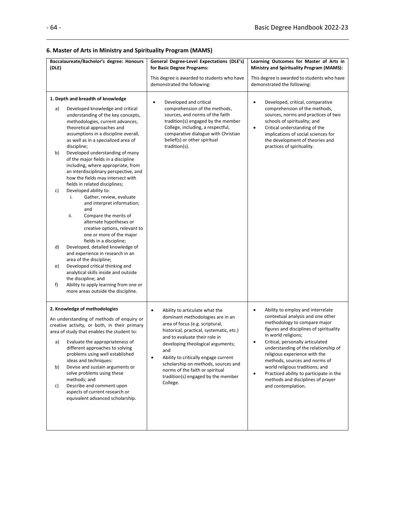### **6. Master of Arts in Ministry and Spirituality Program (MAMS)**

| (DLE)                            | Baccalaureate/Bachelor's degree: Honours                                                                                                                                                                                                                                                                                                                                                                                                                                                                                                                                                                                                                                                                                                                                                                                                                                                                                                                                                                                                           | General Degree-Level Expectations (DLE's)<br>for Basic Degree Programs:                                                                                                                                                                                                                                                                                                                                                      | Learning Outcomes for Master of Arts in<br>Ministry and Spirituality Program (MAMS):                                                                                                                                                                                                                                                                                                                                                                                                      |
|----------------------------------|----------------------------------------------------------------------------------------------------------------------------------------------------------------------------------------------------------------------------------------------------------------------------------------------------------------------------------------------------------------------------------------------------------------------------------------------------------------------------------------------------------------------------------------------------------------------------------------------------------------------------------------------------------------------------------------------------------------------------------------------------------------------------------------------------------------------------------------------------------------------------------------------------------------------------------------------------------------------------------------------------------------------------------------------------|------------------------------------------------------------------------------------------------------------------------------------------------------------------------------------------------------------------------------------------------------------------------------------------------------------------------------------------------------------------------------------------------------------------------------|-------------------------------------------------------------------------------------------------------------------------------------------------------------------------------------------------------------------------------------------------------------------------------------------------------------------------------------------------------------------------------------------------------------------------------------------------------------------------------------------|
|                                  |                                                                                                                                                                                                                                                                                                                                                                                                                                                                                                                                                                                                                                                                                                                                                                                                                                                                                                                                                                                                                                                    | This degree is awarded to students who have<br>demonstrated the following:                                                                                                                                                                                                                                                                                                                                                   | This degree is awarded to students who have<br>demonstrated the following:                                                                                                                                                                                                                                                                                                                                                                                                                |
| a)<br>b)<br>c)<br>d)<br>e)<br>f) | 1. Depth and breadth of knowledge<br>Developed knowledge and critical<br>understanding of the key concepts,<br>methodologies, current advances,<br>theoretical approaches and<br>assumptions in a discipline overall,<br>as well as in a specialized area of<br>discipline;<br>Developed understanding of many<br>of the major fields in a discipline<br>including, where appropriate, from<br>an interdisciplinary perspective, and<br>how the fields may intersect with<br>fields in related disciplines;<br>Developed ability to:<br>Gather, review, evaluate<br>i.<br>and interpret information;<br>and<br>ii.<br>Compare the merits of<br>alternate hypotheses or<br>creative options, relevant to<br>one or more of the major<br>fields in a discipline;<br>Developed, detailed knowledge of<br>and experience in research in an<br>area of the discipline;<br>Developed critical thinking and<br>analytical skills inside and outside<br>the discipline; and<br>Ability to apply learning from one or<br>more areas outside the discipline. | Developed and critical<br>$\bullet$<br>comprehension of the methods,<br>sources, and norms of the faith<br>tradition(s) engaged by the member<br>College, including, a respectful,<br>comparative dialogue with Christian<br>belief(s) or other spiritual<br>tradition(s).                                                                                                                                                   | Developed, critical, comparative<br>$\bullet$<br>comprehension of the methods,<br>sources, norms and practices of two<br>schools of spirituality; and<br>Critical understanding of the<br>$\bullet$<br>implications of social sciences for<br>the development of theories and<br>practices of spirituality.                                                                                                                                                                               |
| a)<br>b)<br>c)                   | 2. Knowledge of methodologies<br>An understanding of methods of enquiry or<br>creative activity, or both, in their primary<br>area of study that enables the student to:<br>Evaluate the appropriateness of<br>different approaches to solving<br>problems using well established<br>ideas and techniques:<br>Devise and sustain arguments or<br>solve problems using these<br>methods; and<br>Describe and comment upon<br>aspects of current research or<br>equivalent advanced scholarship.                                                                                                                                                                                                                                                                                                                                                                                                                                                                                                                                                     | $\bullet$<br>Ability to articulate what the<br>dominant methodologies are in an<br>area of focus (e.g. scriptural,<br>historical, practical, systematic, etc.)<br>and to evaluate their role in<br>developing theological arguments;<br>and<br>Ability to critically engage current<br>$\bullet$<br>scholarship on methods, sources and<br>norms of the faith or spiritual<br>tradition(s) engaged by the member<br>College. | Ability to employ and interrelate<br>$\bullet$<br>contextual analysis and one other<br>methodology to compare major<br>figures and disciplines of spirituality<br>in world religions;<br>Critical, personally articulated<br>understanding of the relationship of<br>religious experience with the<br>methods, sources and norms of<br>world religious traditions; and<br>Practiced ability to participate in the<br>$\bullet$<br>methods and disciplines of prayer<br>and contemplation. |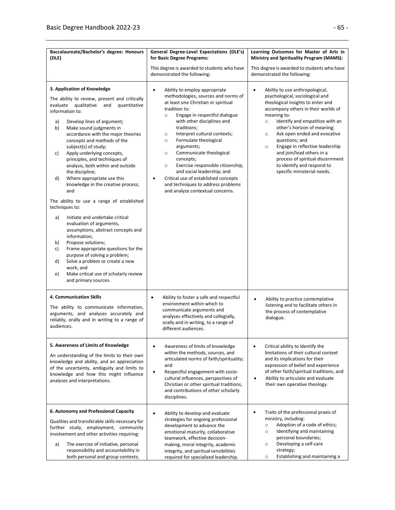| Baccalaureate/Bachelor's degree: Honours<br>(DLE)                                                                                                                                                                                                                                                                                                                                                                                                                                                                                                                                                                                                                                                                                                                                                                                                                                                                                                            | General Degree-Level Expectations (DLE's)<br>for Basic Degree Programs:                                                                                                                                                                                                                                                                                                                                                                                                                                                                                                                         | Learning Outcomes for Master of Arts in<br><b>Ministry and Spirituality Program (MAMS):</b>                                                                                                                                                                                                                                                                                                                                                                                                     |
|--------------------------------------------------------------------------------------------------------------------------------------------------------------------------------------------------------------------------------------------------------------------------------------------------------------------------------------------------------------------------------------------------------------------------------------------------------------------------------------------------------------------------------------------------------------------------------------------------------------------------------------------------------------------------------------------------------------------------------------------------------------------------------------------------------------------------------------------------------------------------------------------------------------------------------------------------------------|-------------------------------------------------------------------------------------------------------------------------------------------------------------------------------------------------------------------------------------------------------------------------------------------------------------------------------------------------------------------------------------------------------------------------------------------------------------------------------------------------------------------------------------------------------------------------------------------------|-------------------------------------------------------------------------------------------------------------------------------------------------------------------------------------------------------------------------------------------------------------------------------------------------------------------------------------------------------------------------------------------------------------------------------------------------------------------------------------------------|
|                                                                                                                                                                                                                                                                                                                                                                                                                                                                                                                                                                                                                                                                                                                                                                                                                                                                                                                                                              | This degree is awarded to students who have<br>demonstrated the following:                                                                                                                                                                                                                                                                                                                                                                                                                                                                                                                      | This degree is awarded to students who have<br>demonstrated the following:                                                                                                                                                                                                                                                                                                                                                                                                                      |
| 3. Application of Knowledge<br>The ability to review, present and critically<br>evaluate qualitative and<br>quantitative<br>information to:<br>Develop lines of argument;<br>a)<br>b)<br>Make sound judgments in<br>accordance with the major theories<br>concepts and methods of the<br>subject(s) of study;<br>Apply underlying concepts,<br>c)<br>principles, and techniques of<br>analysis, both within and outside<br>the discipline;<br>Where appropriate use this<br>d)<br>knowledge in the creative process;<br>and<br>The ability to use a range of established<br>techniques to:<br>Initiate and undertake critical<br>a)<br>evaluation of arguments,<br>assumptions, abstract concepts and<br>information;<br>Propose solutions;<br>b)<br>Frame appropriate questions for the<br>c)<br>purpose of solving a problem;<br>Solve a problem or create a new<br>d)<br>work; and<br>Make critical use of scholarly review<br>e)<br>and primary sources. | $\bullet$<br>Ability to employ appropriate<br>methodologies, sources and norms of<br>at least one Christian or spiritual<br>tradition to:<br>Engage in respectful dialogue<br>$\circ$<br>with other disciplines and<br>traditions;<br>Interpret cultural contexts;<br>$\circ$<br>Formulate theological<br>$\circ$<br>arguments;<br>Communicate theological<br>$\circ$<br>concepts;<br>Exercise responsible citizenship,<br>$\circ$<br>and social leadership; and<br>Critical use of established concepts<br>$\bullet$<br>and techniques to address problems<br>and analyze contextual concerns. | $\bullet$<br>Ability to use anthropological,<br>psychological, sociological and<br>theological insights to enter and<br>accompany others in their worlds of<br>meaning to:<br>Identify and empathize with an<br>$\circ$<br>other's horizon of meaning;<br>Ask open ended and evocative<br>$\circ$<br>questions; and<br>Engage in reflective leadership<br>$\circ$<br>and join/lead others in a<br>process of spiritual discernment<br>to identify and respond to<br>specific ministerial needs. |
| 4. Communication Skills<br>The ability to communicate information,<br>arguments, and analyses accurately and<br>reliably, orally and in writing to a range of<br>audiences.                                                                                                                                                                                                                                                                                                                                                                                                                                                                                                                                                                                                                                                                                                                                                                                  | Ability to foster a safe and respectful<br>٠<br>environment within which to<br>communicate arguments and<br>analyses effectively and collegially,<br>orally and in writing, to a range of<br>different audiences.                                                                                                                                                                                                                                                                                                                                                                               | Ability to practice contemplative<br>$\bullet$<br>listening and to facilitate others in<br>the process of contemplative<br>dialogue.                                                                                                                                                                                                                                                                                                                                                            |
| 5. Awareness of Limits of Knowledge<br>An understanding of the limits to their own<br>knowledge and ability, and an appreciation<br>of the uncertainty, ambiguity and limits to<br>knowledge and how this might influence<br>analyses and interpretations.                                                                                                                                                                                                                                                                                                                                                                                                                                                                                                                                                                                                                                                                                                   | Awareness of limits of knowledge<br>$\bullet$<br>within the methods, sources, and<br>articulated norms of faith/spirituality;<br>and<br>Respectful engagement with socio-<br>cultural influences, perspectives of<br>Christian or other spiritual traditions,<br>and contributions of other scholarly<br>disciplines.                                                                                                                                                                                                                                                                           | Critical ability to identify the<br>$\bullet$<br>limitations of their cultural context<br>and its implications for their<br>expression of belief and experience<br>of other faith/spiritual traditions; and<br>Ability to articulate and evaluate<br>their own operative theology.                                                                                                                                                                                                              |
| 6. Autonomy and Professional Capacity<br>Qualities and transferable skills necessary for<br>further study, employment, community<br>involvement and other activities requiring:<br>The exercise of initiative, personal<br>a)<br>responsibility and accountability in<br>both personal and group contexts;                                                                                                                                                                                                                                                                                                                                                                                                                                                                                                                                                                                                                                                   | Ability to develop and evaluate<br>$\bullet$<br>strategies for ongoing professional<br>development to advance the<br>emotional maturity, collaborative<br>teamwork, effective decision-<br>making, moral integrity, academic<br>integrity, and spiritual sensibilities<br>required for specialized leadership.                                                                                                                                                                                                                                                                                  | Traits of the professional praxis of<br>$\bullet$<br>ministry, including:<br>Adoption of a code of ethics;<br>$\circ$<br>Identifying and maintaining<br>$\circ$<br>personal boundaries;<br>Developing a self-care<br>$\circ$<br>strategy;<br>Establishing and maintaining a<br>$\circ$                                                                                                                                                                                                          |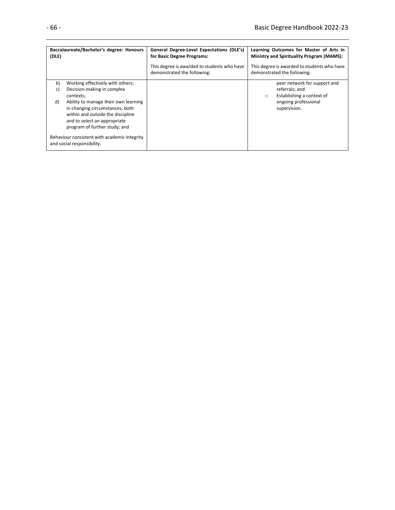| (DLE) | Baccalaureate/Bachelor's degree: Honours                                   | General Degree-Level Expectations (DLE's)<br>for Basic Degree Programs:    | Learning Outcomes for Master of Arts in<br><b>Ministry and Spirituality Program (MAMS):</b> |
|-------|----------------------------------------------------------------------------|----------------------------------------------------------------------------|---------------------------------------------------------------------------------------------|
|       |                                                                            | This degree is awarded to students who have<br>demonstrated the following: | This degree is awarded to students who have<br>demonstrated the following:                  |
| b)    | Working effectively with others;                                           |                                                                            | peer network for support and                                                                |
| C)    | Decision-making in complex                                                 |                                                                            | referrals; and                                                                              |
|       | contexts;                                                                  |                                                                            | Establishing a context of<br>$\circ$                                                        |
| d)    | Ability to manage their own learning                                       |                                                                            | ongoing professional                                                                        |
|       | in changing circumstances, both                                            |                                                                            | supervision.                                                                                |
|       | within and outside the discipline                                          |                                                                            |                                                                                             |
|       | and to select an appropriate                                               |                                                                            |                                                                                             |
|       | program of further study; and                                              |                                                                            |                                                                                             |
|       | Behaviour consistent with academic integrity<br>and social responsibility. |                                                                            |                                                                                             |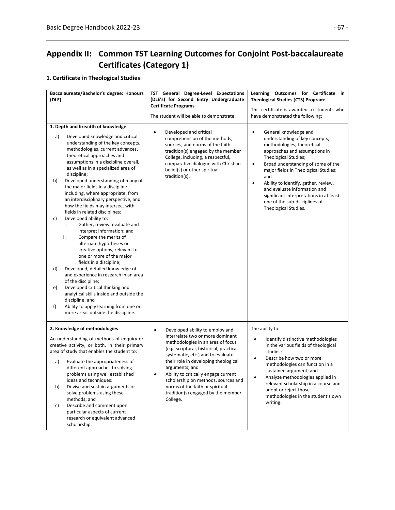# **Appendix II: Common TST Learning Outcomes for Conjoint Post-baccalaureate Certificates (Category 1)**

### **1. Certificate in Theological Studies**

| Baccalaureate/Bachelor's degree: Honours<br>(DLE)                                                                                                                                                                                                                                                                                                                                                                                                                                                                                                                                                                                                                                                                                                                                                                                                                                                                                                                                                                                                                                   | TST General Degree-Level Expectations<br>(DLE's) for Second Entry Undergraduate<br><b>Certificate Programs</b><br>The student will be able to demonstrate:                                                                                                                                                                                                                                                                           | Learning Outcomes for Certificate in<br><b>Theological Studies (CTS) Program:</b><br>This certificate is awarded to students who<br>have demonstrated the following:                                                                                                                                                                                                                                                                                   |
|-------------------------------------------------------------------------------------------------------------------------------------------------------------------------------------------------------------------------------------------------------------------------------------------------------------------------------------------------------------------------------------------------------------------------------------------------------------------------------------------------------------------------------------------------------------------------------------------------------------------------------------------------------------------------------------------------------------------------------------------------------------------------------------------------------------------------------------------------------------------------------------------------------------------------------------------------------------------------------------------------------------------------------------------------------------------------------------|--------------------------------------------------------------------------------------------------------------------------------------------------------------------------------------------------------------------------------------------------------------------------------------------------------------------------------------------------------------------------------------------------------------------------------------|--------------------------------------------------------------------------------------------------------------------------------------------------------------------------------------------------------------------------------------------------------------------------------------------------------------------------------------------------------------------------------------------------------------------------------------------------------|
| 1. Depth and breadth of knowledge<br>Developed knowledge and critical<br>a)<br>understanding of the key concepts,<br>methodologies, current advances,<br>theoretical approaches and<br>assumptions in a discipline overall,<br>as well as in a specialized area of<br>discipline;<br>Developed understanding of many of<br>b)<br>the major fields in a discipline<br>including, where appropriate, from<br>an interdisciplinary perspective, and<br>how the fields may intersect with<br>fields in related disciplines;<br>c)<br>Developed ability to:<br>Gather, review, evaluate and<br>i.<br>interpret information; and<br>Compare the merits of<br>ii.<br>alternate hypotheses or<br>creative options, relevant to<br>one or more of the major<br>fields in a discipline;<br>Developed, detailed knowledge of<br>d)<br>and experience in research in an area<br>of the discipline;<br>Developed critical thinking and<br>e)<br>analytical skills inside and outside the<br>discipline; and<br>Ability to apply learning from one or<br>f)<br>more areas outside the discipline. | Developed and critical<br>$\bullet$<br>comprehension of the methods,<br>sources, and norms of the faith<br>tradition(s) engaged by the member<br>College, including, a respectful,<br>comparative dialogue with Christian<br>belief(s) or other spiritual<br>tradition(s).                                                                                                                                                           | General knowledge and<br>$\bullet$<br>understanding of key concepts,<br>methodologies, theoretical<br>approaches and assumptions in<br>Theological Studies;<br>Broad understanding of some of the<br>$\bullet$<br>major fields in Theological Studies;<br>and<br>Ability to identify, gather, review,<br>$\bullet$<br>and evaluate information and<br>significant interpretations in at least<br>one of the sub-disciplines of<br>Theological Studies. |
| 2. Knowledge of methodologies<br>An understanding of methods of enquiry or<br>creative activity, or both, in their primary<br>area of study that enables the student to:<br>Evaluate the appropriateness of<br>a)<br>different approaches to solving<br>problems using well established<br>ideas and techniques:<br>Devise and sustain arguments or<br>b)<br>solve problems using these<br>methods; and<br>Describe and comment upon<br>c)<br>particular aspects of current<br>research or equivalent advanced<br>scholarship.                                                                                                                                                                                                                                                                                                                                                                                                                                                                                                                                                      | Developed ability to employ and<br>$\bullet$<br>interrelate two or more dominant<br>methodologies in an area of focus<br>(e.g. scriptural, historical, practical,<br>systematic, etc.) and to evaluate<br>their role in developing theological<br>arguments; and<br>Ability to critically engage current<br>scholarship on methods, sources and<br>norms of the faith or spiritual<br>tradition(s) engaged by the member<br>College. | The ability to:<br>Identify distinctive methodologies<br>$\bullet$<br>in the various fields of theological<br>studies;<br>Describe how two or more<br>$\bullet$<br>methodologies can function in a<br>sustained argument; and<br>Analyze methodologies applied in<br>relevant scholarship in a course and<br>adopt or reject those<br>methodologies in the student's own<br>writing.                                                                   |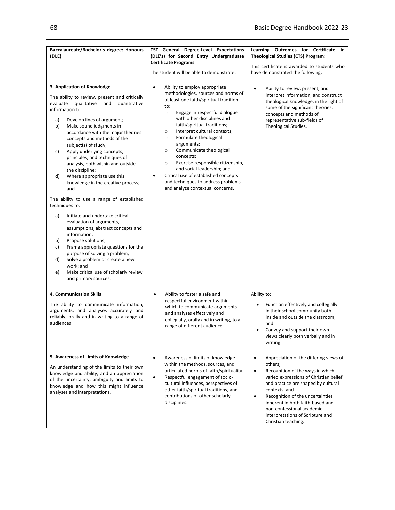| Baccalaureate/Bachelor's degree: Honours<br>(DLE)                                                                                                                                                                                                                                                                                                                                                                                                                                                                                                                                                                                                                                                                                                                                                                                                                                                                                                            | TST General Degree-Level Expectations<br>(DLE's) for Second Entry Undergraduate<br><b>Certificate Programs</b><br>The student will be able to demonstrate:                                                                                                                                                                                                                                                                                                                                                                                                                                               | Learning Outcomes for Certificate in<br><b>Theological Studies (CTS) Program:</b><br>This certificate is awarded to students who<br>have demonstrated the following:                                                                                                                                                                                                              |
|--------------------------------------------------------------------------------------------------------------------------------------------------------------------------------------------------------------------------------------------------------------------------------------------------------------------------------------------------------------------------------------------------------------------------------------------------------------------------------------------------------------------------------------------------------------------------------------------------------------------------------------------------------------------------------------------------------------------------------------------------------------------------------------------------------------------------------------------------------------------------------------------------------------------------------------------------------------|----------------------------------------------------------------------------------------------------------------------------------------------------------------------------------------------------------------------------------------------------------------------------------------------------------------------------------------------------------------------------------------------------------------------------------------------------------------------------------------------------------------------------------------------------------------------------------------------------------|-----------------------------------------------------------------------------------------------------------------------------------------------------------------------------------------------------------------------------------------------------------------------------------------------------------------------------------------------------------------------------------|
| 3. Application of Knowledge<br>The ability to review, present and critically<br>evaluate qualitative and<br>quantitative<br>information to:<br>Develop lines of argument;<br>a)<br>b)<br>Make sound judgments in<br>accordance with the major theories<br>concepts and methods of the<br>subject(s) of study;<br>Apply underlying concepts,<br>c)<br>principles, and techniques of<br>analysis, both within and outside<br>the discipline;<br>Where appropriate use this<br>d)<br>knowledge in the creative process;<br>and<br>The ability to use a range of established<br>techniques to:<br>Initiate and undertake critical<br>a)<br>evaluation of arguments,<br>assumptions, abstract concepts and<br>information;<br>Propose solutions;<br>b)<br>Frame appropriate questions for the<br>c)<br>purpose of solving a problem;<br>Solve a problem or create a new<br>d)<br>work; and<br>Make critical use of scholarly review<br>e)<br>and primary sources. | Ability to employ appropriate<br>$\bullet$<br>methodologies, sources and norms of<br>at least one faith/spiritual tradition<br>to:<br>Engage in respectful dialogue<br>$\circ$<br>with other disciplines and<br>faith/spiritual traditions;<br>Interpret cultural contexts;<br>$\circ$<br>Formulate theological<br>$\circ$<br>arguments;<br>Communicate theological<br>$\circ$<br>concepts;<br>Exercise responsible citizenship,<br>$\circ$<br>and social leadership; and<br>Critical use of established concepts<br>$\bullet$<br>and techniques to address problems<br>and analyze contextual concerns. | Ability to review, present, and<br>$\bullet$<br>interpret information, and construct<br>theological knowledge, in the light of<br>some of the significant theories,<br>concepts and methods of<br>representative sub-fields of<br>Theological Studies.                                                                                                                            |
| 4. Communication Skills<br>The ability to communicate information,<br>arguments, and analyses accurately and<br>reliably, orally and in writing to a range of<br>audiences.                                                                                                                                                                                                                                                                                                                                                                                                                                                                                                                                                                                                                                                                                                                                                                                  | Ability to foster a safe and<br>$\bullet$<br>respectful environment within<br>which to communicate arguments<br>and analyses effectively and<br>collegially, orally and in writing, to a<br>range of different audience.                                                                                                                                                                                                                                                                                                                                                                                 | Ability to:<br>Function effectively and collegially<br>$\bullet$<br>in their school community both<br>inside and outside the classroom;<br>and<br>Convey and support their own<br>views clearly both verbally and in<br>writing.                                                                                                                                                  |
| 5. Awareness of Limits of Knowledge<br>An understanding of the limits to their own<br>knowledge and ability, and an appreciation<br>of the uncertainty, ambiguity and limits to<br>knowledge and how this might influence<br>analyses and interpretations.                                                                                                                                                                                                                                                                                                                                                                                                                                                                                                                                                                                                                                                                                                   | Awareness of limits of knowledge<br>$\bullet$<br>within the methods, sources, and<br>articulated norms of faith/spirituality.<br>Respectful engagement of socio-<br>$\bullet$<br>cultural influences, perspectives of<br>other faith/spiritual traditions, and<br>contributions of other scholarly<br>disciplines.                                                                                                                                                                                                                                                                                       | Appreciation of the differing views of<br>$\bullet$<br>others;<br>Recognition of the ways in which<br>$\bullet$<br>varied expressions of Christian belief<br>and practice are shaped by cultural<br>contexts; and<br>Recognition of the uncertainties<br>inherent in both faith-based and<br>non-confessional academic<br>interpretations of Scripture and<br>Christian teaching. |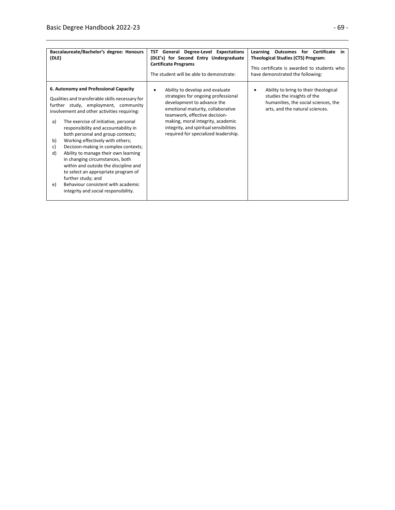| Baccalaureate/Bachelor's degree: Honours<br>(DLE)                                                                                                                                                                                                                                                                                                                                                                                                                                                                                                                                                                                                                             | General Degree-Level Expectations<br>TST<br>(DLE's) for Second Entry Undergraduate<br><b>Certificate Programs</b><br>The student will be able to demonstrate:                                                                                                                                          | Learning<br>Outcomes for Certificate in<br><b>Theological Studies (CTS) Program:</b><br>This certificate is awarded to students who<br>have demonstrated the following: |
|-------------------------------------------------------------------------------------------------------------------------------------------------------------------------------------------------------------------------------------------------------------------------------------------------------------------------------------------------------------------------------------------------------------------------------------------------------------------------------------------------------------------------------------------------------------------------------------------------------------------------------------------------------------------------------|--------------------------------------------------------------------------------------------------------------------------------------------------------------------------------------------------------------------------------------------------------------------------------------------------------|-------------------------------------------------------------------------------------------------------------------------------------------------------------------------|
| 6. Autonomy and Professional Capacity<br>Qualities and transferable skills necessary for<br>further study, employment, community<br>involvement and other activities requiring:<br>The exercise of initiative, personal<br>a)<br>responsibility and accountability in<br>both personal and group contexts;<br>Working effectively with others;<br>b)<br>Decision-making in complex contexts;<br>c)<br>d)<br>Ability to manage their own learning<br>in changing circumstances, both<br>within and outside the discipline and<br>to select an appropriate program of<br>further study; and<br>Behaviour consistent with academic<br>e)<br>integrity and social responsibility. | Ability to develop and evaluate<br>٠<br>strategies for ongoing professional<br>development to advance the<br>emotional maturity, collaborative<br>teamwork, effective decision-<br>making, moral integrity, academic<br>integrity, and spiritual sensibilities<br>required for specialized leadership. | Ability to bring to their theological<br>studies the insights of the<br>humanities, the social sciences, the<br>arts, and the natural sciences.                         |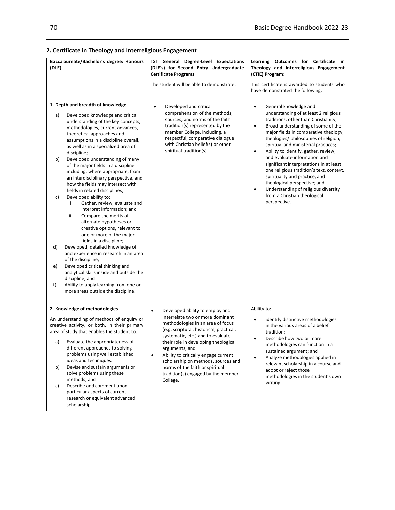### **2. Certificate in Theology and Interreligious Engagement**

| Baccalaureate/Bachelor's degree: Honours<br>(DLE)                                                                                                                                                                                                                                                                                                                                                                                                                                                                                                                                                                                                                                                                                                                                                                                                                                                                                                                                                                                                                                   | TST General Degree-Level Expectations<br>(DLE's) for Second Entry Undergraduate<br><b>Certificate Programs</b><br>The student will be able to demonstrate:                                                                                                                                                                                                                                                                                        | Learning Outcomes for Certificate in<br>Theology and Interreligious Engagement<br>(CTIE) Program:<br>This certificate is awarded to students who<br>have demonstrated the following:                                                                                                                                                                                                                                                                                                                                                                                                                                                                |
|-------------------------------------------------------------------------------------------------------------------------------------------------------------------------------------------------------------------------------------------------------------------------------------------------------------------------------------------------------------------------------------------------------------------------------------------------------------------------------------------------------------------------------------------------------------------------------------------------------------------------------------------------------------------------------------------------------------------------------------------------------------------------------------------------------------------------------------------------------------------------------------------------------------------------------------------------------------------------------------------------------------------------------------------------------------------------------------|---------------------------------------------------------------------------------------------------------------------------------------------------------------------------------------------------------------------------------------------------------------------------------------------------------------------------------------------------------------------------------------------------------------------------------------------------|-----------------------------------------------------------------------------------------------------------------------------------------------------------------------------------------------------------------------------------------------------------------------------------------------------------------------------------------------------------------------------------------------------------------------------------------------------------------------------------------------------------------------------------------------------------------------------------------------------------------------------------------------------|
| 1. Depth and breadth of knowledge<br>a)<br>Developed knowledge and critical<br>understanding of the key concepts,<br>methodologies, current advances,<br>theoretical approaches and<br>assumptions in a discipline overall,<br>as well as in a specialized area of<br>discipline;<br>Developed understanding of many<br>b)<br>of the major fields in a discipline<br>including, where appropriate, from<br>an interdisciplinary perspective, and<br>how the fields may intersect with<br>fields in related disciplines;<br>Developed ability to:<br>c)<br>Gather, review, evaluate and<br>i.<br>interpret information; and<br>Compare the merits of<br>ii.<br>alternate hypotheses or<br>creative options, relevant to<br>one or more of the major<br>fields in a discipline;<br>Developed, detailed knowledge of<br>d)<br>and experience in research in an area<br>of the discipline;<br>Developed critical thinking and<br>e)<br>analytical skills inside and outside the<br>discipline; and<br>Ability to apply learning from one or<br>f)<br>more areas outside the discipline. | Developed and critical<br>$\bullet$<br>comprehension of the methods,<br>sources, and norms of the faith<br>tradition(s) represented by the<br>member College, including, a<br>respectful, comparative dialogue<br>with Christian belief(s) or other<br>spiritual tradition(s).                                                                                                                                                                    | General knowledge and<br>$\bullet$<br>understanding of at least 2 religious<br>traditions, other than Christianity;<br>Broad understanding of some of the<br>$\bullet$<br>major fields in comparative theology,<br>theologies/ philosophies of religion,<br>spiritual and ministerial practices;<br>Ability to identify, gather, review,<br>$\bullet$<br>and evaluate information and<br>significant interpretations in at least<br>one religious tradition's text, context,<br>spirituality and practice, and<br>theological perspective; and<br>Understanding of religious diversity<br>$\bullet$<br>from a Christian theological<br>perspective. |
| 2. Knowledge of methodologies<br>An understanding of methods of enquiry or<br>creative activity, or both, in their primary<br>area of study that enables the student to:<br>Evaluate the appropriateness of<br>a)<br>different approaches to solving<br>problems using well established<br>ideas and techniques:<br>b)<br>Devise and sustain arguments or<br>solve problems using these<br>methods; and<br>Describe and comment upon<br>c)<br>particular aspects of current<br>research or equivalent advanced<br>scholarship.                                                                                                                                                                                                                                                                                                                                                                                                                                                                                                                                                      | $\bullet$<br>Developed ability to employ and<br>interrelate two or more dominant<br>methodologies in an area of focus<br>(e.g. scriptural, historical, practical,<br>systematic, etc.) and to evaluate<br>their role in developing theological<br>arguments; and<br>Ability to critically engage current<br>$\bullet$<br>scholarship on methods, sources and<br>norms of the faith or spiritual<br>tradition(s) engaged by the member<br>College. | Ability to:<br>identify distinctive methodologies<br>٠<br>in the various areas of a belief<br>tradition;<br>Describe how two or more<br>methodologies can function in a<br>sustained argument; and<br>Analyze methodologies applied in<br>٠<br>relevant scholarship in a course and<br>adopt or reject those<br>methodologies in the student's own<br>writing;                                                                                                                                                                                                                                                                                      |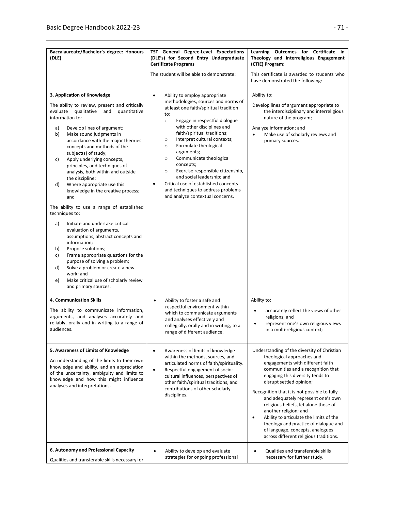| Baccalaureate/Bachelor's degree: Honours<br>(DLE)                                                                                                                                                                                                                                                                                                                                                                                                                                                                                                                                                                                                                                                                                                                                                                                                                                                                                                                  | TST General Degree-Level Expectations<br>(DLE's) for Second Entry Undergraduate<br><b>Certificate Programs</b>                                                                                                                                                                                                                                                                                                                                                                                                                                                                                   | Learning Outcomes for Certificate in<br>Theology and Interreligious Engagement<br>(CTIE) Program:                                                                                                                                                                                                                                                                                                                                                                                                                                                          |
|--------------------------------------------------------------------------------------------------------------------------------------------------------------------------------------------------------------------------------------------------------------------------------------------------------------------------------------------------------------------------------------------------------------------------------------------------------------------------------------------------------------------------------------------------------------------------------------------------------------------------------------------------------------------------------------------------------------------------------------------------------------------------------------------------------------------------------------------------------------------------------------------------------------------------------------------------------------------|--------------------------------------------------------------------------------------------------------------------------------------------------------------------------------------------------------------------------------------------------------------------------------------------------------------------------------------------------------------------------------------------------------------------------------------------------------------------------------------------------------------------------------------------------------------------------------------------------|------------------------------------------------------------------------------------------------------------------------------------------------------------------------------------------------------------------------------------------------------------------------------------------------------------------------------------------------------------------------------------------------------------------------------------------------------------------------------------------------------------------------------------------------------------|
|                                                                                                                                                                                                                                                                                                                                                                                                                                                                                                                                                                                                                                                                                                                                                                                                                                                                                                                                                                    | The student will be able to demonstrate:                                                                                                                                                                                                                                                                                                                                                                                                                                                                                                                                                         | This certificate is awarded to students who<br>have demonstrated the following:                                                                                                                                                                                                                                                                                                                                                                                                                                                                            |
| 3. Application of Knowledge<br>The ability to review, present and critically<br>evaluate<br>qualitative<br>quantitative<br>and<br>information to:<br>Develop lines of argument;<br>a)<br>Make sound judgments in<br>b)<br>accordance with the major theories<br>concepts and methods of the<br>subject(s) of study;<br>Apply underlying concepts,<br>c)<br>principles, and techniques of<br>analysis, both within and outside<br>the discipline;<br>d)<br>Where appropriate use this<br>knowledge in the creative process;<br>and<br>The ability to use a range of established<br>techniques to:<br>Initiate and undertake critical<br>a)<br>evaluation of arguments,<br>assumptions, abstract concepts and<br>information;<br>Propose solutions;<br>b)<br>Frame appropriate questions for the<br>c)<br>purpose of solving a problem;<br>Solve a problem or create a new<br>d)<br>work; and<br>Make critical use of scholarly review<br>e)<br>and primary sources. | Ability to employ appropriate<br>$\bullet$<br>methodologies, sources and norms of<br>at least one faith/spiritual tradition<br>to:<br>Engage in respectful dialogue<br>$\circ$<br>with other disciplines and<br>faith/spiritual traditions;<br>Interpret cultural contexts;<br>$\circ$<br>Formulate theological<br>$\circ$<br>arguments;<br>Communicate theological<br>$\circ$<br>concepts;<br>Exercise responsible citizenship,<br>$\circ$<br>and social leadership; and<br>Critical use of established concepts<br>٠<br>and techniques to address problems<br>and analyze contextual concerns. | Ability to:<br>Develop lines of argument appropriate to<br>the interdisciplinary and interreligious<br>nature of the program;<br>Analyze information; and<br>Make use of scholarly reviews and<br>primary sources.                                                                                                                                                                                                                                                                                                                                         |
| 4. Communication Skills<br>The ability to communicate information,<br>arguments, and analyses accurately and<br>reliably, orally and in writing to a range of<br>audiences.                                                                                                                                                                                                                                                                                                                                                                                                                                                                                                                                                                                                                                                                                                                                                                                        | Ability to foster a safe and<br>٠<br>respectful environment within<br>which to communicate arguments<br>and analyses effectively and<br>collegially, orally and in writing, to a<br>range of different audience.                                                                                                                                                                                                                                                                                                                                                                                 | Ability to:<br>accurately reflect the views of other<br>religions; and<br>represent one's own religious views<br>in a multi-religious context;                                                                                                                                                                                                                                                                                                                                                                                                             |
| 5. Awareness of Limits of Knowledge<br>An understanding of the limits to their own<br>knowledge and ability, and an appreciation<br>of the uncertainty, ambiguity and limits to<br>knowledge and how this might influence<br>analyses and interpretations.                                                                                                                                                                                                                                                                                                                                                                                                                                                                                                                                                                                                                                                                                                         | Awareness of limits of knowledge<br>$\bullet$<br>within the methods, sources, and<br>articulated norms of faith/spirituality.<br>Respectful engagement of socio-<br>$\bullet$<br>cultural influences, perspectives of<br>other faith/spiritual traditions, and<br>contributions of other scholarly<br>disciplines.                                                                                                                                                                                                                                                                               | Understanding of the diversity of Christian<br>theological approaches and<br>engagements with different faith<br>communities and a recognition that<br>engaging this diversity tends to<br>disrupt settled opinion;<br>Recognition that it is not possible to fully<br>and adequately represent one's own<br>religious beliefs, let alone those of<br>another religion; and<br>Ability to articulate the limits of the<br>$\bullet$<br>theology and practice of dialogue and<br>of language, concepts, analogues<br>across different religious traditions. |
| 6. Autonomy and Professional Capacity<br>Qualities and transferable skills necessary for                                                                                                                                                                                                                                                                                                                                                                                                                                                                                                                                                                                                                                                                                                                                                                                                                                                                           | Ability to develop and evaluate<br>strategies for ongoing professional                                                                                                                                                                                                                                                                                                                                                                                                                                                                                                                           | Qualities and transferable skills<br>$\bullet$<br>necessary for further study.                                                                                                                                                                                                                                                                                                                                                                                                                                                                             |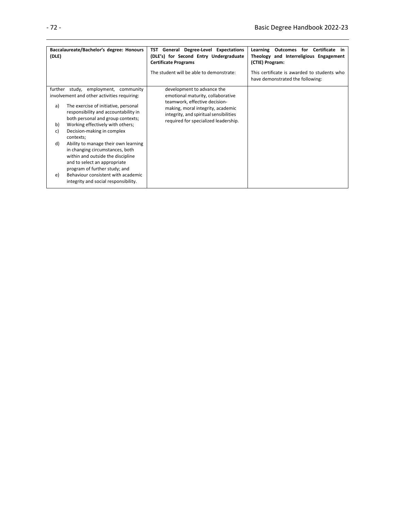| Baccalaureate/Bachelor's degree: Honours<br>(DLE)                                                                                                                                                                                                                                                                                                                                                                                                                                                                                            | General Degree-Level Expectations<br>TST<br>(DLE's) for Second Entry Undergraduate<br><b>Certificate Programs</b>                                                                                                       | Learning Outcomes<br>Certificate<br>for<br>-in<br>Theology and Interreligious Engagement<br>(CTIE) Program: |
|----------------------------------------------------------------------------------------------------------------------------------------------------------------------------------------------------------------------------------------------------------------------------------------------------------------------------------------------------------------------------------------------------------------------------------------------------------------------------------------------------------------------------------------------|-------------------------------------------------------------------------------------------------------------------------------------------------------------------------------------------------------------------------|-------------------------------------------------------------------------------------------------------------|
|                                                                                                                                                                                                                                                                                                                                                                                                                                                                                                                                              | The student will be able to demonstrate:                                                                                                                                                                                | This certificate is awarded to students who<br>have demonstrated the following:                             |
| further study, employment, community<br>involvement and other activities requiring:<br>The exercise of initiative, personal<br>a)<br>responsibility and accountability in<br>both personal and group contexts;<br>Working effectively with others;<br>b)<br>Decision-making in complex<br>c)<br>contexts;<br>Ability to manage their own learning<br>d)<br>in changing circumstances, both<br>within and outside the discipline<br>and to select an appropriate<br>program of further study; and<br>Behaviour consistent with academic<br>e) | development to advance the<br>emotional maturity, collaborative<br>teamwork, effective decision-<br>making, moral integrity, academic<br>integrity, and spiritual sensibilities<br>required for specialized leadership. |                                                                                                             |
| integrity and social responsibility.                                                                                                                                                                                                                                                                                                                                                                                                                                                                                                         |                                                                                                                                                                                                                         |                                                                                                             |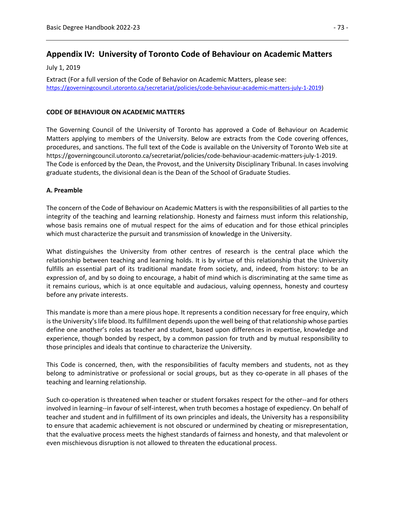## **Appendix IV: University of Toronto Code of Behaviour on Academic Matters**

July 1, 2019

Extract (For a full version of the Code of Behavior on Academic Matters, please see: [https://governingcouncil.utoronto.ca/secretariat/policies/code-behaviour-academic-matters-july-1-2019\)](https://governingcouncil.utoronto.ca/secretariat/policies/code-behaviour-academic-matters-july-1-2019)

#### **CODE OF BEHAVIOUR ON ACADEMIC MATTERS**

The Governing Council of the University of Toronto has approved a Code of Behaviour on Academic Matters applying to members of the University. Below are extracts from the Code covering offences, procedures, and sanctions. The full text of the Code is available on the University of Toronto Web site at https://governingcouncil.utoronto.ca/secretariat/policies/code-behaviour-academic-matters-july-1-2019. The Code is enforced by the Dean, the Provost, and the University Disciplinary Tribunal. In cases involving graduate students, the divisional dean is the Dean of the School of Graduate Studies.

#### **A. Preamble**

The concern of the Code of Behaviour on Academic Matters is with the responsibilities of all parties to the integrity of the teaching and learning relationship. Honesty and fairness must inform this relationship, whose basis remains one of mutual respect for the aims of education and for those ethical principles which must characterize the pursuit and transmission of knowledge in the University.

What distinguishes the University from other centres of research is the central place which the relationship between teaching and learning holds. It is by virtue of this relationship that the University fulfills an essential part of its traditional mandate from society, and, indeed, from history: to be an expression of, and by so doing to encourage, a habit of mind which is discriminating at the same time as it remains curious, which is at once equitable and audacious, valuing openness, honesty and courtesy before any private interests.

This mandate is more than a mere pious hope. It represents a condition necessary for free enquiry, which is the University's life blood. Its fulfillment depends upon the well being of that relationship whose parties define one another's roles as teacher and student, based upon differences in expertise, knowledge and experience, though bonded by respect, by a common passion for truth and by mutual responsibility to those principles and ideals that continue to characterize the University.

This Code is concerned, then, with the responsibilities of faculty members and students, not as they belong to administrative or professional or social groups, but as they co-operate in all phases of the teaching and learning relationship.

Such co-operation is threatened when teacher or student forsakes respect for the other--and for others involved in learning--in favour of self-interest, when truth becomes a hostage of expediency. On behalf of teacher and student and in fulfillment of its own principles and ideals, the University has a responsibility to ensure that academic achievement is not obscured or undermined by cheating or misrepresentation, that the evaluative process meets the highest standards of fairness and honesty, and that malevolent or even mischievous disruption is not allowed to threaten the educational process.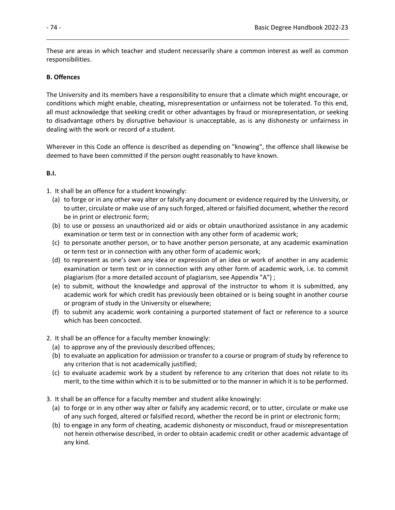These are areas in which teacher and student necessarily share a common interest as well as common responsibilities.

#### **B. Offences**

The University and its members have a responsibility to ensure that a climate which might encourage, or conditions which might enable, cheating, misrepresentation or unfairness not be tolerated. To this end, all must acknowledge that seeking credit or other advantages by fraud or misrepresentation, or seeking to disadvantage others by disruptive behaviour is unacceptable, as is any dishonesty or unfairness in dealing with the work or record of a student.

Wherever in this Code an offence is described as depending on "knowing", the offence shall likewise be deemed to have been committed if the person ought reasonably to have known.

#### **B.I.**

1. It shall be an offence for a student knowingly:

- (a) to forge or in any other way alter or falsify any document or evidence required by the University, or to utter, circulate or make use of any such forged, altered or falsified document, whether the record be in print or electronic form;
- (b) to use or possess an unauthorized aid or aids or obtain unauthorized assistance in any academic examination or term test or in connection with any other form of academic work;
- (c) to personate another person, or to have another person personate, at any academic examination or term test or in connection with any other form of academic work;
- (d) to represent as one's own any idea or expression of an idea or work of another in any academic examination or term test or in connection with any other form of academic work, i.e. to commit plagiarism (for a more detailed account of plagiarism, see Appendix "A") ;
- (e) to submit, without the knowledge and approval of the instructor to whom it is submitted, any academic work for which credit has previously been obtained or is being sought in another course or program of study in the University or elsewhere;
- (f) to submit any academic work containing a purported statement of fact or reference to a source which has been concocted.
- 2. It shall be an offence for a faculty member knowingly:
	- (a) to approve any of the previously described offences;
	- (b) to evaluate an application for admission or transfer to a course or program of study by reference to any criterion that is not academically justified;
	- (c) to evaluate academic work by a student by reference to any criterion that does not relate to its merit, to the time within which it is to be submitted or to the manner in which it is to be performed.
- 3. It shall be an offence for a faculty member and student alike knowingly:
	- (a) to forge or in any other way alter or falsify any academic record, or to utter, circulate or make use of any such forged, altered or falsified record, whether the record be in print or electronic form;
	- (b) to engage in any form of cheating, academic dishonesty or misconduct, fraud or misrepresentation not herein otherwise described, in order to obtain academic credit or other academic advantage of any kind.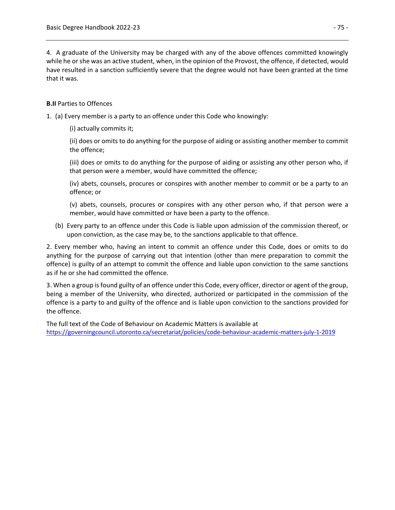4. A graduate of the University may be charged with any of the above offences committed knowingly while he or she was an active student, when, in the opinion of the Provost, the offence, if detected, would have resulted in a sanction sufficiently severe that the degree would not have been granted at the time that it was.

#### **B.II** Parties to Offences

- 1. (a) Every member is a party to an offence under this Code who knowingly:
	- (i) actually commits it;

(ii) does or omits to do anything for the purpose of aiding or assisting another member to commit the offence;

(iii) does or omits to do anything for the purpose of aiding or assisting any other person who, if that person were a member, would have committed the offence;

(iv) abets, counsels, procures or conspires with another member to commit or be a party to an offence; or

(v) abets, counsels, procures or conspires with any other person who, if that person were a member, would have committed or have been a party to the offence.

(b) Every party to an offence under this Code is liable upon admission of the commission thereof, or upon conviction, as the case may be, to the sanctions applicable to that offence.

2. Every member who, having an intent to commit an offence under this Code, does or omits to do anything for the purpose of carrying out that intention (other than mere preparation to commit the offence) is guilty of an attempt to commit the offence and liable upon conviction to the same sanctions as if he or she had committed the offence.

3. When a group is found guilty of an offence under this Code, every officer, director or agent of the group, being a member of the University, who directed, authorized or participated in the commission of the offence is a party to and guilty of the offence and is liable upon conviction to the sanctions provided for the offence.

The full text of the Code of Behaviour on Academic Matters is available at <https://governingcouncil.utoronto.ca/secretariat/policies/code-behaviour-academic-matters-july-1-2019>